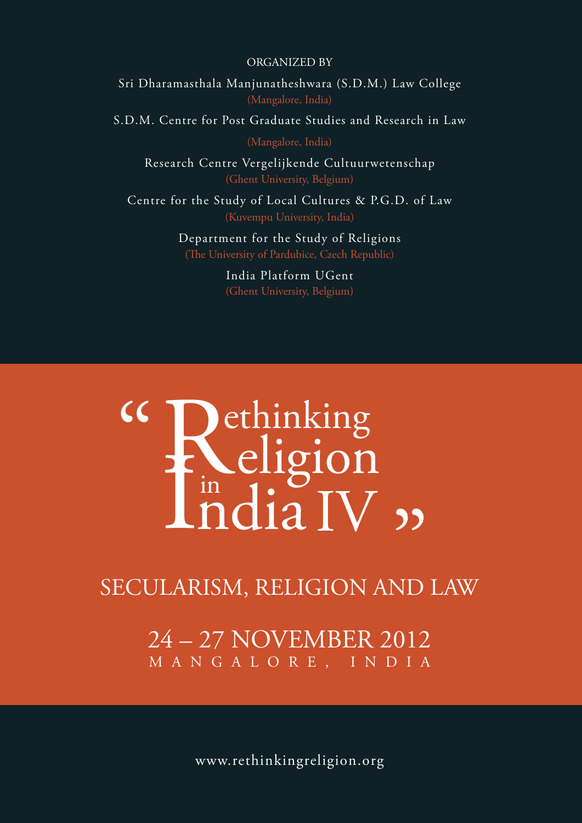ORGANIZED BY

Sri Dharamasthala Manjunatheshwara (S.D.M.) Law College

S.D.M. Centre for Post Graduate Studies and Research in Law

Research Centre Vergelijkende Cultuurwetenschap (Ghent University, Belgium)

Centre for the Study of Local Cultures & P.G.D. of Law

Department for the Study of Religions (The University of Pardubice, Czech Republic)

> India Platform UGent (Ghent University, Belgium)

# **ENCIIGION<br>
India IV 99**<br>
LARISM, RELIGION AND Rethinking eligion  $\int_0^{\infty} \text{ndi} \, dV$  $cc$

### SECULARISM, RELIGION AND LAW

24 – 27 NOVEMBER 2012 M A N G A L O R E , I N D I A

www.rethinkingreligion.org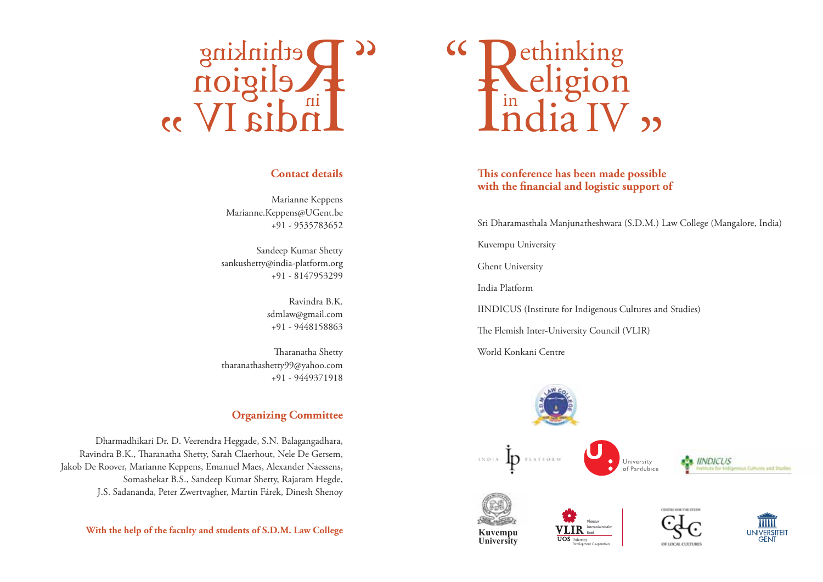# R I ethinking eligion <sup>in</sup>dia IV <sub>22</sub> "

### **Contact details**

Marianne Keppens Marianne.Keppens@UGent.be +91 - 9535783652

Sandeep Kumar Shetty sankushetty@india-platform.org +91 - 8147953299

> Ravindra B.K. sdmlaw@gmail.com +91 - 9448158863

Tharanatha Shetty tharanathashetty99@yahoo.com +91 - 9449371918

### **Organizing Committee**

Dharmadhikari Dr. D. Veerendra Heggade, S.N. Balagangadhara, Ravindra B.K., Tharanatha Shetty, Sarah Claerhout, Nele De Gersem, Jakob De Roover, Marianne Keppens, Emanuel Maes, Alexander Naessens, Somashekar B.S., Sandeep Kumar Shetty, Rajaram Hegde, J.S. Sadananda, Peter Zwertvagher, Martin Fárek, Dinesh Shenoy

**With the help of the faculty and students of S.D.M. Law College**



### **This conference has been made possible with the financial and logistic support of**

Sri Dharamasthala Manjunatheshwara (S.D.M.) Law College (Mangalore, India)

Kuvempu University

Ghent University

India Platform

IINDICUS (Institute for Indigenous Cultures and Studies)

The Flemish Inter-University Council (VLIR)

World Konkani Centre

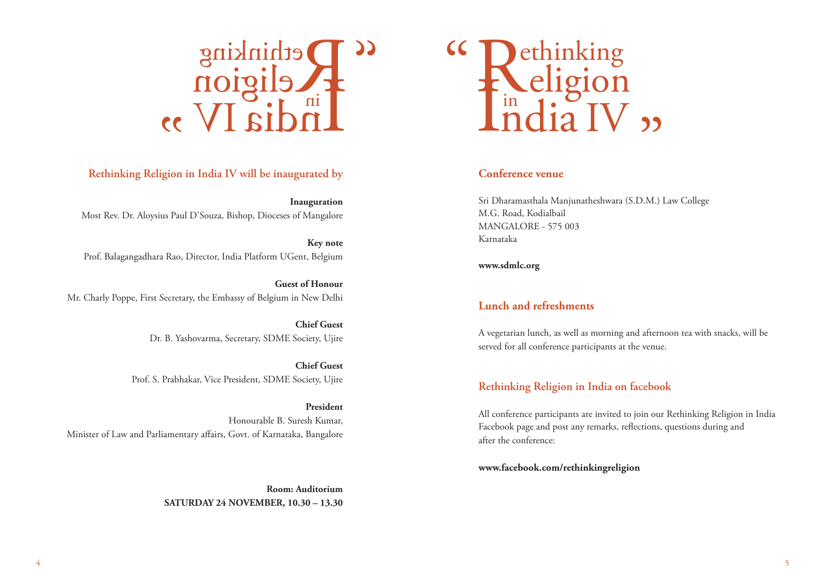

### **Rethinking Religion in India IV will be inaugurated by**

**Inauguration**  Most Rev. Dr. Aloysius Paul D'Souza, Bishop, Dioceses of Mangalore

**Key note**  Prof. Balagangadhara Rao, Director, India Platform UGent, Belgium

**Guest of Honour**  Mr. Charly Poppe, First Secretary, the Embassy of Belgium in New Delhi

> **Chief Guest**  Dr. B. Yashovarma, Secretary, SDME Society, Ujire

**Chief Guest**  Prof. S. Prabhakar, Vice President, SDME Society, Ujire

**President**  Honourable B. Suresh Kumar, Minister of Law and Parliamentary affairs, Govt. of Karnataka, Bangalore

> **Room: Auditorium SATURDAY 24 NOVEMBER, 10.30 – 13.30**



### **Conference venue**

Sri Dharamasthala Manjunatheshwara (S.D.M.) Law College M.G. Road, Kodialbail MANGALORE - 575 003 Karnataka

**www.sdmlc.org**

### **Lunch and refreshments**

A vegetarian lunch, as well as morning and afternoon tea with snacks, will be served for all conference participants at the venue.

### **Rethinking Religion in India on facebook**

All conference participants are invited to join our Rethinking Religion in India Facebook page and post any remarks, reflections, questions during and after the conference:

**www.facebook.com/rethinkingreligion**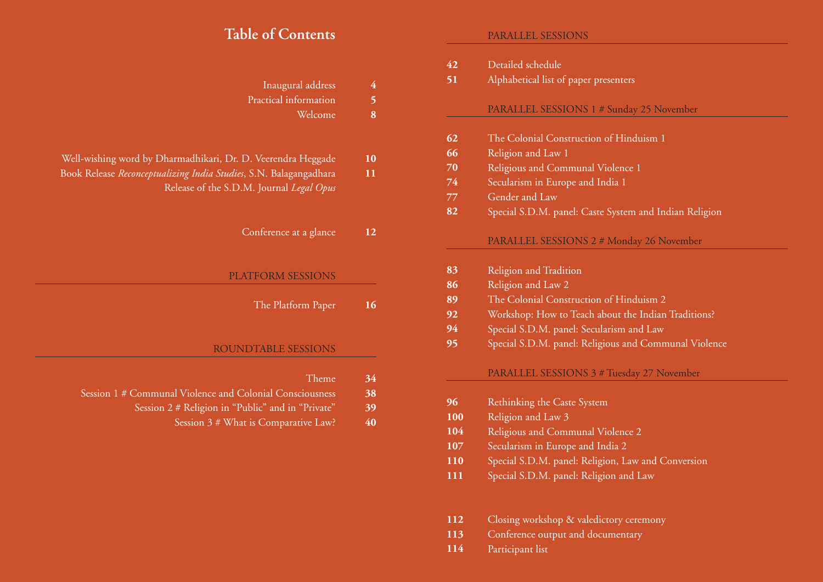# **Table of Contents**

| 4  | Inaugural address                                                                                             |  |
|----|---------------------------------------------------------------------------------------------------------------|--|
| 5  | Practical information                                                                                         |  |
| 8  | Welcome                                                                                                       |  |
| 10 | Well-wishing word by Dharmadhikari, Dr. D. Veerendra Heggade                                                  |  |
| 11 | Book Release Reconceptualizing India Studies, S.N. Balagangadhara<br>Release of the S.D.M. Journal Legal Opus |  |
| 12 | Conference at a glance                                                                                        |  |
|    | <b>PLATFORM SESSIONS</b>                                                                                      |  |
| 16 | The Platform Paper                                                                                            |  |
|    | ROUNDTABLE SESSIONS                                                                                           |  |
| 34 | Theme                                                                                                         |  |
| 38 | Session 1 # Communal Violence and Colonial Consciousness                                                      |  |
| 39 | Session 2 # Religion in "Public" and in "Private"                                                             |  |
| 40 | Session 3 # What is Comparative Law?                                                                          |  |

### PARALLEL SESSIONS

| Detailed schedule<br>42<br>51<br>Alphabetical list of paper presenters |                                                        |  |  |  |  |
|------------------------------------------------------------------------|--------------------------------------------------------|--|--|--|--|
|                                                                        |                                                        |  |  |  |  |
|                                                                        | PARALLEL SESSIONS 1 # Sunday 25 November               |  |  |  |  |
| 62                                                                     | The Colonial Construction of Hinduism 1                |  |  |  |  |
| 66                                                                     | Religion and Law 1                                     |  |  |  |  |
| 70                                                                     | Religious and Communal Violence 1                      |  |  |  |  |
| 74                                                                     | Secularism in Europe and India 1                       |  |  |  |  |
| 77                                                                     | Gender and Law                                         |  |  |  |  |
| 82                                                                     | Special S.D.M. panel: Caste System and Indian Religion |  |  |  |  |
|                                                                        | PARALLEL SESSIONS 2 # Monday 26 November               |  |  |  |  |
| 83                                                                     | Religion and Tradition                                 |  |  |  |  |
| 86                                                                     | Religion and Law 2                                     |  |  |  |  |
| 89                                                                     | The Colonial Construction of Hinduism 2                |  |  |  |  |
| 92                                                                     | Workshop: How to Teach about the Indian Traditions?    |  |  |  |  |
| 94                                                                     | Special S.D.M. panel: Secularism and Law               |  |  |  |  |
| 95                                                                     | Special S.D.M. panel: Religious and Communal Violence  |  |  |  |  |
|                                                                        | PARALLEL SESSIONS 3 # Tuesday 27 November              |  |  |  |  |
| 96                                                                     | Rethinking the Caste System                            |  |  |  |  |
| 100                                                                    | Religion and Law 3                                     |  |  |  |  |
| 104                                                                    | Religious and Communal Violence 2                      |  |  |  |  |
| 107                                                                    | Secularism in Europe and India 2                       |  |  |  |  |
| 110                                                                    | Special S.D.M. panel: Religion, Law and Conversion     |  |  |  |  |

- Special S.D.M. panel: Religion and Law **111**
- Closing workshop & valedictory ceremony **112**
- Conference output and documentary **113**
- Participant list **114**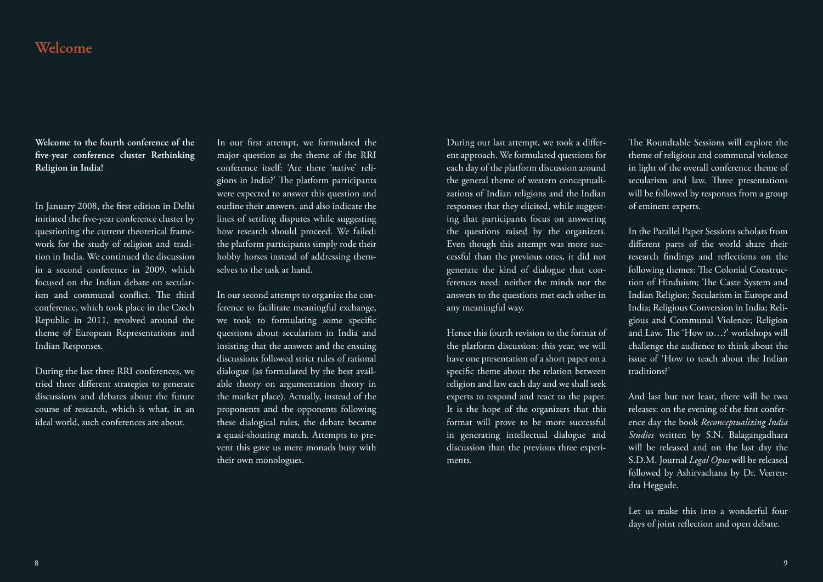# **Welcome**

**Welcome to the fourth conference of the five-year conference cluster Rethinking Religion in India!** 

In January 2008, the first edition in Delhi initiated the five-year conference cluster by questioning the current theoretical framework for the study of religion and tradition in India. We continued the discussion in a second conference in 2009, which focused on the Indian debate on secularism and communal conflict. The third conference, which took place in the Czech Republic in 2011, revolved around the theme of European Representations and Indian Responses.

During the last three RRI conferences, we tried three different strategies to generate discussions and debates about the future course of research, which is what, in an ideal world, such conferences are about.

In our first attempt, we formulated the major question as the theme of the RRI conference itself: 'Are there 'native' religions in India?' The platform participants were expected to answer this question and outline their answers, and also indicate the lines of settling disputes while suggesting how research should proceed. We failed: the platform participants simply rode their hobby horses instead of addressing themselves to the task at hand.

In our second attempt to organize the conference to facilitate meaningful exchange, we took to formulating some specific questions about secularism in India and insisting that the answers and the ensuing discussions followed strict rules of rational dialogue (as formulated by the best available theory on argumentation theory in the market place). Actually, instead of the proponents and the opponents following these dialogical rules, the debate became a quasi-shouting match. Attempts to prevent this gave us mere monads busy with their own monologues.

During our last attempt, we took a different approach. We formulated questions for each day of the platform discussion around the general theme of western conceptualizations of Indian religions and the Indian responses that they elicited, while suggesting that participants focus on answering the questions raised by the organizers. Even though this attempt was more successful than the previous ones, it did not generate the kind of dialogue that conferences need: neither the minds nor the answers to the questions met each other in any meaningful way.

Hence this fourth revision to the format of the platform discussion: this year, we will have one presentation of a short paper on a specific theme about the relation between religion and law each day and we shall seek experts to respond and react to the paper. It is the hope of the organizers that this format will prove to be more successful in generating intellectual dialogue and discussion than the previous three experiments.

The Roundtable Sessions will explore the theme of religious and communal violence in light of the overall conference theme of secularism and law. Three presentations will be followed by responses from a group of eminent experts.

In the Parallel Paper Sessions scholars from different parts of the world share their research findings and reflections on the following themes: The Colonial Construction of Hinduism; The Caste System and Indian Religion; Secularism in Europe and India; Religious Conversion in India; Religious and Communal Violence; Religion and Law. The 'How to…?' workshops will challenge the audience to think about the issue of 'How to teach about the Indian traditions?'

And last but not least, there will be two releases: on the evening of the first conference day the book *Reconceptualizing India Studies* written by S.N. Balagangadhara will be released and on the last day the S.D.M. Journal *Legal Opus* will be released followed by Ashirvachana by Dr. Veerendra Heggade.

Let us make this into a wonderful four days of joint reflection and open debate.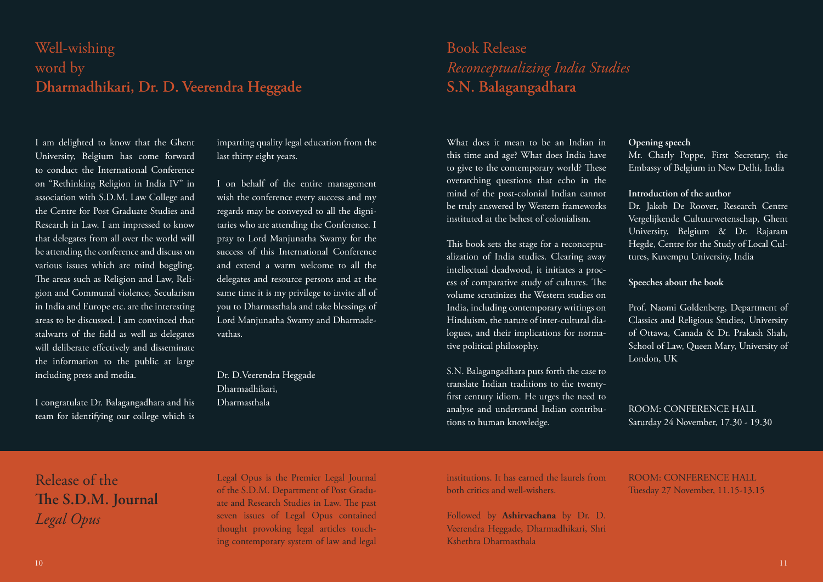# Well-wishing word by **Dharmadhikari, Dr. D. Veerendra Heggade**

I am delighted to know that the Ghent University, Belgium has come forward to conduct the International Conference on "Rethinking Religion in India IV" in association with S.D.M. Law College and the Centre for Post Graduate Studies and Research in Law. I am impressed to know that delegates from all over the world will be attending the conference and discuss on various issues which are mind boggling. The areas such as Religion and Law, Religion and Communal violence, Secularism in India and Europe etc. are the interesting areas to be discussed. I am convinced that stalwarts of the field as well as delegates will deliberate effectively and disseminate the information to the public at large including press and media.

I congratulate Dr. Balagangadhara and his team for identifying our college which is imparting quality legal education from the last thirty eight years.

I on behalf of the entire management wish the conference every success and my regards may be conveyed to all the dignitaries who are attending the Conference. I pray to Lord Manjunatha Swamy for the success of this International Conference and extend a warm welcome to all the delegates and resource persons and at the same time it is my privilege to invite all of you to Dharmasthala and take blessings of Lord Manjunatha Swamy and Dharmadevathas.

Dr. D.Veerendra Heggade Dharmadhikari, Dharmasthala

# Book Release *Reconceptualizing India Studies* **S.N. Balagangadhara**

What does it mean to be an Indian in this time and age? What does India have to give to the contemporary world? These overarching questions that echo in the mind of the post-colonial Indian cannot be truly answered by Western frameworks instituted at the behest of colonialism.

This book sets the stage for a reconceptualization of India studies. Clearing away intellectual deadwood, it initiates a process of comparative study of cultures. The volume scrutinizes the Western studies on India, including contemporary writings on Hinduism, the nature of inter-cultural dialogues, and their implications for normative political philosophy.

S.N. Balagangadhara puts forth the case to translate Indian traditions to the twentyfirst century idiom. He urges the need to analyse and understand Indian contributions to human knowledge.

### **Opening speech**

Mr. Charly Poppe, First Secretary, the Embassy of Belgium in New Delhi, India

### **Introduction of the author**

Dr. Jakob De Roover, Research Centre Vergelijkende Cultuurwetenschap, Ghent University, Belgium & Dr. Rajaram Hegde, Centre for the Study of Local Cultures, Kuvempu University, India

### **Speeches about the book**

Prof. Naomi Goldenberg, Department of Classics and Religious Studies, University of Ottawa, Canada & Dr. Prakash Shah, School of Law, Queen Mary, University of London, UK

ROOM: CONFERENCE HALL Saturday 24 November, 17.30 - 19.30

Release of the **The S.D.M. Journal**  *Legal Opus* 

Legal Opus is the Premier Legal Journal of the S.D.M. Department of Post Graduate and Research Studies in Law. The past seven issues of Legal Opus contained thought provoking legal articles touching contemporary system of law and legal

institutions. It has earned the laurels from both critics and well-wishers.

Followed by **Ashirvachana** by Dr. D. Veerendra Heggade, Dharmadhikari, Shri Kshethra Dharmasthala

ROOM: CONFERENCE HALL Tuesday 27 November, 11.15-13.15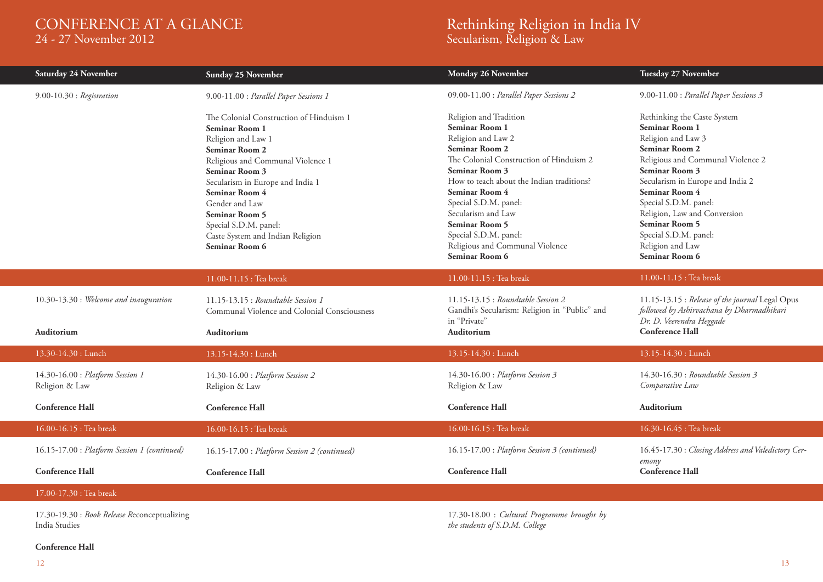# CONFERENCE AT A GLANCE

24 - 27 November 2012

# Rethinking Religion in India IV

Secularism, Religion & Law

| Saturday 24 November                                                   | Sunday 25 November                                                                                                                                                                                                                                                                                                                              | Monday 26 November                                                                                                                                                                                                                                                                                                                                                                                    | Tuesday 27 November                                                                                                                                                                                                                                                                                                                                 |
|------------------------------------------------------------------------|-------------------------------------------------------------------------------------------------------------------------------------------------------------------------------------------------------------------------------------------------------------------------------------------------------------------------------------------------|-------------------------------------------------------------------------------------------------------------------------------------------------------------------------------------------------------------------------------------------------------------------------------------------------------------------------------------------------------------------------------------------------------|-----------------------------------------------------------------------------------------------------------------------------------------------------------------------------------------------------------------------------------------------------------------------------------------------------------------------------------------------------|
| $9.00 - 10.30$ : Registration                                          | 9.00-11.00 : Parallel Paper Sessions 1                                                                                                                                                                                                                                                                                                          | 09.00-11.00 : Parallel Paper Sessions 2                                                                                                                                                                                                                                                                                                                                                               | 9.00-11.00 : Parallel Paper Sessions 3                                                                                                                                                                                                                                                                                                              |
|                                                                        | The Colonial Construction of Hinduism 1<br>Seminar Room 1<br>Religion and Law 1<br><b>Seminar Room 2</b><br>Religious and Communal Violence 1<br>Seminar Room 3<br>Secularism in Europe and India 1<br>Seminar Room 4<br>Gender and Law<br><b>Seminar Room 5</b><br>Special S.D.M. panel:<br>Caste System and Indian Religion<br>Seminar Room 6 | Religion and Tradition<br><b>Seminar Room 1</b><br>Religion and Law 2<br><b>Seminar Room 2</b><br>The Colonial Construction of Hinduism 2<br><b>Seminar Room 3</b><br>How to teach about the Indian traditions?<br><b>Seminar Room 4</b><br>Special S.D.M. panel:<br>Secularism and Law<br><b>Seminar Room 5</b><br>Special S.D.M. panel:<br>Religious and Communal Violence<br><b>Seminar Room 6</b> | Rethinking the Caste System<br>Seminar Room 1<br>Religion and Law 3<br>Seminar Room 2<br>Religious and Communal Violence 2<br>Seminar Room 3<br>Secularism in Europe and India 2<br>Seminar Room 4<br>Special S.D.M. panel:<br>Religion, Law and Conversion<br><b>Seminar Room 5</b><br>Special S.D.M. panel:<br>Religion and Law<br>Seminar Room 6 |
|                                                                        | 11.00-11.15 : Tea break                                                                                                                                                                                                                                                                                                                         | 11.00-11.15 : Tea break                                                                                                                                                                                                                                                                                                                                                                               | 11.00-11.15 : Tea break                                                                                                                                                                                                                                                                                                                             |
| 10.30-13.30 : Welcome and inauguration<br><b>Auditorium</b>            | 11.15-13.15 : Roundtable Session 1<br>Communal Violence and Colonial Consciousness<br>Auditorium                                                                                                                                                                                                                                                | 11.15-13.15 : Roundtable Session 2<br>Gandhi's Secularism: Religion in "Public" and<br>in "Private"<br>Auditorium                                                                                                                                                                                                                                                                                     | 11.15-13.15 : Release of the journal Legal Opus<br>followed by Ashirvachana by Dharmadhikari<br>Dr. D. Veerendra Heggade<br><b>Conference Hall</b>                                                                                                                                                                                                  |
| 13.30-14.30 : Lunch                                                    | 13.15-14.30 : Lunch                                                                                                                                                                                                                                                                                                                             | 13.15-14.30 : Lunch                                                                                                                                                                                                                                                                                                                                                                                   | 13.15-14.30 : Lunch                                                                                                                                                                                                                                                                                                                                 |
| 14.30-16.00 : Platform Session 1<br>Religion & Law                     | 14.30-16.00 : Platform Session 2<br>Religion & Law                                                                                                                                                                                                                                                                                              | 14.30-16.00 : Platform Session 3<br>Religion & Law                                                                                                                                                                                                                                                                                                                                                    | 14.30-16.30 : Roundtable Session 3<br>Comparative Law                                                                                                                                                                                                                                                                                               |
| <b>Conference Hall</b>                                                 | <b>Conference Hall</b>                                                                                                                                                                                                                                                                                                                          | <b>Conference Hall</b>                                                                                                                                                                                                                                                                                                                                                                                | <b>Auditorium</b>                                                                                                                                                                                                                                                                                                                                   |
| 16.00-16.15 : Tea break                                                | 16.00-16.15 : Tea break                                                                                                                                                                                                                                                                                                                         | 16.00-16.15 : Tea break                                                                                                                                                                                                                                                                                                                                                                               | 16.30-16.45 : Tea break                                                                                                                                                                                                                                                                                                                             |
| 16.15-17.00 : Platform Session 1 (continued)<br><b>Conference Hall</b> | 16.15-17.00 : Platform Session 2 (continued)<br><b>Conference Hall</b>                                                                                                                                                                                                                                                                          | 16.15-17.00 : Platform Session 3 (continued)<br><b>Conference Hall</b>                                                                                                                                                                                                                                                                                                                                | 16.45-17.30 : Closing Address and Valedictory Cer-<br>emony<br><b>Conference Hall</b>                                                                                                                                                                                                                                                               |
|                                                                        |                                                                                                                                                                                                                                                                                                                                                 |                                                                                                                                                                                                                                                                                                                                                                                                       |                                                                                                                                                                                                                                                                                                                                                     |
| 17.00-17.30 : Tea break                                                |                                                                                                                                                                                                                                                                                                                                                 |                                                                                                                                                                                                                                                                                                                                                                                                       |                                                                                                                                                                                                                                                                                                                                                     |
|                                                                        |                                                                                                                                                                                                                                                                                                                                                 |                                                                                                                                                                                                                                                                                                                                                                                                       |                                                                                                                                                                                                                                                                                                                                                     |

17.30-19.30 : *Book Release R*econceptualizing India Studies

17.30-18.00 : *Cultural Programme brought by the students of S.D.M. College*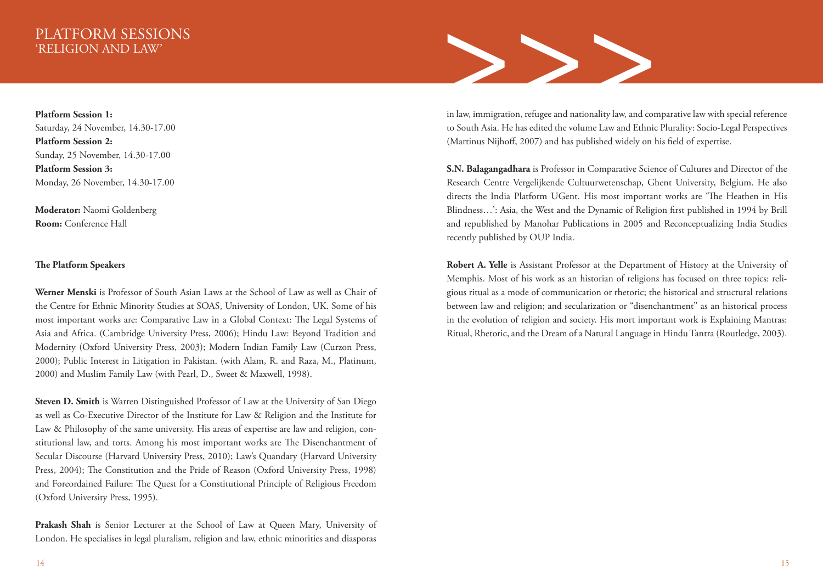**Platform Session 1:** Saturday, 24 November, 14.30-17.00 **Platform Session 2:** Sunday, 25 November, 14.30-17.00 **Platform Session 3:** Monday, 26 November, 14.30-17.00

**Moderator:** Naomi Goldenberg **Room:** Conference Hall

### **The Platform Speakers**

**Werner Menski** is Professor of South Asian Laws at the School of Law as well as Chair of the Centre for Ethnic Minority Studies at SOAS, University of London, UK. Some of his most important works are: Comparative Law in a Global Context: The Legal Systems of Asia and Africa. (Cambridge University Press, 2006); Hindu Law: Beyond Tradition and Modernity (Oxford University Press, 2003); Modern Indian Family Law (Curzon Press, 2000); Public Interest in Litigation in Pakistan. (with Alam, R. and Raza, M., Platinum, 2000) and Muslim Family Law (with Pearl, D., Sweet & Maxwell, 1998).

**Steven D. Smith** is Warren Distinguished Professor of Law at the University of San Diego as well as Co-Executive Director of the Institute for Law & Religion and the Institute for Law & Philosophy of the same university. His areas of expertise are law and religion, constitutional law, and torts. Among his most important works are The Disenchantment of Secular Discourse (Harvard University Press, 2010); Law's Quandary (Harvard University Press, 2004); The Constitution and the Pride of Reason (Oxford University Press, 1998) and Foreordained Failure: The Quest for a Constitutional Principle of Religious Freedom (Oxford University Press, 1995).

**Prakash Shah** is Senior Lecturer at the School of Law at Queen Mary, University of London. He specialises in legal pluralism, religion and law, ethnic minorities and diasporas



in law, immigration, refugee and nationality law, and comparative law with special reference to South Asia. He has edited the volume Law and Ethnic Plurality: Socio-Legal Perspectives (Martinus Nijhoff, 2007) and has published widely on his field of expertise.

**S.N. Balagangadhara** is Professor in Comparative Science of Cultures and Director of the Research Centre Vergelijkende Cultuurwetenschap, Ghent University, Belgium. He also directs the India Platform UGent. His most important works are 'The Heathen in His Blindness…': Asia, the West and the Dynamic of Religion first published in 1994 by Brill and republished by Manohar Publications in 2005 and Reconceptualizing India Studies recently published by OUP India.

**Robert A. Yelle** is Assistant Professor at the Department of History at the University of Memphis. Most of his work as an historian of religions has focused on three topics: religious ritual as a mode of communication or rhetoric; the historical and structural relations between law and religion; and secularization or "disenchantment" as an historical process in the evolution of religion and society. His mort important work is Explaining Mantras: Ritual, Rhetoric, and the Dream of a Natural Language in Hindu Tantra (Routledge, 2003).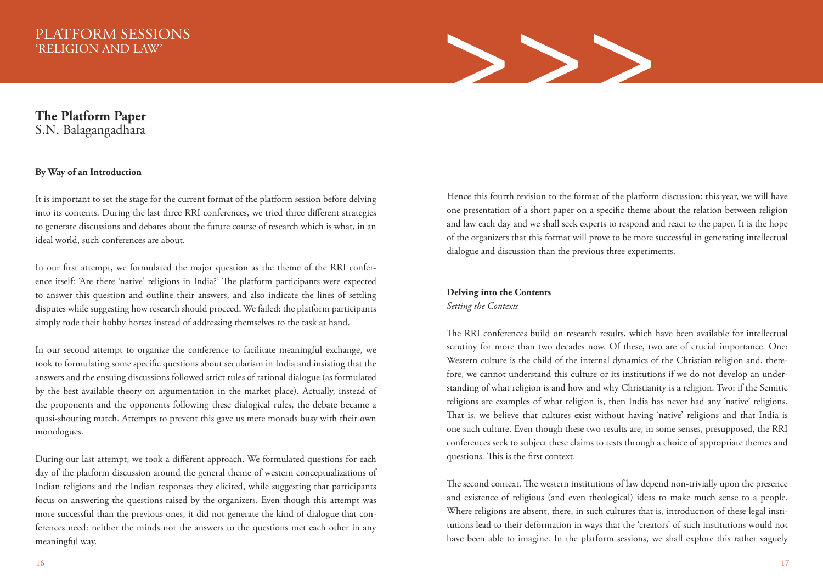

### **The Platform Paper** S.N. Balagangadhara

### **By Way of an Introduction**

It is important to set the stage for the current format of the platform session before delving into its contents. During the last three RRI conferences, we tried three different strategies to generate discussions and debates about the future course of research which is what, in an ideal world, such conferences are about.

In our first attempt, we formulated the major question as the theme of the RRI conference itself: 'Are there 'native' religions in India?' The platform participants were expected to answer this question and outline their answers, and also indicate the lines of settling disputes while suggesting how research should proceed. We failed: the platform participants simply rode their hobby horses instead of addressing themselves to the task at hand.

In our second attempt to organize the conference to facilitate meaningful exchange, we took to formulating some specific questions about secularism in India and insisting that the answers and the ensuing discussions followed strict rules of rational dialogue (as formulated by the best available theory on argumentation in the market place). Actually, instead of the proponents and the opponents following these dialogical rules, the debate became a quasi-shouting match. Attempts to prevent this gave us mere monads busy with their own monologues.

During our last attempt, we took a different approach. We formulated questions for each day of the platform discussion around the general theme of western conceptualizations of Indian religions and the Indian responses they elicited, while suggesting that participants focus on answering the questions raised by the organizers. Even though this attempt was more successful than the previous ones, it did not generate the kind of dialogue that conferences need: neither the minds nor the answers to the questions met each other in any meaningful way.

Hence this fourth revision to the format of the platform discussion: this year, we will have one presentation of a short paper on a specific theme about the relation between religion and law each day and we shall seek experts to respond and react to the paper. It is the hope of the organizers that this format will prove to be more successful in generating intellectual dialogue and discussion than the previous three experiments.

# **Delving into the Contents**

*Setting the Contexts*

The RRI conferences build on research results, which have been available for intellectual scrutiny for more than two decades now. Of these, two are of crucial importance. One: Western culture is the child of the internal dynamics of the Christian religion and, therefore, we cannot understand this culture or its institutions if we do not develop an understanding of what religion is and how and why Christianity is a religion. Two: if the Semitic religions are examples of what religion is, then India has never had any 'native' religions. That is, we believe that cultures exist without having 'native' religions and that India is one such culture. Even though these two results are, in some senses, presupposed, the RRI conferences seek to subject these claims to tests through a choice of appropriate themes and questions. This is the first context.

The second context. The western institutions of law depend non-trivially upon the presence and existence of religious (and even theological) ideas to make much sense to a people. Where religions are absent, there, in such cultures that is, introduction of these legal institutions lead to their deformation in ways that the 'creators' of such institutions would not have been able to imagine. In the platform sessions, we shall explore this rather vaguely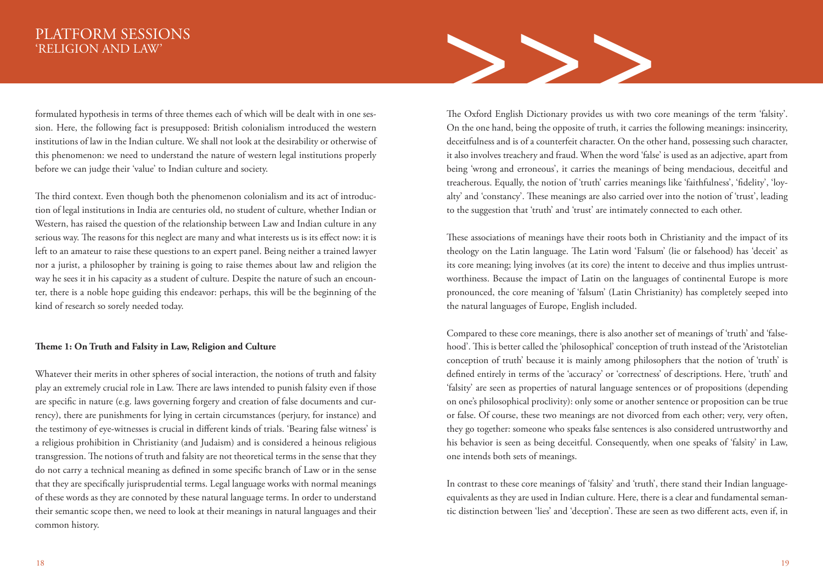formulated hypothesis in terms of three themes each of which will be dealt with in one ses sion. Here, the following fact is presupposed: British colonialism introduced the western institutions of law in the Indian culture. We shall not look at the desirability or otherwise of this phenomenon: we need to understand the nature of western legal institutions properly before we can judge their 'value' to Indian culture and society.

The third context. Even though both the phenomenon colonialism and its act of introduction of legal institutions in India are centuries old, no student of culture, whether Indian or Western, has raised the question of the relationship between Law and Indian culture in any serious way. The reasons for this neglect are many and what interests us is its effect now: it is left to an amateur to raise these questions to an expert panel. Being neither a trained lawyer nor a jurist, a philosopher by training is going to raise themes about law and religion the way he sees it in his capacity as a student of culture. Despite the nature of such an encounter, there is a noble hope guiding this endeavor: perhaps, this will be the beginning of the kind of research so sorely needed today.

### **Theme 1: On Truth and Falsity in Law, Religion and Culture**

Whatever their merits in other spheres of social interaction, the notions of truth and falsity play an extremely crucial role in Law. There are laws intended to punish falsity even if those are specific in nature (e.g. laws governing forgery and creation of false documents and currency), there are punishments for lying in certain circumstances (perjury, for instance) and the testimony of eye-witnesses is crucial in different kinds of trials. 'Bearing false witness' is a religious prohibition in Christianity (and Judaism) and is considered a heinous religious transgression. The notions of truth and falsity are not theoretical terms in the sense that they do not carry a technical meaning as defined in some specific branch of Law or in the sense that they are specifically jurisprudential terms. Legal language works with normal meanings of these words as they are connoted by these natural language terms. In order to understand their semantic scope then, we need to look at their meanings in natural languages and their common history.



The Oxford English Dictionary provides us with two core meanings of the term 'falsity'. On the one hand, being the opposite of truth, it carries the following meanings: insincerity, deceitfulness and is of a counterfeit character. On the other hand, possessing such character, it also involves treachery and fraud. When the word 'false' is used as an adjective, apart from being 'wrong and erroneous', it carries the meanings of being mendacious, deceitful and treacherous. Equally, the notion of 'truth' carries meanings like 'faithfulness', 'fidelity', 'loyalty' and 'constancy'. These meanings are also carried over into the notion of 'trust', leading to the suggestion that 'truth' and 'trust' are intimately connected to each other.

These associations of meanings have their roots both in Christianity and the impact of its theology on the Latin language. The Latin word 'Falsum' (lie or falsehood) has 'deceit' as its core meaning; lying involves (at its core) the intent to deceive and thus implies untrustworthiness. Because the impact of Latin on the languages of continental Europe is more pronounced, the core meaning of 'falsum' (Latin Christianity) has completely seeped into the natural languages of Europe, English included.

Compared to these core meanings, there is also another set of meanings of 'truth' and 'falsehood'. This is better called the 'philosophical' conception of truth instead of the 'Aristotelian conception of truth' because it is mainly among philosophers that the notion of 'truth' is defined entirely in terms of the 'accuracy' or 'correctness' of descriptions. Here, 'truth' and 'falsity' are seen as properties of natural language sentences or of propositions (depending on one's philosophical proclivity): only some or another sentence or proposition can be true or false. Of course, these two meanings are not divorced from each other; very, very often, they go together: someone who speaks false sentences is also considered untrustworthy and his behavior is seen as being deceitful. Consequently, when one speaks of 'falsity' in Law, one intends both sets of meanings.

In contrast to these core meanings of 'falsity' and 'truth', there stand their Indian languageequivalents as they are used in Indian culture. Here, there is a clear and fundamental semantic distinction between 'lies' and 'deception'. These are seen as two different acts, even if, in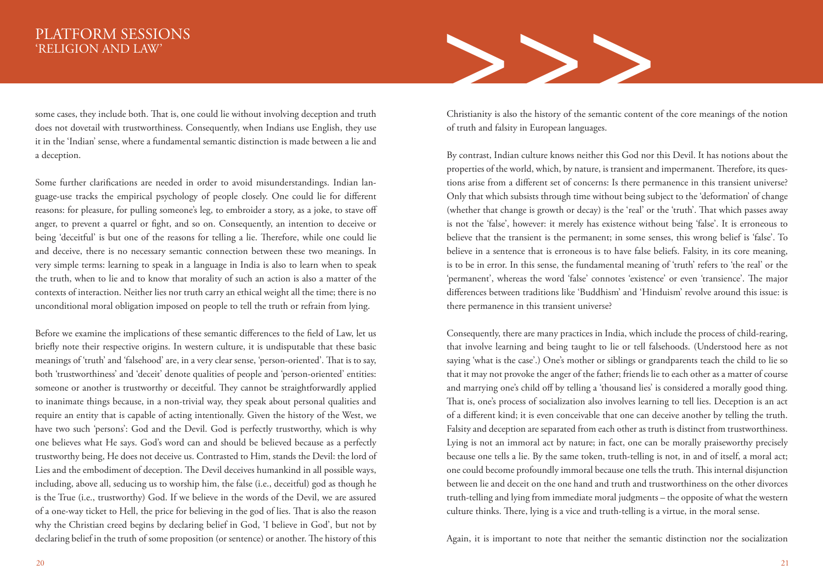some cases, they include both. That is, one could lie without involving deception and truth does not dovetail with trustworthiness. Consequently, when Indians use English, they use it in the 'Indian' sense, where a fundamental semantic distinction is made between a lie and a deception.

Some further clarifications are needed in order to avoid misunderstandings. Indian language-use tracks the empirical psychology of people closely. One could lie for different reasons: for pleasure, for pulling someone's leg, to embroider a story, as a joke, to stave off anger, to prevent a quarrel or fight, and so on. Consequently, an intention to deceive or being 'deceitful' is but one of the reasons for telling a lie. Therefore, while one could lie and deceive, there is no necessary semantic connection between these two meanings. In very simple terms: learning to speak in a language in India is also to learn when to speak the truth, when to lie and to know that morality of such an action is also a matter of the contexts of interaction. Neither lies nor truth carry an ethical weight all the time; there is no unconditional moral obligation imposed on people to tell the truth or refrain from lying.

Before we examine the implications of these semantic differences to the field of Law, let us briefly note their respective origins. In western culture, it is undisputable that these basic meanings of 'truth' and 'falsehood' are, in a very clear sense, 'person-oriented'. That is to say, both 'trustworthiness' and 'deceit' denote qualities of people and 'person-oriented' entities: someone or another is trustworthy or deceitful. They cannot be straightforwardly applied to inanimate things because, in a non-trivial way, they speak about personal qualities and require an entity that is capable of acting intentionally. Given the history of the West, we have two such 'persons': God and the Devil. God is perfectly trustworthy, which is why one believes what He says. God's word can and should be believed because as a perfectly trustworthy being, He does not deceive us. Contrasted to Him, stands the Devil: the lord of Lies and the embodiment of deception. The Devil deceives humankind in all possible ways, including, above all, seducing us to worship him, the false (i.e., deceitful) god as though he is the True (i.e., trustworthy) God. If we believe in the words of the Devil, we are assured of a one-way ticket to Hell, the price for believing in the god of lies. That is also the reason why the Christian creed begins by declaring belief in God, 'I believe in God', but not by declaring belief in the truth of some proposition (or sentence) or another. The history of this



Christianity is also the history of the semantic content of the core meanings of the notion of truth and falsity in European languages.

By contrast, Indian culture knows neither this God nor this Devil. It has notions about the properties of the world, which, by nature, is transient and impermanent. Therefore, its questions arise from a different set of concerns: Is there permanence in this transient universe? Only that which subsists through time without being subject to the 'deformation' of change (whether that change is growth or decay) is the 'real' or the 'truth'. That which passes away is not the 'false', however: it merely has existence without being 'false'. It is erroneous to believe that the transient is the permanent; in some senses, this wrong belief is 'false'. To believe in a sentence that is erroneous is to have false beliefs. Falsity, in its core meaning, is to be in error. In this sense, the fundamental meaning of 'truth' refers to 'the real' or the 'permanent', whereas the word 'false' connotes 'existence' or even 'transience'. The major differences between traditions like 'Buddhism' and 'Hinduism' revolve around this issue: is there permanence in this transient universe?

Consequently, there are many practices in India, which include the process of child-rearing, that involve learning and being taught to lie or tell falsehoods. (Understood here as not saying 'what is the case'.) One's mother or siblings or grandparents teach the child to lie so that it may not provoke the anger of the father; friends lie to each other as a matter of course and marrying one's child off by telling a 'thousand lies' is considered a morally good thing. That is, one's process of socialization also involves learning to tell lies. Deception is an act of a different kind; it is even conceivable that one can deceive another by telling the truth. Falsity and deception are separated from each other as truth is distinct from trustworthiness. Lying is not an immoral act by nature; in fact, one can be morally praiseworthy precisely because one tells a lie. By the same token, truth-telling is not, in and of itself, a moral act; one could become profoundly immoral because one tells the truth. This internal disjunction between lie and deceit on the one hand and truth and trustworthiness on the other divorces truth-telling and lying from immediate moral judgments – the opposite of what the western culture thinks. There, lying is a vice and truth-telling is a virtue, in the moral sense.

Again, it is important to note that neither the semantic distinction nor the socialization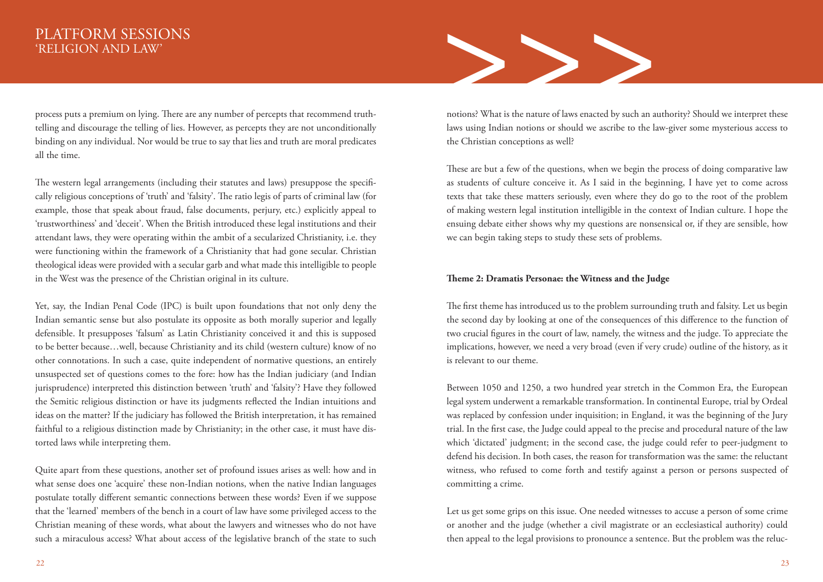process puts a premium on lying. There are any number of percepts that recommend truthtelling and discourage the telling of lies. However, as percepts they are not unconditionally binding on any individual. Nor would be true to say that lies and truth are moral predicates all the time.

The western legal arrangements (including their statutes and laws) presuppose the specifically religious conceptions of 'truth' and 'falsity'. The ratio legis of parts of criminal law (for example, those that speak about fraud, false documents, perjury, etc.) explicitly appeal to 'trustworthiness' and 'deceit'. When the British introduced these legal institutions and their attendant laws, they were operating within the ambit of a secularized Christianity, i.e. they were functioning within the framework of a Christianity that had gone secular. Christian theological ideas were provided with a secular garb and what made this intelligible to people in the West was the presence of the Christian original in its culture.

Yet, say, the Indian Penal Code (IPC) is built upon foundations that not only deny the Indian semantic sense but also postulate its opposite as both morally superior and legally defensible. It presupposes 'falsum' as Latin Christianity conceived it and this is supposed to be better because…well, because Christianity and its child (western culture) know of no other connotations. In such a case, quite independent of normative questions, an entirely unsuspected set of questions comes to the fore: how has the Indian judiciary (and Indian jurisprudence) interpreted this distinction between 'truth' and 'falsity'? Have they followed the Semitic religious distinction or have its judgments reflected the Indian intuitions and ideas on the matter? If the judiciary has followed the British interpretation, it has remained faithful to a religious distinction made by Christianity; in the other case, it must have distorted laws while interpreting them.

Quite apart from these questions, another set of profound issues arises as well: how and in what sense does one 'acquire' these non-Indian notions, when the native Indian languages postulate totally different semantic connections between these words? Even if we suppose that the 'learned' members of the bench in a court of law have some privileged access to the Christian meaning of these words, what about the lawyers and witnesses who do not have such a miraculous access? What about access of the legislative branch of the state to such



notions? What is the nature of laws enacted by such an authority? Should we interpret these laws using Indian notions or should we ascribe to the law-giver some mysterious access to the Christian conceptions as well?

These are but a few of the questions, when we begin the process of doing comparative law as students of culture conceive it. As I said in the beginning, I have yet to come across texts that take these matters seriously, even where they do go to the root of the problem of making western legal institution intelligible in the context of Indian culture. I hope the ensuing debate either shows why my questions are nonsensical or, if they are sensible, how we can begin taking steps to study these sets of problems.

### **Theme 2: Dramatis Personae: the Witness and the Judge**

The first theme has introduced us to the problem surrounding truth and falsity. Let us begin the second day by looking at one of the consequences of this difference to the function of two crucial figures in the court of law, namely, the witness and the judge. To appreciate the implications, however, we need a very broad (even if very crude) outline of the history, as it is relevant to our theme.

Between 1050 and 1250, a two hundred year stretch in the Common Era, the European legal system underwent a remarkable transformation. In continental Europe, trial by Ordeal was replaced by confession under inquisition; in England, it was the beginning of the Jury trial. In the first case, the Judge could appeal to the precise and procedural nature of the law which 'dictated' judgment; in the second case, the judge could refer to peer-judgment to defend his decision. In both cases, the reason for transformation was the same: the reluctant witness, who refused to come forth and testify against a person or persons suspected of committing a crime.

Let us get some grips on this issue. One needed witnesses to accuse a person of some crime or another and the judge (whether a civil magistrate or an ecclesiastical authority) could then appeal to the legal provisions to pronounce a sentence. But the problem was the reluc-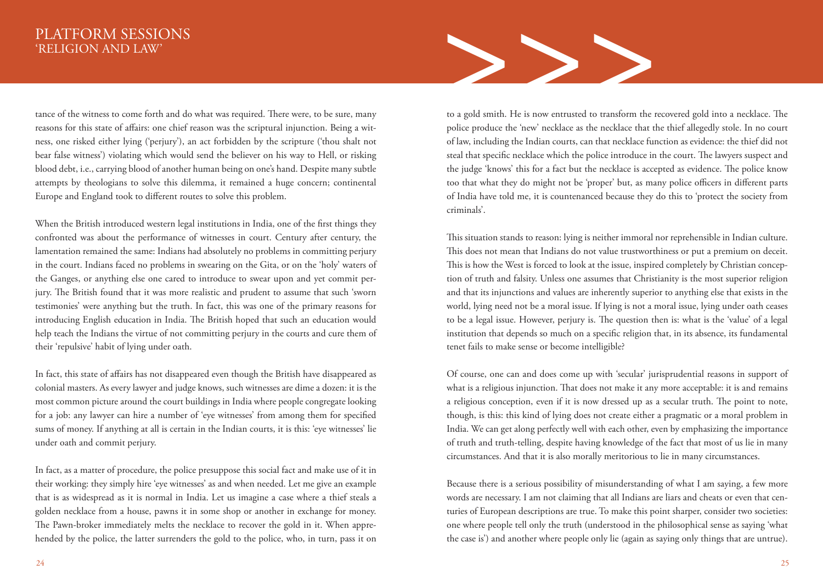tance of the witness to come forth and do what was required. There were, to be sure, many reasons for this state of affairs: one chief reason was the scriptural injunction. Being a wit ness, one risked either lying ('perjury'), an act forbidden by the scripture ('thou shalt not bear false witness') violating which would send the believer on his way to Hell, or risking blood debt, i.e., carrying blood of another human being on one's hand. Despite many subtle attempts by theologians to solve this dilemma, it remained a huge concern; continental Europe and England took to different routes to solve this problem.

When the British introduced western legal institutions in India, one of the first things they confronted was about the performance of witnesses in court. Century after century, the lamentation remained the same: Indians had absolutely no problems in committing perjury in the court. Indians faced no problems in swearing on the Gita, or on the 'holy' waters of the Ganges, or anything else one cared to introduce to swear upon and yet commit perjury. The British found that it was more realistic and prudent to assume that such 'sworn testimonies' were anything but the truth. In fact, this was one of the primary reasons for introducing English education in India. The British hoped that such an education would help teach the Indians the virtue of not committing perjury in the courts and cure them of their 'repulsive' habit of lying under oath.

In fact, this state of affairs has not disappeared even though the British have disappeared as colonial masters. As every lawyer and judge knows, such witnesses are dime a dozen: it is the most common picture around the court buildings in India where people congregate looking for a job: any lawyer can hire a number of 'eye witnesses' from among them for specified sums of money. If anything at all is certain in the Indian courts, it is this: 'eye witnesses' lie under oath and commit perjury.

In fact, as a matter of procedure, the police presuppose this social fact and make use of it in their working: they simply hire 'eye witnesses' as and when needed. Let me give an example that is as widespread as it is normal in India. Let us imagine a case where a thief steals a golden necklace from a house, pawns it in some shop or another in exchange for money. The Pawn-broker immediately melts the necklace to recover the gold in it. When apprehended by the police, the latter surrenders the gold to the police, who, in turn, pass it on



to a gold smith. He is now entrusted to transform the recovered gold into a necklace. The police produce the 'new' necklace as the necklace that the thief allegedly stole. In no court of law, including the Indian courts, can that necklace function as evidence: the thief did not steal that specific necklace which the police introduce in the court. The lawyers suspect and the judge 'knows' this for a fact but the necklace is accepted as evidence. The police know too that what they do might not be 'proper' but, as many police officers in different parts of India have told me, it is countenanced because they do this to 'protect the society from criminals'.

This situation stands to reason: lying is neither immoral nor reprehensible in Indian culture. This does not mean that Indians do not value trustworthiness or put a premium on deceit. This is how the West is forced to look at the issue, inspired completely by Christian conception of truth and falsity. Unless one assumes that Christianity is the most superior religion and that its injunctions and values are inherently superior to anything else that exists in the world, lying need not be a moral issue. If lying is not a moral issue, lying under oath ceases to be a legal issue. However, perjury is. The question then is: what is the 'value' of a legal institution that depends so much on a specific religion that, in its absence, its fundamental tenet fails to make sense or become intelligible?

Of course, one can and does come up with 'secular' jurisprudential reasons in support of what is a religious injunction. That does not make it any more acceptable: it is and remains a religious conception, even if it is now dressed up as a secular truth. The point to note, though, is this: this kind of lying does not create either a pragmatic or a moral problem in India. We can get along perfectly well with each other, even by emphasizing the importance of truth and truth-telling, despite having knowledge of the fact that most of us lie in many circumstances. And that it is also morally meritorious to lie in many circumstances.

Because there is a serious possibility of misunderstanding of what I am saying, a few more words are necessary. I am not claiming that all Indians are liars and cheats or even that centuries of European descriptions are true. To make this point sharper, consider two societies: one where people tell only the truth (understood in the philosophical sense as saying 'what the case is') and another where people only lie (again as saying only things that are untrue).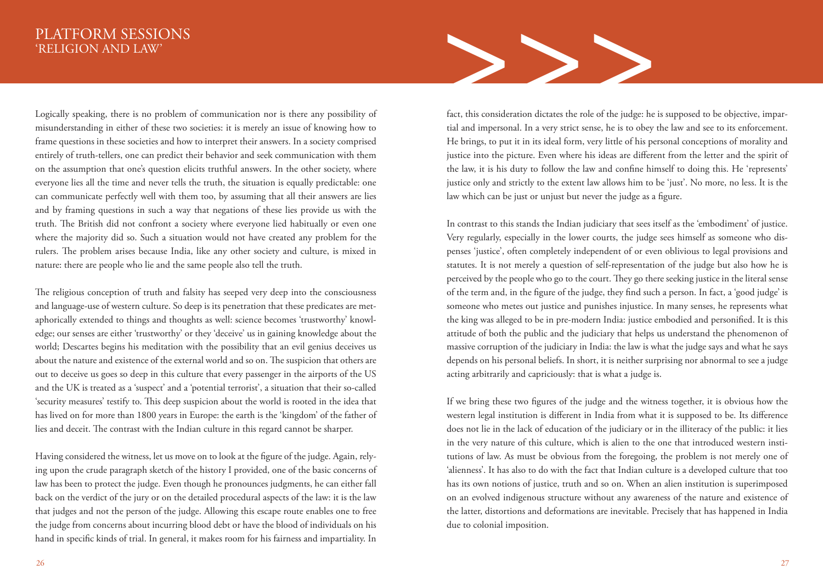Logically speaking, there is no problem of communication nor is there any possibility of misunderstanding in either of these two societies: it is merely an issue of knowing how to frame questions in these societies and how to interpret their answers. In a society comprised entirely of truth-tellers, one can predict their behavior and seek communication with them on the assumption that one's question elicits truthful answers. In the other society, where everyone lies all the time and never tells the truth, the situation is equally predictable: one can communicate perfectly well with them too, by assuming that all their answers are lies and by framing questions in such a way that negations of these lies provide us with the truth. The British did not confront a society where everyone lied habitually or even one where the majority did so. Such a situation would not have created any problem for the rulers. The problem arises because India, like any other society and culture, is mixed in nature: there are people who lie and the same people also tell the truth.

The religious conception of truth and falsity has seeped very deep into the consciousness and language-use of western culture. So deep is its penetration that these predicates are metaphorically extended to things and thoughts as well: science becomes 'trustworthy' knowledge; our senses are either 'trustworthy' or they 'deceive' us in gaining knowledge about the world; Descartes begins his meditation with the possibility that an evil genius deceives us about the nature and existence of the external world and so on. The suspicion that others are out to deceive us goes so deep in this culture that every passenger in the airports of the US and the UK is treated as a 'suspect' and a 'potential terrorist', a situation that their so-called 'security measures' testify to. This deep suspicion about the world is rooted in the idea that has lived on for more than 1800 years in Europe: the earth is the 'kingdom' of the father of lies and deceit. The contrast with the Indian culture in this regard cannot be sharper.

Having considered the witness, let us move on to look at the figure of the judge. Again, relying upon the crude paragraph sketch of the history I provided, one of the basic concerns of law has been to protect the judge. Even though he pronounces judgments, he can either fall back on the verdict of the jury or on the detailed procedural aspects of the law: it is the law that judges and not the person of the judge. Allowing this escape route enables one to free the judge from concerns about incurring blood debt or have the blood of individuals on his hand in specific kinds of trial. In general, it makes room for his fairness and impartiality. In



fact, this consideration dictates the role of the judge: he is supposed to be objective, impartial and impersonal. In a very strict sense, he is to obey the law and see to its enforcement. He brings, to put it in its ideal form, very little of his personal conceptions of morality and justice into the picture. Even where his ideas are different from the letter and the spirit of the law, it is his duty to follow the law and confine himself to doing this. He 'represents' justice only and strictly to the extent law allows him to be 'just'. No more, no less. It is the law which can be just or unjust but never the judge as a figure.

In contrast to this stands the Indian judiciary that sees itself as the 'embodiment' of justice. Very regularly, especially in the lower courts, the judge sees himself as someone who dispenses 'justice', often completely independent of or even oblivious to legal provisions and statutes. It is not merely a question of self-representation of the judge but also how he is perceived by the people who go to the court. They go there seeking justice in the literal sense of the term and, in the figure of the judge, they find such a person. In fact, a 'good judge' is someone who metes out justice and punishes injustice. In many senses, he represents what the king was alleged to be in pre-modern India: justice embodied and personified. It is this attitude of both the public and the judiciary that helps us understand the phenomenon of massive corruption of the judiciary in India: the law is what the judge says and what he says depends on his personal beliefs. In short, it is neither surprising nor abnormal to see a judge acting arbitrarily and capriciously: that is what a judge is.

If we bring these two figures of the judge and the witness together, it is obvious how the western legal institution is different in India from what it is supposed to be. Its difference does not lie in the lack of education of the judiciary or in the illiteracy of the public: it lies in the very nature of this culture, which is alien to the one that introduced western institutions of law. As must be obvious from the foregoing, the problem is not merely one of 'alienness'. It has also to do with the fact that Indian culture is a developed culture that too has its own notions of justice, truth and so on. When an alien institution is superimposed on an evolved indigenous structure without any awareness of the nature and existence of the latter, distortions and deformations are inevitable. Precisely that has happened in India due to colonial imposition.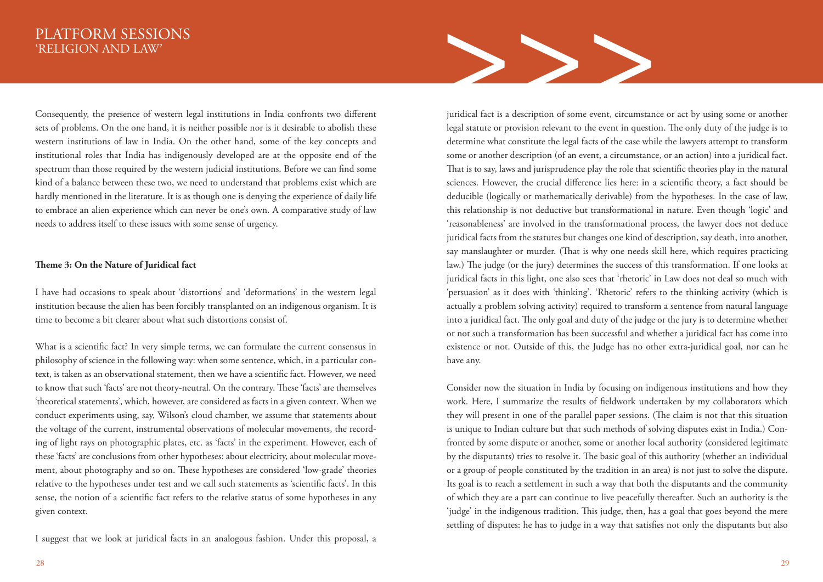Consequently, the presence of western legal institutions in India confronts two different sets of problems. On the one hand, it is neither possible nor is it desirable to abolish these western institutions of law in India. On the other hand, some of the key concepts and institutional roles that India has indigenously developed are at the opposite end of the spectrum than those required by the western judicial institutions. Before we can find some kind of a balance between these two, we need to understand that problems exist which are hardly mentioned in the literature. It is as though one is denying the experience of daily life to embrace an alien experience which can never be one's own. A comparative study of law needs to address itself to these issues with some sense of urgency.

### **Theme 3: On the Nature of Juridical fact**

I have had occasions to speak about 'distortions' and 'deformations' in the western legal institution because the alien has been forcibly transplanted on an indigenous organism. It is time to become a bit clearer about what such distortions consist of.

What is a scientific fact? In very simple terms, we can formulate the current consensus in philosophy of science in the following way: when some sentence, which, in a particular context, is taken as an observational statement, then we have a scientific fact. However, we need to know that such 'facts' are not theory-neutral. On the contrary. These 'facts' are themselves 'theoretical statements', which, however, are considered as facts in a given context. When we conduct experiments using, say, Wilson's cloud chamber, we assume that statements about the voltage of the current, instrumental observations of molecular movements, the recording of light rays on photographic plates, etc. as 'facts' in the experiment. However, each of these 'facts' are conclusions from other hypotheses: about electricity, about molecular movement, about photography and so on. These hypotheses are considered 'low-grade' theories relative to the hypotheses under test and we call such statements as 'scientific facts'. In this sense, the notion of a scientific fact refers to the relative status of some hypotheses in any given context.

I suggest that we look at juridical facts in an analogous fashion. Under this proposal, a



juridical fact is a description of some event, circumstance or act by using some or another legal statute or provision relevant to the event in question. The only duty of the judge is to determine what constitute the legal facts of the case while the lawyers attempt to transform some or another description (of an event, a circumstance, or an action) into a juridical fact. That is to say, laws and jurisprudence play the role that scientific theories play in the natural sciences. However, the crucial difference lies here: in a scientific theory, a fact should be deducible (logically or mathematically derivable) from the hypotheses. In the case of law, this relationship is not deductive but transformational in nature. Even though 'logic' and 'reasonableness' are involved in the transformational process, the lawyer does not deduce juridical facts from the statutes but changes one kind of description, say death, into another, say manslaughter or murder. (That is why one needs skill here, which requires practicing law.) The judge (or the jury) determines the success of this transformation. If one looks at juridical facts in this light, one also sees that 'rhetoric' in Law does not deal so much with 'persuasion' as it does with 'thinking'. 'Rhetoric' refers to the thinking activity (which is actually a problem solving activity) required to transform a sentence from natural language into a juridical fact. The only goal and duty of the judge or the jury is to determine whether or not such a transformation has been successful and whether a juridical fact has come into existence or not. Outside of this, the Judge has no other extra-juridical goal, nor can he have any.

Consider now the situation in India by focusing on indigenous institutions and how they work. Here, I summarize the results of fieldwork undertaken by my collaborators which they will present in one of the parallel paper sessions. (The claim is not that this situation is unique to Indian culture but that such methods of solving disputes exist in India.) Confronted by some dispute or another, some or another local authority (considered legitimate by the disputants) tries to resolve it. The basic goal of this authority (whether an individual or a group of people constituted by the tradition in an area) is not just to solve the dispute. Its goal is to reach a settlement in such a way that both the disputants and the community of which they are a part can continue to live peacefully thereafter. Such an authority is the 'judge' in the indigenous tradition. This judge, then, has a goal that goes beyond the mere settling of disputes: he has to judge in a way that satisfies not only the disputants but also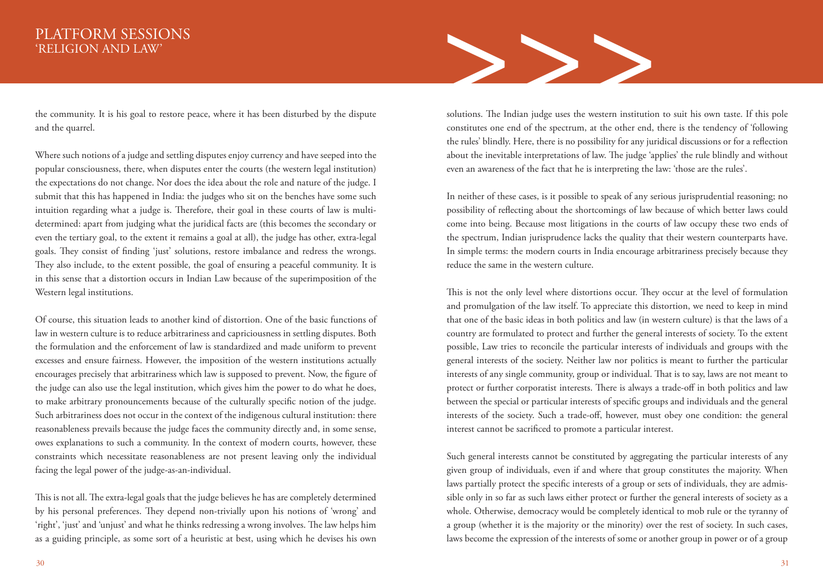the community. It is his goal to restore peace, where it has been disturbed by the dispute and the quarrel.

Where such notions of a judge and settling disputes enjoy currency and have seeped into the popular consciousness, there, when disputes enter the courts (the western legal institution) the expectations do not change. Nor does the idea about the role and nature of the judge. I submit that this has happened in India: the judges who sit on the benches have some such intuition regarding what a judge is. Therefore, their goal in these courts of law is multidetermined: apart from judging what the juridical facts are (this becomes the secondary or even the tertiary goal, to the extent it remains a goal at all), the judge has other, extra-legal goals. They consist of finding 'just' solutions, restore imbalance and redress the wrongs. They also include, to the extent possible, the goal of ensuring a peaceful community. It is in this sense that a distortion occurs in Indian Law because of the superimposition of the Western legal institutions.

Of course, this situation leads to another kind of distortion. One of the basic functions of law in western culture is to reduce arbitrariness and capriciousness in settling disputes. Both the formulation and the enforcement of law is standardized and made uniform to prevent excesses and ensure fairness. However, the imposition of the western institutions actually encourages precisely that arbitrariness which law is supposed to prevent. Now, the figure of the judge can also use the legal institution, which gives him the power to do what he does, to make arbitrary pronouncements because of the culturally specific notion of the judge. Such arbitrariness does not occur in the context of the indigenous cultural institution: there reasonableness prevails because the judge faces the community directly and, in some sense, owes explanations to such a community. In the context of modern courts, however, these constraints which necessitate reasonableness are not present leaving only the individual facing the legal power of the judge-as-an-individual.

This is not all. The extra-legal goals that the judge believes he has are completely determined by his personal preferences. They depend non-trivially upon his notions of 'wrong' and 'right', 'just' and 'unjust' and what he thinks redressing a wrong involves. The law helps him as a guiding principle, as some sort of a heuristic at best, using which he devises his own



solutions. The Indian judge uses the western institution to suit his own taste. If this pole constitutes one end of the spectrum, at the other end, there is the tendency of 'following the rules' blindly. Here, there is no possibility for any juridical discussions or for a reflection about the inevitable interpretations of law. The judge 'applies' the rule blindly and without even an awareness of the fact that he is interpreting the law: 'those are the rules'.

In neither of these cases, is it possible to speak of any serious jurisprudential reasoning; no possibility of reflecting about the shortcomings of law because of which better laws could come into being. Because most litigations in the courts of law occupy these two ends of the spectrum, Indian jurisprudence lacks the quality that their western counterparts have. In simple terms: the modern courts in India encourage arbitrariness precisely because they reduce the same in the western culture.

This is not the only level where distortions occur. They occur at the level of formulation and promulgation of the law itself. To appreciate this distortion, we need to keep in mind that one of the basic ideas in both politics and law (in western culture) is that the laws of a country are formulated to protect and further the general interests of society. To the extent possible, Law tries to reconcile the particular interests of individuals and groups with the general interests of the society. Neither law nor politics is meant to further the particular interests of any single community, group or individual. That is to say, laws are not meant to protect or further corporatist interests. There is always a trade-off in both politics and law between the special or particular interests of specific groups and individuals and the general interests of the society. Such a trade-off, however, must obey one condition: the general interest cannot be sacrificed to promote a particular interest.

Such general interests cannot be constituted by aggregating the particular interests of any given group of individuals, even if and where that group constitutes the majority. When laws partially protect the specific interests of a group or sets of individuals, they are admissible only in so far as such laws either protect or further the general interests of society as a whole. Otherwise, democracy would be completely identical to mob rule or the tyranny of a group (whether it is the majority or the minority) over the rest of society. In such cases, laws become the expression of the interests of some or another group in power or of a group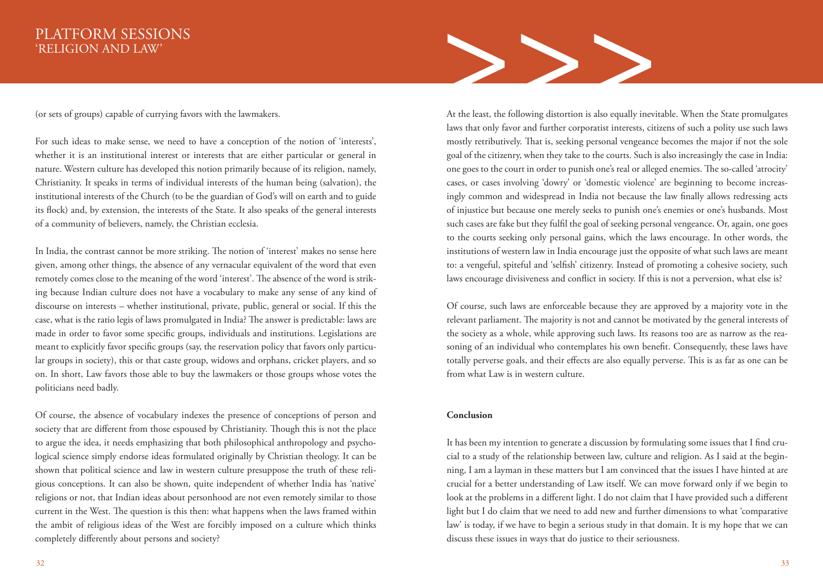(or sets of groups) capable of currying favors with the lawmakers.

For such ideas to make sense, we need to have a conception of the notion of 'interests', whether it is an institutional interest or interests that are either particular or general in nature. Western culture has developed this notion primarily because of its religion, namely, Christianity. It speaks in terms of individual interests of the human being (salvation), the institutional interests of the Church (to be the guardian of God's will on earth and to guide its flock) and, by extension, the interests of the State. It also speaks of the general interests of a community of believers, namely, the Christian ecclesia.

In India, the contrast cannot be more striking. The notion of 'interest' makes no sense here given, among other things, the absence of any vernacular equivalent of the word that even remotely comes close to the meaning of the word 'interest'. The absence of the word is striking because Indian culture does not have a vocabulary to make any sense of any kind of discourse on interests – whether institutional, private, public, general or social. If this the case, what is the ratio legis of laws promulgated in India? The answer is predictable: laws are made in order to favor some specific groups, individuals and institutions. Legislations are meant to explicitly favor specific groups (say, the reservation policy that favors only particular groups in society), this or that caste group, widows and orphans, cricket players, and so on. In short, Law favors those able to buy the lawmakers or those groups whose votes the politicians need badly.

Of course, the absence of vocabulary indexes the presence of conceptions of person and society that are different from those espoused by Christianity. Though this is not the place to argue the idea, it needs emphasizing that both philosophical anthropology and psychological science simply endorse ideas formulated originally by Christian theology. It can be shown that political science and law in western culture presuppose the truth of these religious conceptions. It can also be shown, quite independent of whether India has 'native' religions or not, that Indian ideas about personhood are not even remotely similar to those current in the West. The question is this then: what happens when the laws framed within the ambit of religious ideas of the West are forcibly imposed on a culture which thinks completely differently about persons and society?



Of course, such laws are enforceable because they are approved by a majority vote in the relevant parliament. The majority is not and cannot be motivated by the general interests of the society as a whole, while approving such laws. Its reasons too are as narrow as the reasoning of an individual who contemplates his own benefit. Consequently, these laws have totally perverse goals, and their effects are also equally perverse. This is as far as one can be from what Law is in western culture.

### **Conclusion**

It has been my intention to generate a discussion by formulating some issues that I find crucial to a study of the relationship between law, culture and religion. As I said at the beginning, I am a layman in these matters but I am convinced that the issues I have hinted at are crucial for a better understanding of Law itself. We can move forward only if we begin to look at the problems in a different light. I do not claim that I have provided such a different light but I do claim that we need to add new and further dimensions to what 'comparative law' is today, if we have to begin a serious study in that domain. It is my hope that we can discuss these issues in ways that do justice to their seriousness.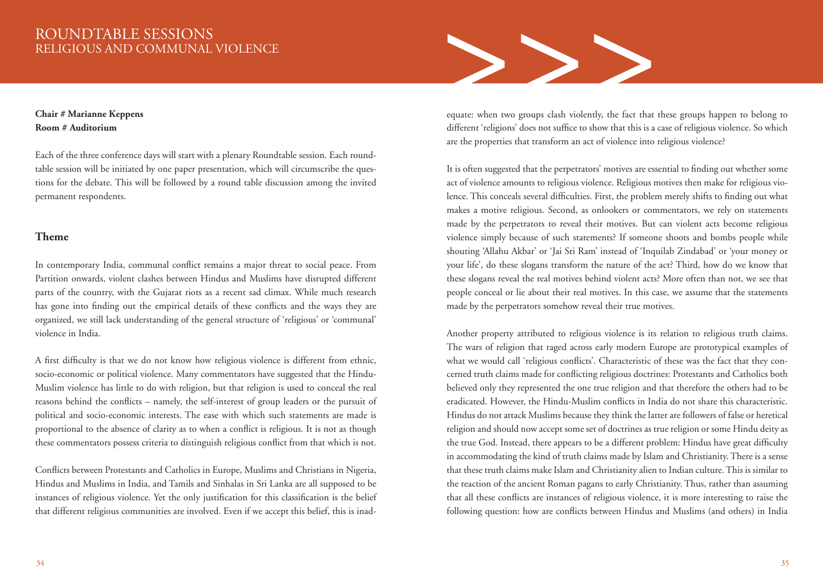# ROUNDTABLE SESSIONS RELIGIOUS AND COMMUNAL VIOLENCE

### **Chair # Marianne Keppens Room # Auditorium**

Each of the three conference days will start with a plenary Roundtable session. Each roundtable session will be initiated by one paper presentation, which will circumscribe the questions for the debate. This will be followed by a round table discussion among the invited permanent respondents.

### **Theme**

In contemporary India, communal conflict remains a major threat to social peace. From Partition onwards, violent clashes between Hindus and Muslims have disrupted different parts of the country, with the Gujarat riots as a recent sad climax. While much research has gone into finding out the empirical details of these conflicts and the ways they are organized, we still lack understanding of the general structure of 'religious' or 'communal' violence in India.

A first difficulty is that we do not know how religious violence is different from ethnic, socio-economic or political violence. Many commentators have suggested that the Hindu-Muslim violence has little to do with religion, but that religion is used to conceal the real reasons behind the conflicts – namely, the self-interest of group leaders or the pursuit of political and socio-economic interests. The ease with which such statements are made is proportional to the absence of clarity as to when a conflict is religious. It is not as though these commentators possess criteria to distinguish religious conflict from that which is not.

Conflicts between Protestants and Catholics in Europe, Muslims and Christians in Nigeria, Hindus and Muslims in India, and Tamils and Sinhalas in Sri Lanka are all supposed to be instances of religious violence. Yet the only justification for this classification is the belief that different religious communities are involved. Even if we accept this belief, this is inad-



equate: when two groups clash violently, the fact that these groups happen to belong to different 'religions' does not suffice to show that this is a case of religious violence. So which are the properties that transform an act of violence into religious violence?

It is often suggested that the perpetrators' motives are essential to finding out whether some act of violence amounts to religious violence. Religious motives then make for religious violence. This conceals several difficulties. First, the problem merely shifts to finding out what makes a motive religious. Second, as onlookers or commentators, we rely on statements made by the perpetrators to reveal their motives. But can violent acts become religious violence simply because of such statements? If someone shoots and bombs people while shouting 'Allahu Akbar' or 'Jai Sri Ram' instead of 'Inquilab Zindabad' or 'your money or your life', do these slogans transform the nature of the act? Third, how do we know that these slogans reveal the real motives behind violent acts? More often than not, we see that people conceal or lie about their real motives. In this case, we assume that the statements made by the perpetrators somehow reveal their true motives.

Another property attributed to religious violence is its relation to religious truth claims. The wars of religion that raged across early modern Europe are prototypical examples of what we would call 'religious conflicts'. Characteristic of these was the fact that they concerned truth claims made for conflicting religious doctrines: Protestants and Catholics both believed only they represented the one true religion and that therefore the others had to be eradicated. However, the Hindu-Muslim conflicts in India do not share this characteristic. Hindus do not attack Muslims because they think the latter are followers of false or heretical religion and should now accept some set of doctrines as true religion or some Hindu deity as the true God. Instead, there appears to be a different problem: Hindus have great difficulty in accommodating the kind of truth claims made by Islam and Christianity. There is a sense that these truth claims make Islam and Christianity alien to Indian culture. This is similar to the reaction of the ancient Roman pagans to early Christianity. Thus, rather than assuming that all these conflicts are instances of religious violence, it is more interesting to raise the following question: how are conflicts between Hindus and Muslims (and others) in India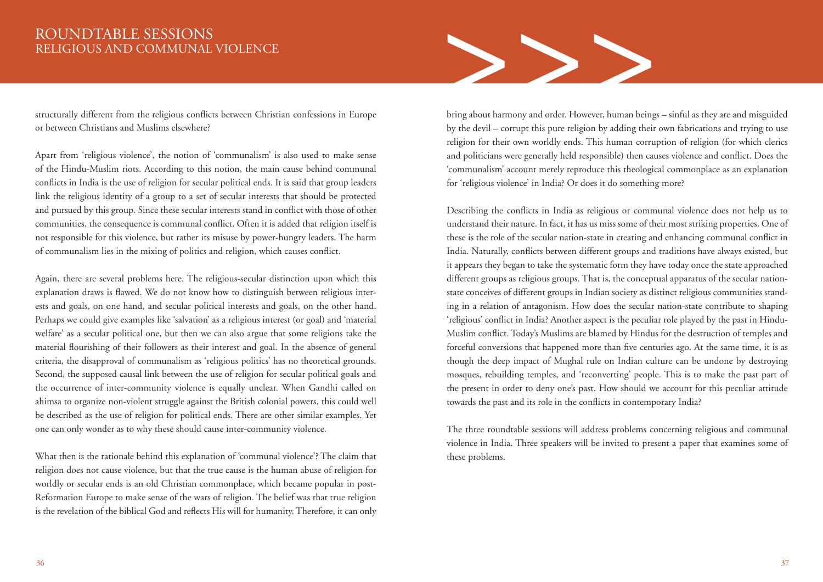# RELIGIOUS AND COMMUNAL VIOLENCE

structurally different from the religious conflicts between Christian confessions in Europe or between Christians and Muslims elsewhere?

Apart from 'religious violence', the notion of 'communalism' is also used to make sense of the Hindu-Muslim riots. According to this notion, the main cause behind communal conflicts in India is the use of religion for secular political ends. It is said that group leaders link the religious identity of a group to a set of secular interests that should be protected and pursued by this group. Since these secular interests stand in conflict with those of other communities, the consequence is communal conflict. Often it is added that religion itself is not responsible for this violence, but rather its misuse by power-hungry leaders. The harm of communalism lies in the mixing of politics and religion, which causes conflict.

Again, there are several problems here. The religious-secular distinction upon which this explanation draws is flawed. We do not know how to distinguish between religious interests and goals, on one hand, and secular political interests and goals, on the other hand. Perhaps we could give examples like 'salvation' as a religious interest (or goal) and 'material welfare' as a secular political one, but then we can also argue that some religions take the material flourishing of their followers as their interest and goal. In the absence of general criteria, the disapproval of communalism as 'religious politics' has no theoretical grounds. Second, the supposed causal link between the use of religion for secular political goals and the occurrence of inter-community violence is equally unclear. When Gandhi called on ahimsa to organize non-violent struggle against the British colonial powers, this could well be described as the use of religion for political ends. There are other similar examples. Yet one can only wonder as to why these should cause inter-community violence.

What then is the rationale behind this explanation of 'communal violence'? The claim that religion does not cause violence, but that the true cause is the human abuse of religion for worldly or secular ends is an old Christian commonplace, which became popular in post-Reformation Europe to make sense of the wars of religion. The belief was that true religion is the revelation of the biblical God and reflects His will for humanity. Therefore, it can only



bring about harmony and order. However, human beings – sinful as they are and misguided by the devil – corrupt this pure religion by adding their own fabrications and trying to use religion for their own worldly ends. This human corruption of religion (for which clerics and politicians were generally held responsible) then causes violence and conflict. Does the 'communalism' account merely reproduce this theological commonplace as an explanation for 'religious violence' in India? Or does it do something more?

Describing the conflicts in India as religious or communal violence does not help us to understand their nature. In fact, it has us miss some of their most striking properties. One of these is the role of the secular nation-state in creating and enhancing communal conflict in India. Naturally, conflicts between different groups and traditions have always existed, but it appears they began to take the systematic form they have today once the state approached different groups as religious groups. That is, the conceptual apparatus of the secular nationstate conceives of different groups in Indian society as distinct religious communities standing in a relation of antagonism. How does the secular nation-state contribute to shaping 'religious' conflict in India? Another aspect is the peculiar role played by the past in Hindu-Muslim conflict. Today's Muslims are blamed by Hindus for the destruction of temples and forceful conversions that happened more than five centuries ago. At the same time, it is as though the deep impact of Mughal rule on Indian culture can be undone by destroying mosques, rebuilding temples, and 'reconverting' people. This is to make the past part of the present in order to deny one's past. How should we account for this peculiar attitude towards the past and its role in the conflicts in contemporary India?

The three roundtable sessions will address problems concerning religious and communal violence in India. Three speakers will be invited to present a paper that examines some of these problems.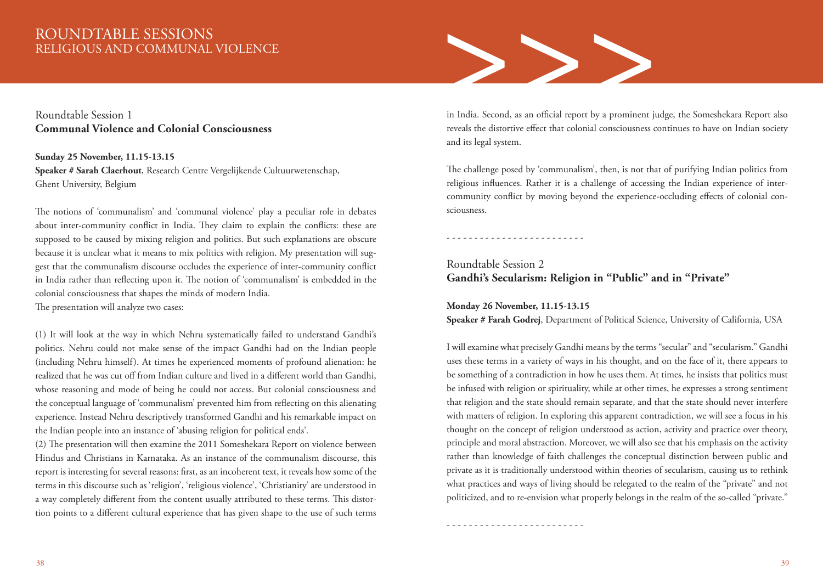# ROUNDTABLE SESSIONS RELIGIOUS AND COMMUNAL VIOLENCE

### Roundtable Session 1 **Communal Violence and Colonial Consciousness**

**Sunday 25 November, 11.15-13.15 Speaker # Sarah Claerhout**, Research Centre Vergelijkende Cultuurwetenschap, Ghent University, Belgium

The notions of 'communalism' and 'communal violence' play a peculiar role in debates about inter-community conflict in India. They claim to explain the conflicts: these are supposed to be caused by mixing religion and politics. But such explanations are obscure because it is unclear what it means to mix politics with religion. My presentation will suggest that the communalism discourse occludes the experience of inter-community conflict in India rather than reflecting upon it. The notion of 'communalism' is embedded in the colonial consciousness that shapes the minds of modern India.

The presentation will analyze two cases:

(1) It will look at the way in which Nehru systematically failed to understand Gandhi's politics. Nehru could not make sense of the impact Gandhi had on the Indian people (including Nehru himself). At times he experienced moments of profound alienation: he realized that he was cut off from Indian culture and lived in a different world than Gandhi, whose reasoning and mode of being he could not access. But colonial consciousness and the conceptual language of 'communalism' prevented him from reflecting on this alienating experience. Instead Nehru descriptively transformed Gandhi and his remarkable impact on the Indian people into an instance of 'abusing religion for political ends'.

(2) The presentation will then examine the 2011 Someshekara Report on violence between Hindus and Christians in Karnataka. As an instance of the communalism discourse, this report is interesting for several reasons: first, as an incoherent text, it reveals how some of the terms in this discourse such as 'religion', 'religious violence', 'Christianity' are understood in a way completely different from the content usually attributed to these terms. This distortion points to a different cultural experience that has given shape to the use of such terms



in India. Second, as an official report by a prominent judge, the Someshekara Report also reveals the distortive effect that colonial consciousness continues to have on Indian society and its legal system.

The challenge posed by 'communalism', then, is not that of purifying Indian politics from religious influences. Rather it is a challenge of accessing the Indian experience of intercommunity conflict by moving beyond the experience-occluding effects of colonial consciousness.

- - - - - - - - - - - - - - - - - - - - - - - - -

Roundtable Session 2 **Gandhi's Secularism: Religion in "Public" and in "Private"** 

**Monday 26 November, 11.15-13.15**

- - - - - - - - - - - - - - - - - - - - - - - - -

**Speaker # Farah Godrej**, Department of Political Science, University of California, USA

I will examine what precisely Gandhi means by the terms "secular" and "secularism." Gandhi uses these terms in a variety of ways in his thought, and on the face of it, there appears to be something of a contradiction in how he uses them. At times, he insists that politics must be infused with religion or spirituality, while at other times, he expresses a strong sentiment that religion and the state should remain separate, and that the state should never interfere with matters of religion. In exploring this apparent contradiction, we will see a focus in his thought on the concept of religion understood as action, activity and practice over theory, principle and moral abstraction. Moreover, we will also see that his emphasis on the activity rather than knowledge of faith challenges the conceptual distinction between public and private as it is traditionally understood within theories of secularism, causing us to rethink what practices and ways of living should be relegated to the realm of the "private" and not politicized, and to re-envision what properly belongs in the realm of the so-called "private."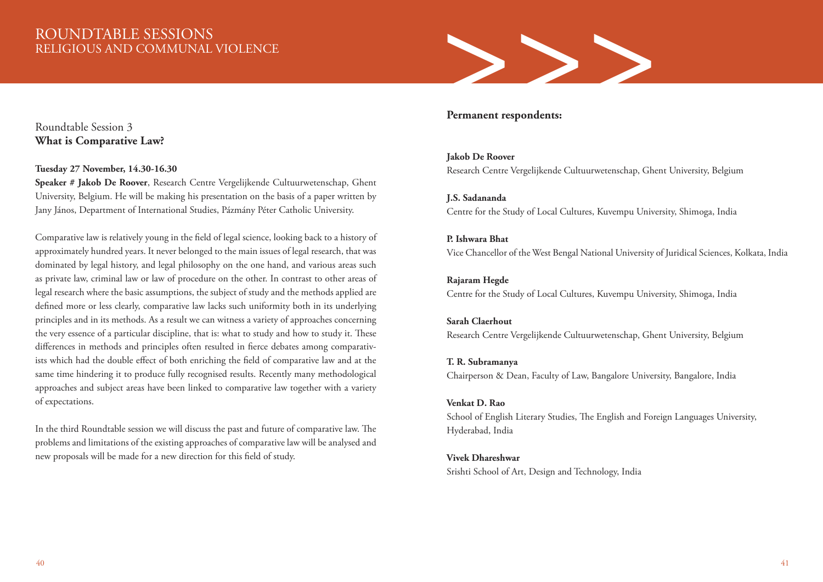# ROUNDTABLE SESSIONS RELIGIOUS AND COMMUNAL VIOLENCE

# >>>

### Roundtable Session 3 **What is Comparative Law?**

### **Tuesday 27 November, 14.30-16.30**

**Speaker # Jakob De Roover**, Research Centre Vergelijkende Cultuurwetenschap, Ghent University, Belgium. He will be making his presentation on the basis of a paper written by Jany János, Department of International Studies, Pázmány Péter Catholic University.

Comparative law is relatively young in the field of legal science, looking back to a history of approximately hundred years. It never belonged to the main issues of legal research, that was dominated by legal history, and legal philosophy on the one hand, and various areas such as private law, criminal law or law of procedure on the other. In contrast to other areas of legal research where the basic assumptions, the subject of study and the methods applied are defined more or less clearly, comparative law lacks such uniformity both in its underlying principles and in its methods. As a result we can witness a variety of approaches concerning the very essence of a particular discipline, that is: what to study and how to study it. These differences in methods and principles often resulted in fierce debates among comparativists which had the double effect of both enriching the field of comparative law and at the same time hindering it to produce fully recognised results. Recently many methodological approaches and subject areas have been linked to comparative law together with a variety of expectations.

In the third Roundtable session we will discuss the past and future of comparative law. The problems and limitations of the existing approaches of comparative law will be analysed and new proposals will be made for a new direction for this field of study.

### **Permanent respondents:**

**Jakob De Roover** Research Centre Vergelijkende Cultuurwetenschap, Ghent University, Belgium

**J.S. Sadananda** Centre for the Study of Local Cultures, Kuvempu University, Shimoga, India

**P. Ishwara Bhat** Vice Chancellor of the West Bengal National University of Juridical Sciences, Kolkata, India

### **Rajaram Hegde**

Centre for the Study of Local Cultures, Kuvempu University, Shimoga, India

### **Sarah Claerhout**

Research Centre Vergelijkende Cultuurwetenschap, Ghent University, Belgium

### **T. R. Subramanya**

Chairperson & Dean, Faculty of Law, Bangalore University, Bangalore, India

### **Venkat D. Rao**

School of English Literary Studies, The English and Foreign Languages University, Hyderabad, India

### **Vivek Dhareshwar**

Srishti School of Art, Design and Technology, India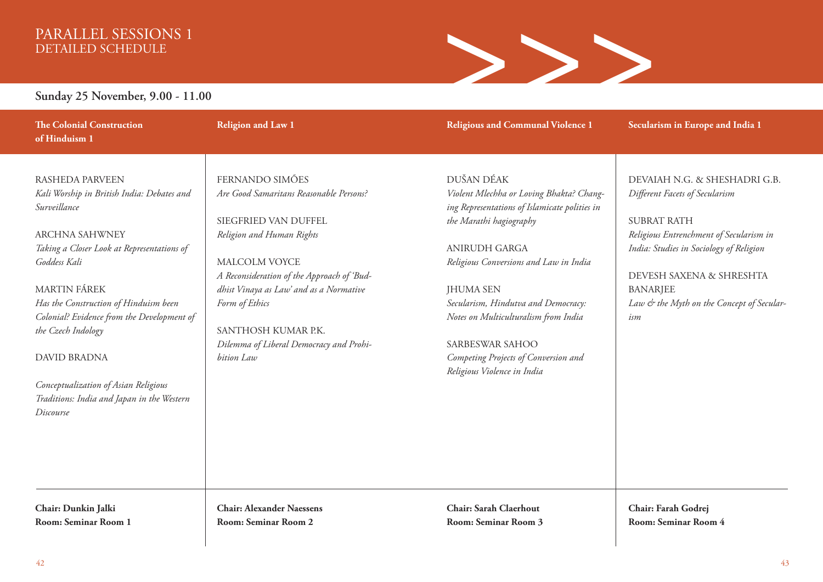# PARALLEL SESSIONS 1 DETAILED SCHEDULE



### **Sunday 25 November, 9.00 - 11.00**

**of Hinduism 1** RASHEDA PARVEEN

**The Colonial Construction** 

*Kali Worship in British India: Debates and Surveillance*

ARCHNA SAHWNEY *Taking a Closer Look at Representations of Goddess Kali*

MARTIN FÁREK

*Has the Construction of Hinduism been Colonial? Evidence from the Development of the Czech Indology*

DAVID BRADNA

*Conceptualization of Asian Religious Traditions: India and Japan in the Western Discourse*

FERNANDO SIMÕES *Are Good Samaritans Reasonable Persons?*

SIEGFRIED VAN DUFFEL *Religion and Human Rights* 

**Religion and Law 1**

MALCOLM VOYCE *A Reconsideration of the Approach of 'Buddhist Vinaya as Law' and as a Normative Form of Ethics*

SANTHOSH KUMAR P.K. *Dilemma of Liberal Democracy and Prohibition Law*

**Religious and Communal Violence 1**

**Secularism in Europe and India 1**

DUŠAN DÉAK *Violent Mlechha or Loving Bhakta? Changing Representations of Islamicate polities in the Marathi hagiography*

ANIRUDH GARGA *Religious Conversions and Law in India*

JHUMA SEN *Secularism, Hindutva and Democracy: Notes on Multiculturalism from India* 

SARBESWAR SAHOO *Competing Projects of Conversion and Religious Violence in India*

DEVAIAH N.G. & SHESHADRI G.B. *Different Facets of Secularism*

SUBRAT RATH *Religious Entrenchment of Secularism in India: Studies in Sociology of Religion*

DEVESH SAXENA & SHRESHTA BANARJEE *Law & the Myth on the Concept of Secularism*

**Chair: Dunkin Jalki Room: Seminar Room 1** **Chair: Alexander Naessens Room: Seminar Room 2**

**Chair: Sarah Claerhout Room: Seminar Room 3** **Chair: Farah Godrej Room: Seminar Room 4**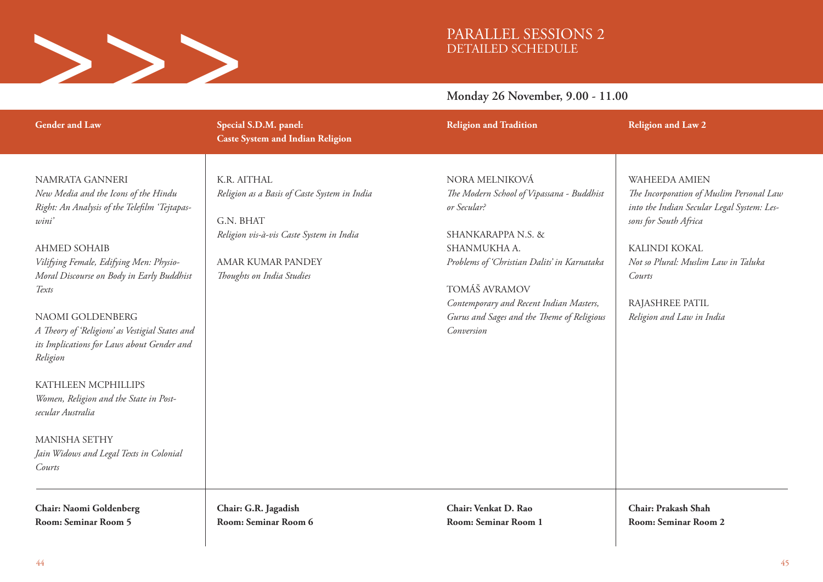

# PARALLEL SESSIONS 2 DETAILED SCHEDULE

### **Monday 26 November, 9.00 - 11.00**

| <b>Gender and Law</b>                                                                                                                                                                                                                                                                                                                                                                                                                                                             | Special S.D.M. panel:<br><b>Caste System and Indian Religion</b>                                                                                                       | <b>Religion and Tradition</b>                                                                                                                                                                                                                                                           | <b>Religion and Law 2</b>                                                                                                                                                                                                                                 |  |
|-----------------------------------------------------------------------------------------------------------------------------------------------------------------------------------------------------------------------------------------------------------------------------------------------------------------------------------------------------------------------------------------------------------------------------------------------------------------------------------|------------------------------------------------------------------------------------------------------------------------------------------------------------------------|-----------------------------------------------------------------------------------------------------------------------------------------------------------------------------------------------------------------------------------------------------------------------------------------|-----------------------------------------------------------------------------------------------------------------------------------------------------------------------------------------------------------------------------------------------------------|--|
| NAMRATA GANNERI<br>New Media and the Icons of the Hindu<br>Right: An Analysis of the Telefilm 'Tejtapas-<br>wini'<br><b>AHMED SOHAIB</b><br>Vilifying Female, Edifying Men: Physio-<br>Moral Discourse on Body in Early Buddhist<br>Texts<br>NAOMI GOLDENBERG<br>A Theory of 'Religions' as Vestigial States and<br>its Implications for Laws about Gender and<br>Religion<br>KATHLEEN MCPHILLIPS<br>Women, Religion and the State in Post-<br>secular Australia<br>MANISHA SETHY | K.R. AITHAL<br>Religion as a Basis of Caste System in India<br>G.N. BHAT<br>Religion vis-à-vis Caste System in India<br>AMAR KUMAR PANDEY<br>Thoughts on India Studies | NORA MELNIKOVÁ<br>The Modern School of Vipassana - Buddhist<br>or Secular?<br>SHANKARAPPA N.S. &<br>SHANMUKHA A.<br>Problems of 'Christian Dalits' in Karnataka<br>TOMÁŠ AVRAMOV<br>Contemporary and Recent Indian Masters,<br>Gurus and Sages and the Theme of Religious<br>Conversion | <b>WAHEEDA AMIEN</b><br>The Incorporation of Muslim Personal Law<br>into the Indian Secular Legal System: Les-<br>sons for South Africa<br>KALINDI KOKAL<br>Not so Plural: Muslim Law in Taluka<br>Courts<br>RAJASHREE PATIL<br>Religion and Law in India |  |
| Jain Widows and Legal Texts in Colonial<br>Courts<br>Chair: Naomi Goldenberg                                                                                                                                                                                                                                                                                                                                                                                                      | Chair: G.R. Jagadish                                                                                                                                                   | Chair: Venkat D. Rao                                                                                                                                                                                                                                                                    | Chair: Prakash Shah                                                                                                                                                                                                                                       |  |
| Room: Seminar Room 5                                                                                                                                                                                                                                                                                                                                                                                                                                                              | Room: Seminar Room 6                                                                                                                                                   | <b>Room: Seminar Room 1</b>                                                                                                                                                                                                                                                             | Room: Seminar Room 2                                                                                                                                                                                                                                      |  |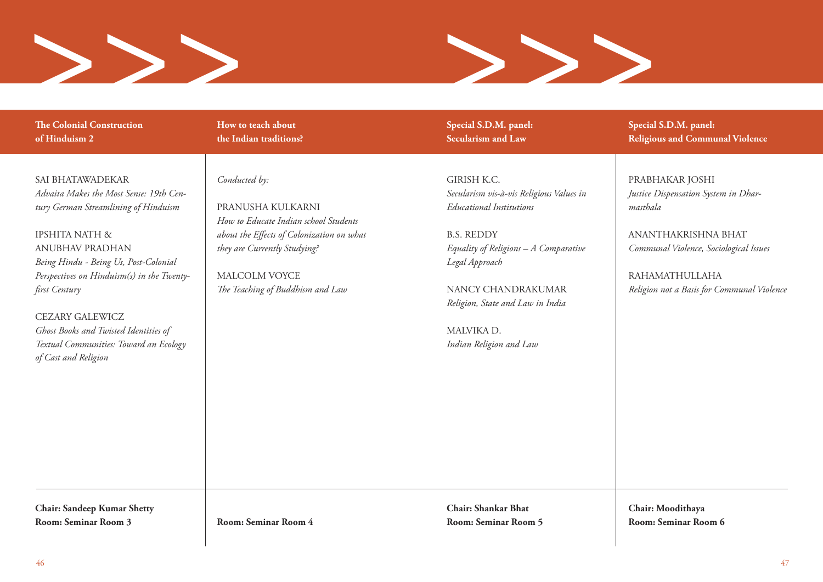



**The Colonial Construction of Hinduism 2** 

SAI BHATAWADEKAR *Advaita Makes the Most Sense: 19th Century German Streamlining of Hinduism* 

IPSHITA NATH & ANUBHAV PRADHAN *Being Hindu - Being Us, Post-Colonial Perspectives on Hinduism(s) in the Twentyfirst Century*

CEZARY GALEWICZ *Ghost Books and Twisted Identities of Textual Communities: Toward an Ecology of Cast and Religion*

**How to teach about the Indian traditions?** 

*Conducted by:* 

PRANUSHA KULKARNI *How to Educate Indian school Students about the Effects of Colonization on what they are Currently Studying?*

MALCOLM VOYCE *The Teaching of Buddhism and Law* **Special S.D.M. panel: Secularism and Law** 

GIRISH K.C. *Secularism vis-à-vis Religious Values in Educational Institutions* 

B.S. REDDY *Equality of Religions – A Comparative Legal Approach*

NANCY CHANDRAKUMAR *Religion, State and Law in India*

MALVIKA D. *Indian Religion and Law*  **Special S.D.M. panel: Religious and Communal Violence** 

PRABHAKAR JOSHI *Justice Dispensation System in Dharmasthala*

ANANTHAKRISHNA BHAT *Communal Violence, Sociological Issues*

RAHAMATHULLAHA *Religion not a Basis for Communal Violence* 

**Chair: Sandeep Kumar Shetty Room: Seminar Room 3**

**Room: Seminar Room 4**

**Chair: Shankar Bhat Room: Seminar Room 5** **Chair: Moodithaya Room: Seminar Room 6**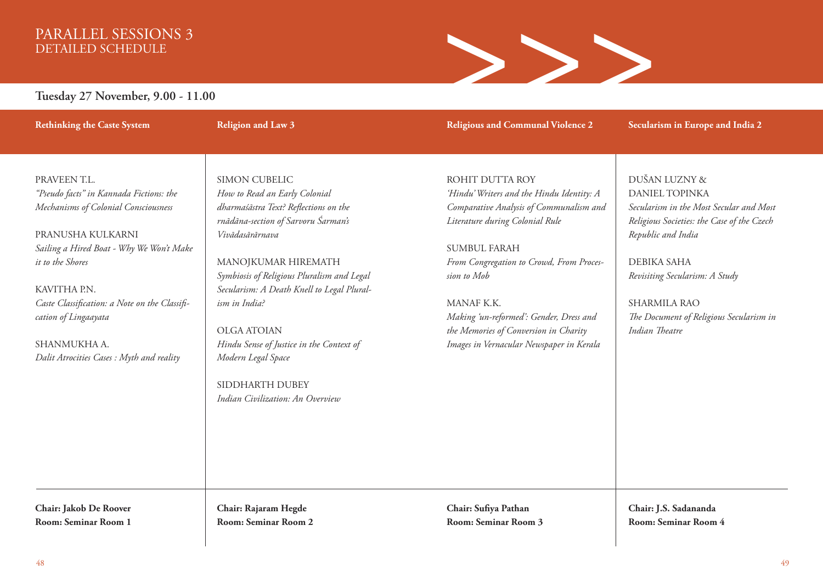# PARALLEL SESSIONS 3 DETAILED SCHEDULE



### **Tuesday 27 November, 9.00 - 11.00**

**Rethinking the Caste System**

**Religion and Law 3**

**Religious and Communal Violence 2**

**Secularism in Europe and India 2** 

### PRAVEEN T.L. *"Pseudo facts" in Kannada Fictions: the Mechanisms of Colonial Consciousness*

### PRANUSHA KULKARNI *Sailing a Hired Boat - Why We Won't Make it to the Shores*

### KAVITHA PN *Caste Classification: a Note on the Classification of Lingaayata*

SHANMUKHA A. *Dalit Atrocities Cases : Myth and reality*

SIMON CUBELIC *How to Read an Early Colonial dharmaśāstra Text? Reflections on the rnādāna-section of Sarvoru Śarman's Vivādasārārnava*

MANOJKUMAR HIREMATH *Symbiosis of Religious Pluralism and Legal Secularism: A Death Knell to Legal Pluralism in India?* 

OLGA ATOIAN *Hindu Sense of Justice in the Context of Modern Legal Space*

SIDDHARTH DUBEY *Indian Civilization: An Overview* ROHIT DUTTA ROY *'Hindu' Writers and the Hindu Identity: A Comparative Analysis of Communalism and Literature during Colonial Rule*

SUMBUL FARAH *From Congregation to Crowd, From Procession to Mob*

MANAF K.K. *Making 'un-reformed': Gender, Dress and the Memories of Conversion in Charity Images in Vernacular Newspaper in Kerala* DUŠAN LUZNY & DANIEL TOPINKA *Secularism in the Most Secular and Most Religious Societies: the Case of the Czech Republic and India*

DEBIKA SAHA *Revisiting Secularism: A Study*

SHARMILA RAO *The Document of Religious Secularism in Indian Theatre*

**Chair: Jakob De Roover Room: Seminar Room 1** **Chair: Rajaram Hegde Room: Seminar Room 2** **Chair: Sufiya Pathan Room: Seminar Room 3** **Chair: J.S. Sadananda Room: Seminar Room 4**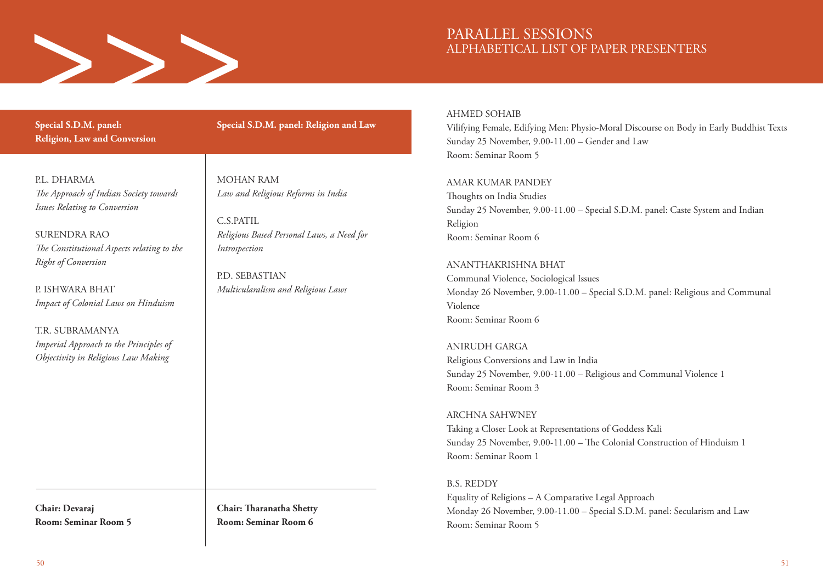

**Special S.D.M. panel: Religion, Law and Conversion**

P.L. DHARMA *The Approach of Indian Society towards Issues Relating to Conversion*

SURENDRA RAO *The Constitutional Aspects relating to the Right of Conversion*

P. ISHWARA BHAT *Impact of Colonial Laws on Hinduism*

TR SUBRAMANYA *Imperial Approach to the Principles of Objectivity in Religious Law Making*

**Chair: Devaraj Room: Seminar Room 5** **Special S.D.M. panel: Religion and Law** 

MOHAN RAM *Law and Religious Reforms in India* 

C.S.PATIL *Religious Based Personal Laws, a Need for Introspection*

P.D. SEBASTIAN *Multicularalism and Religious Laws* 

**Chair: Tharanatha Shetty Room: Seminar Room 6**

AHMED SOHAIB

Vilifying Female, Edifying Men: Physio-Moral Discourse on Body in Early Buddhist Texts Sunday 25 November, 9.00-11.00 – Gender and Law Room: Seminar Room 5

AMAR KUMAR PANDEY Thoughts on India Studies Sunday 25 November, 9.00-11.00 – Special S.D.M. panel: Caste System and Indian Religion Room: Seminar Room 6

ANANTHAKRISHNA BHAT Communal Violence, Sociological Issues Monday 26 November, 9.00‐11.00 – Special S.D.M. panel: Religious and Communal Violence Room: Seminar Room 6

ANIRUDH GARGA Religious Conversions and Law in India Sunday 25 November, 9.00-11.00 – Religious and Communal Violence 1 Room: Seminar Room 3

ARCHNA SAHWNEY Taking a Closer Look at Representations of Goddess Kali Sunday 25 November, 9.00-11.00 – The Colonial Construction of Hinduism 1 Room: Seminar Room 1

B.S. REDDY Equality of Religions – A Comparative Legal Approach Monday 26 November, 9.00‐11.00 – Special S.D.M. panel: Secularism and Law Room: Seminar Room 5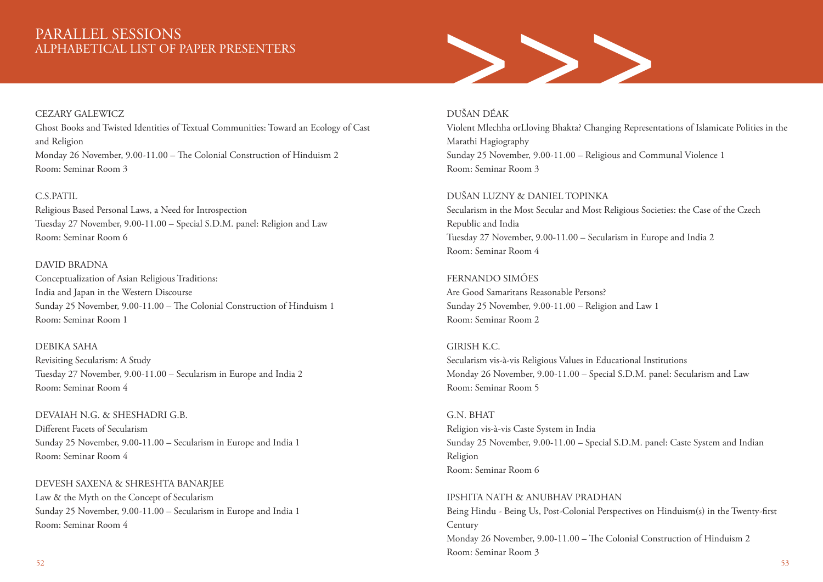### CEZARY GALEWICZ

Ghost Books and Twisted Identities of Textual Communities: Toward an Ecology of Cast and Religion Monday 26 November, 9.00‐11.00 – The Colonial Construction of Hinduism 2 Room: Seminar Room 3

### C.S.PATIL

Religious Based Personal Laws, a Need for Introspection Tuesday 27 November, 9.00‐11.00 – Special S.D.M. panel: Religion and Law Room: Seminar Room 6

### DAVID BRADNA

Conceptualization of Asian Religious Traditions: India and Japan in the Western Discourse Sunday 25 November, 9.00-11.00 – The Colonial Construction of Hinduism 1 Room: Seminar Room 1

DEBIKA SAHA Revisiting Secularism: A Study Tuesday 27 November, 9.00‐11.00 – Secularism in Europe and India 2 Room: Seminar Room 4

DEVAIAH N.G. & SHESHADRI G.B. Different Facets of Secularism Sunday 25 November, 9.00-11.00 – Secularism in Europe and India 1 Room: Seminar Room 4

DEVESH SAXENA & SHRESHTA BANARJEE Law & the Myth on the Concept of Secularism Sunday 25 November, 9.00-11.00 – Secularism in Europe and India 1 Room: Seminar Room 4



### DUŠAN DÉAK

Violent Mlechha orLloving Bhakta? Changing Representations of Islamicate Polities in the Marathi Hagiography Sunday 25 November, 9.00-11.00 – Religious and Communal Violence 1 Room: Seminar Room 3

DUŠAN LUZNY & DANIEL TOPINKA Secularism in the Most Secular and Most Religious Societies: the Case of the Czech Republic and India Tuesday 27 November, 9.00‐11.00 – Secularism in Europe and India 2 Room: Seminar Room 4

FERNANDO SIMÕES Are Good Samaritans Reasonable Persons? Sunday 25 November, 9.00-11.00 – Religion and Law 1 Room: Seminar Room 2

GIRISH K.C. Secularism vis-à-vis Religious Values in Educational Institutions Monday 26 November, 9.00‐11.00 – Special S.D.M. panel: Secularism and Law Room: Seminar Room 5

G.N. BHAT Religion vis-à-vis Caste System in India Sunday 25 November, 9.00-11.00 – Special S.D.M. panel: Caste System and Indian Religion Room: Seminar Room 6

IPSHITA NATH & ANUBHAV PRADHAN Being Hindu - Being Us, Post-Colonial Perspectives on Hinduism(s) in the Twenty-first Century Monday 26 November, 9.00‐11.00 – The Colonial Construction of Hinduism 2 Room: Seminar Room 3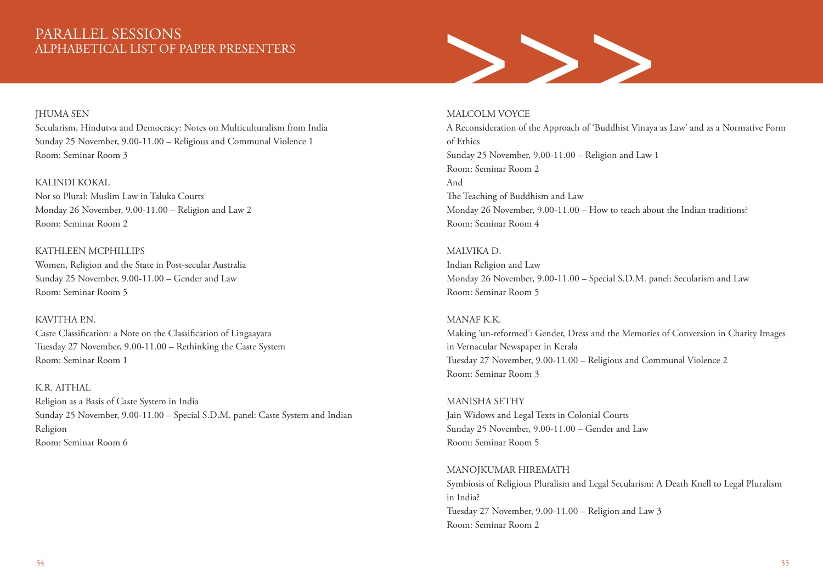# PARALLEL SESSIONS<br>ALPHABETICAL LIST OF PAPER PRESENTERS<br>Secularism, Hindutva and Democracy: Notes on Multiculturalism from India<br>A Reconsideration of the Approach of 'Buddhist Vinaya

### JHUMA SEN

Secularism, Hindutva and Democracy: Notes on Multiculturalism from India Sunday 25 November, 9.00-11.00 – Religious and Communal Violence 1 Room: Seminar Room 3

### KALINDI KOKAL

Not so Plural: Muslim Law in Taluka Courts Monday 26 November, 9.00‐11.00 – Religion and Law 2 Room: Seminar Room 2

### KATHLEEN MCPHILLIPS

Women, Religion and the State in Post-secular Australia Sunday 25 November, 9.00-11.00 – Gender and Law Room: Seminar Room 5

### KAVITHA P.N.

Caste Classification: a Note on the Classification of Lingaayata Tuesday 27 November, 9.00‐11.00 – Rethinking the Caste System Room: Seminar Room 1

# K.R. AITHAL

Religion as a Basis of Caste System in India Sunday 25 November, 9.00-11.00 – Special S.D.M. panel: Caste System and Indian Religion Room: Seminar Room 6

### MALCOLM VOYCE

A Reconsideration of the Approach of 'Buddhist Vinaya as Law' and as a Normative Form of Ethics Sunday 25 November, 9.00-11.00 – Religion and Law 1 Room: Seminar Room 2 And The Teaching of Buddhism and Law Monday 26 November, 9.00-11.00 – How to teach about the Indian traditions? Room: Seminar Room 4

### MALVIKA D.

Indian Religion and Law Monday 26 November, 9.00‐11.00 – Special S.D.M. panel: Secularism and Law Room: Seminar Room 5

### MANAF K.K.

Making 'un-reformed': Gender, Dress and the Memories of Conversion in Charity Images in Vernacular Newspaper in Kerala Tuesday 27 November, 9.00‐11.00 – Religious and Communal Violence 2 Room: Seminar Room 3

### MANISHA SETHY Jain Widows and Legal Texts in Colonial Courts Sunday 25 November, 9.00-11.00 – Gender and Law Room: Seminar Room 5

### MANOJKUMAR HIREMATH Symbiosis of Religious Pluralism and Legal Secularism: A Death Knell to Legal Pluralism in India? Tuesday 27 November, 9.00‐11.00 – Religion and Law 3 Room: Seminar Room 2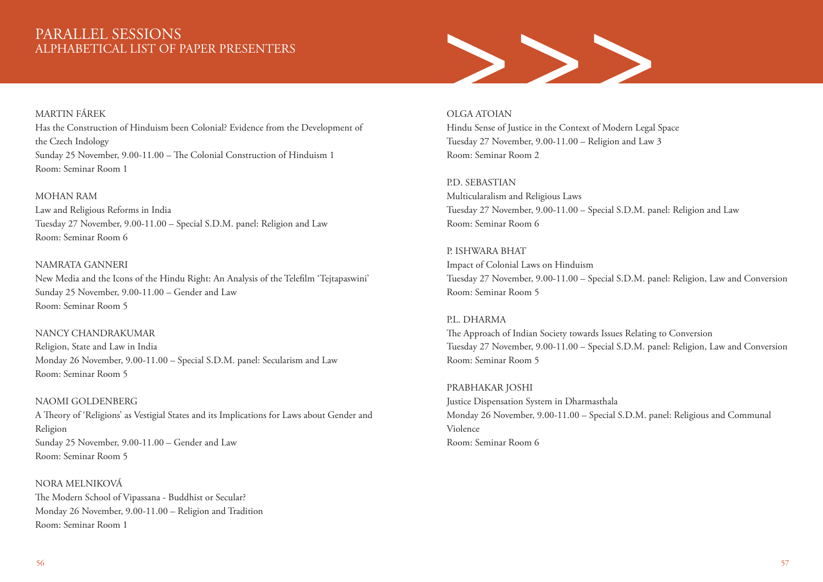# >>>

### MARTIN FÁREK

Has the Construction of Hinduism been Colonial? Evidence from the Development of the Czech Indology Sunday 25 November, 9.00-11.00 – The Colonial Construction of Hinduism 1 Room: Seminar Room 1

### MOHAN RAM

Law and Religious Reforms in India Tuesday 27 November, 9.00‐11.00 – Special S.D.M. panel: Religion and Law Room: Seminar Room 6

### NAMRATA GANNERI

New Media and the Icons of the Hindu Right: An Analysis of the Telefilm 'Tejtapaswini' Sunday 25 November, 9.00-11.00 – Gender and Law Room: Seminar Room 5

### NANCY CHANDRAKUMAR

Religion, State and Law in India Monday 26 November, 9.00‐11.00 – Special S.D.M. panel: Secularism and Law Room: Seminar Room 5

### NAOMI GOI DENBERG

A Theory of 'Religions' as Vestigial States and its Implications for Laws about Gender and Religion Sunday 25 November, 9.00-11.00 – Gender and Law Room: Seminar Room 5

NORA MELNIKOVÁ The Modern School of Vipassana - Buddhist or Secular? Monday 26 November, 9.00‐11.00 – Religion and Tradition Room: Seminar Room 1

### OLGA ATOIAN

Hindu Sense of Justice in the Context of Modern Legal Space Tuesday 27 November, 9.00‐11.00 – Religion and Law 3 Room: Seminar Room 2

P.D. SEBASTIAN Multicularalism and Religious Laws Tuesday 27 November, 9.00‐11.00 – Special S.D.M. panel: Religion and Law Room: Seminar Room 6

P. ISHWARA BHAT Impact of Colonial Laws on Hinduism Tuesday 27 November, 9.00‐11.00 – Special S.D.M. panel: Religion, Law and Conversion Room: Seminar Room 5

# P.L. DHARMA

The Approach of Indian Society towards Issues Relating to Conversion Tuesday 27 November, 9.00‐11.00 – Special S.D.M. panel: Religion, Law and Conversion Room: Seminar Room 5

PRABHAKAR JOSHI Justice Dispensation System in Dharmasthala Monday 26 November, 9.00‐11.00 – Special S.D.M. panel: Religious and Communal Violence Room: Seminar Room 6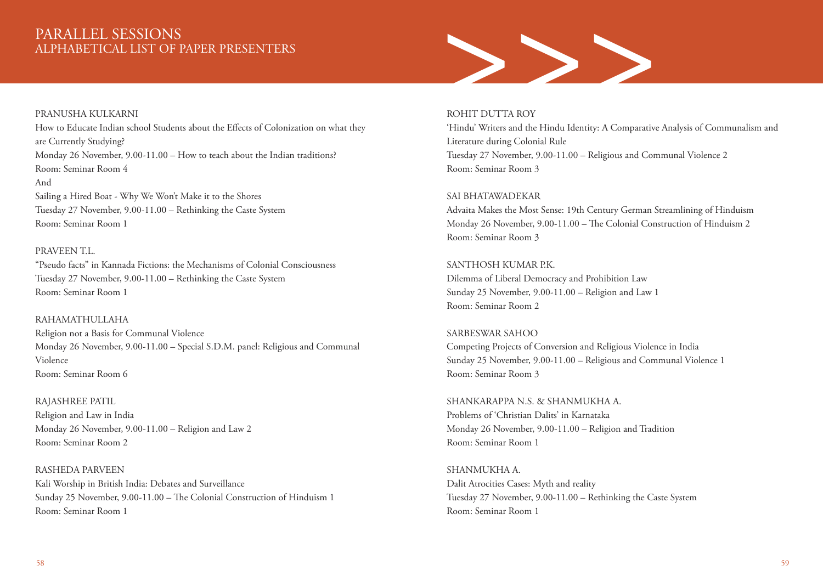### PRANUSHA KULKARNI

How to Educate Indian school Students about the Effects of Colonization on what they are Currently Studying? Monday 26 November, 9.00‐11.00 – How to teach about the Indian traditions? Room: Seminar Room 4 And Sailing a Hired Boat - Why We Won't Make it to the Shores Tuesday 27 November, 9.00‐11.00 – Rethinking the Caste System

Room: Seminar Room 1

### PRAVEEN T.L.

"Pseudo facts" in Kannada Fictions: the Mechanisms of Colonial Consciousness Tuesday 27 November, 9.00‐11.00 – Rethinking the Caste System Room: Seminar Room 1

### RAHAMATHULLAHA

Religion not a Basis for Communal Violence Monday 26 November, 9.00‐11.00 – Special S.D.M. panel: Religious and Communal Violence Room: Seminar Room 6

RAJASHREE PATIL Religion and Law in India Monday 26 November, 9.00‐11.00 – Religion and Law 2 Room: Seminar Room 2

RASHEDA PARVEEN Kali Worship in British India: Debates and Surveillance Sunday 25 November, 9.00-11.00 – The Colonial Construction of Hinduism 1 Room: Seminar Room 1



### ROHIT DUTTA ROY

'Hindu' Writers and the Hindu Identity: A Comparative Analysis of Communalism and Literature during Colonial Rule Tuesday 27 November, 9.00‐11.00 – Religious and Communal Violence 2 Room: Seminar Room 3

### SAI BHATAWADEKAR

Advaita Makes the Most Sense: 19th Century German Streamlining of Hinduism Monday 26 November, 9.00‐11.00 – The Colonial Construction of Hinduism 2 Room: Seminar Room 3

SANTHOSH KUMAR P.K. Dilemma of Liberal Democracy and Prohibition Law Sunday 25 November, 9.00-11.00 – Religion and Law 1 Room: Seminar Room 2

### SARBESWAR SAHOO

Competing Projects of Conversion and Religious Violence in India Sunday 25 November, 9.00-11.00 – Religious and Communal Violence 1 Room: Seminar Room 3

SHANKARAPPA N.S. & SHANMUKHA A. Problems of 'Christian Dalits' in Karnataka Monday 26 November, 9.00‐11.00 – Religion and Tradition Room: Seminar Room 1

SHANMUKHA A. Dalit Atrocities Cases: Myth and reality Tuesday 27 November, 9.00‐11.00 – Rethinking the Caste System Room: Seminar Room 1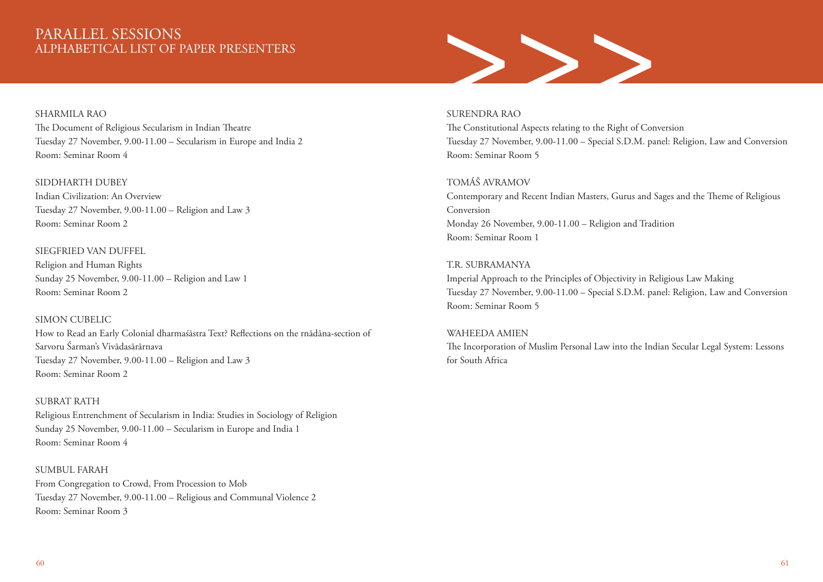# >>>

### SHARMILA RAO

The Document of Religious Secularism in Indian Theatre Tuesday 27 November, 9.00‐11.00 – Secularism in Europe and India 2 Room: Seminar Room 4

### SIDDHARTH DUBEY

Indian Civilization: An Overview Tuesday 27 November, 9.00‐11.00 – Religion and Law 3 Room: Seminar Room 2

### SIEGFRIED VAN DUFFEL

Religion and Human Rights Sunday 25 November, 9.00-11.00 – Religion and Law 1 Room: Seminar Room 2

### SIMON CUBELIC

How to Read an Early Colonial dharmaśāstra Text? Reflections on the rnādāna-section of Sarvoru Śarman's Vivādasārārnava Tuesday 27 November, 9.00‐11.00 – Religion and Law 3 Room: Seminar Room 2

### SUBRAT RATH

Religious Entrenchment of Secularism in India: Studies in Sociology of Religion Sunday 25 November, 9.00-11.00 – Secularism in Europe and India 1 Room: Seminar Room 4

### SUMBUL FARAH

From Congregation to Crowd, From Procession to Mob Tuesday 27 November, 9.00‐11.00 – Religious and Communal Violence 2 Room: Seminar Room 3

### SURENDRA RAO

The Constitutional Aspects relating to the Right of Conversion Tuesday 27 November, 9.00‐11.00 – Special S.D.M. panel: Religion, Law and Conversion Room: Seminar Room 5

### TOMÁŠ AVRAMOV

Contemporary and Recent Indian Masters, Gurus and Sages and the Theme of Religious Conversion Monday 26 November, 9.00‐11.00 – Religion and Tradition Room: Seminar Room 1

### T.R. SUBRAMANYA

Imperial Approach to the Principles of Objectivity in Religious Law Making Tuesday 27 November, 9.00‐11.00 – Special S.D.M. panel: Religion, Law and Conversion Room: Seminar Room 5

### WAHEEDA AMIEN

The Incorporation of Muslim Personal Law into the Indian Secular Legal System: Lessons for South Africa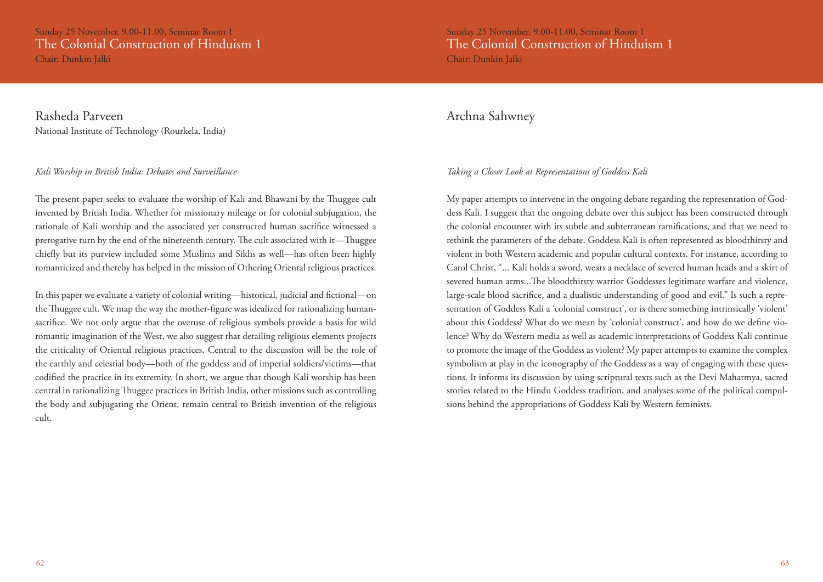Sunday 25 November, 9.00-11.00, Seminar Room 1 The Colonial Construction of Hinduism 1 Chair: Dunkin Jalki

Rasheda Parveen National Institute of Technology (Rourkela, India)

### *Kali Worship in British India: Debates and Surveillance*

The present paper seeks to evaluate the worship of Kali and Bhawani by the Thuggee cult invented by British India. Whether for missionary mileage or for colonial subjugation, the rationale of Kali worship and the associated yet constructed human sacrifice witnessed a prerogative turn by the end of the nineteenth century. The cult associated with it—Thuggee chiefly but its purview included some Muslims and Sikhs as well—has often been highly romanticized and thereby has helped in the mission of Othering Oriental religious practices.

In this paper we evaluate a variety of colonial writing—historical, judicial and fictional—on the Thuggee cult. We map the way the mother-figure was idealized for rationalizing humansacrifice. We not only argue that the overuse of religious symbols provide a basis for wild romantic imagination of the West, we also suggest that detailing religious elements projects the criticality of Oriental religious practices. Central to the discussion will be the role of the earthly and celestial body—both of the goddess and of imperial soldiers/victims—that codified the practice in its extremity. In short, we argue that though Kali worship has been central in rationalizing Thuggee practices in British India, other missions such as controlling the body and subjugating the Orient, remain central to British invention of the religious cult.

Sunday 25 November, 9.00-11.00, Seminar Room 1 The Colonial Construction of Hinduism 1 Chair: Dunkin Jalki

### Archna Sahwney

### *Taking a Closer Look at Representations of Goddess Kali*

My paper attempts to intervene in the ongoing debate regarding the representation of Goddess Kali. I suggest that the ongoing debate over this subject has been constructed through the colonial encounter with its subtle and subterranean ramifications, and that we need to rethink the parameters of the debate. Goddess Kali is often represented as bloodthirsty and violent in both Western academic and popular cultural contexts. For instance, according to Carol Christ, "... Kali holds a sword, wears a necklace of severed human heads and a skirt of severed human arms...The bloodthirsty warrior Goddesses legitimate warfare and violence, large-scale blood sacrifice, and a dualistic understanding of good and evil." Is such a representation of Goddess Kali a 'colonial construct', or is there something intrinsically 'violent' about this Goddess? What do we mean by 'colonial construct', and how do we define violence? Why do Western media as well as academic interpretations of Goddess Kali continue to promote the image of the Goddess as violent? My paper attempts to examine the complex symbolism at play in the iconography of the Goddess as a way of engaging with these questions. It informs its discussion by using scriptural texts such as the Devi Mahatmya, sacred stories related to the Hindu Goddess tradition, and analyses some of the political compulsions behind the appropriations of Goddess Kali by Western feminists.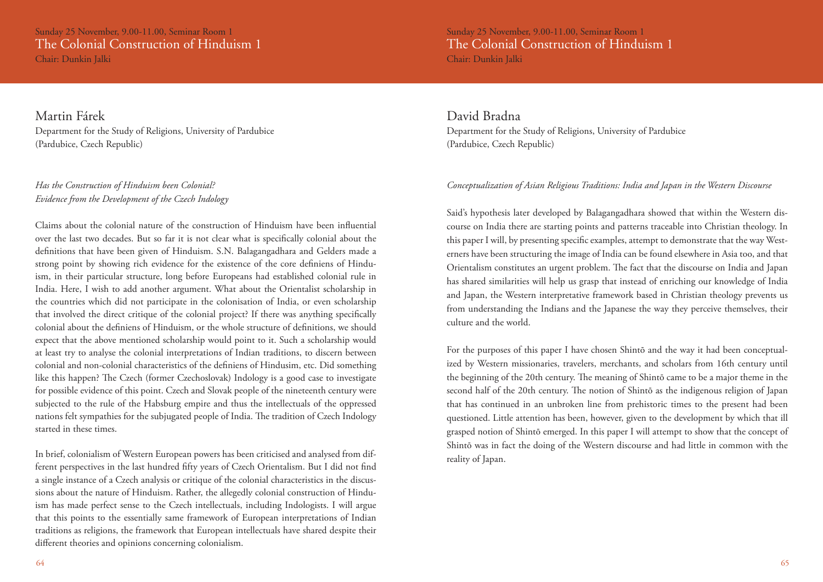Sunday 25 November, 9.00-11.00, Seminar Room 1 The Colonial Construction of Hinduism 1 Chair: Dunkin Jalki

Sunday 25 November, 9.00-11.00, Seminar Room 1 The Colonial Construction of Hinduism 1 Chair: Dunkin Jalki

Martin Fárek Department for the Study of Religions, University of Pardubice (Pardubice, Czech Republic)

### *Has the Construction of Hinduism been Colonial? Evidence from the Development of the Czech Indology*

Claims about the colonial nature of the construction of Hinduism have been influential over the last two decades. But so far it is not clear what is specifically colonial about the definitions that have been given of Hinduism. S.N. Balagangadhara and Gelders made a strong point by showing rich evidence for the existence of the core definiens of Hinduism, in their particular structure, long before Europeans had established colonial rule in India. Here, I wish to add another argument. What about the Orientalist scholarship in the countries which did not participate in the colonisation of India, or even scholarship that involved the direct critique of the colonial project? If there was anything specifically colonial about the definiens of Hinduism, or the whole structure of definitions, we should expect that the above mentioned scholarship would point to it. Such a scholarship would at least try to analyse the colonial interpretations of Indian traditions, to discern between colonial and non-colonial characteristics of the definiens of Hindusim, etc. Did something like this happen? The Czech (former Czechoslovak) Indology is a good case to investigate for possible evidence of this point. Czech and Slovak people of the nineteenth century were subjected to the rule of the Habsburg empire and thus the intellectuals of the oppressed nations felt sympathies for the subjugated people of India. The tradition of Czech Indology started in these times.

In brief, colonialism of Western European powers has been criticised and analysed from different perspectives in the last hundred fifty years of Czech Orientalism. But I did not find a single instance of a Czech analysis or critique of the colonial characteristics in the discussions about the nature of Hinduism. Rather, the allegedly colonial construction of Hinduism has made perfect sense to the Czech intellectuals, including Indologists. I will argue that this points to the essentially same framework of European interpretations of Indian traditions as religions, the framework that European intellectuals have shared despite their different theories and opinions concerning colonialism.

David Bradna Department for the Study of Religions, University of Pardubice (Pardubice, Czech Republic)

### *Conceptualization of Asian Religious Traditions: India and Japan in the Western Discourse*

Said's hypothesis later developed by Balagangadhara showed that within the Western discourse on India there are starting points and patterns traceable into Christian theology. In this paper I will, by presenting specific examples, attempt to demonstrate that the way Westerners have been structuring the image of India can be found elsewhere in Asia too, and that Orientalism constitutes an urgent problem. The fact that the discourse on India and Japan has shared similarities will help us grasp that instead of enriching our knowledge of India and Japan, the Western interpretative framework based in Christian theology prevents us from understanding the Indians and the Japanese the way they perceive themselves, their culture and the world.

For the purposes of this paper I have chosen Shintō and the way it had been conceptualized by Western missionaries, travelers, merchants, and scholars from 16th century until the beginning of the 20th century. The meaning of Shintō came to be a major theme in the second half of the 20th century. The notion of Shintō as the indigenous religion of Japan that has continued in an unbroken line from prehistoric times to the present had been questioned. Little attention has been, however, given to the development by which that ill grasped notion of Shintō emerged. In this paper I will attempt to show that the concept of Shintō was in fact the doing of the Western discourse and had little in common with the reality of Japan.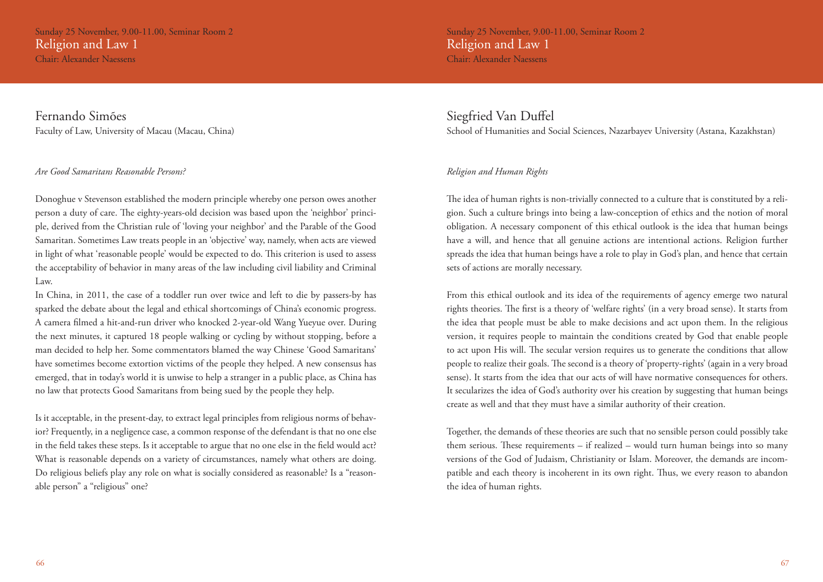Sunday 25 November, 9.00-11.00, Seminar Room 2 Religion and Law 1

Chair: Alexander Naessens

Fernando Simões Faculty of Law, University of Macau (Macau, China)

### *Are Good Samaritans Reasonable Persons?*

Donoghue v Stevenson established the modern principle whereby one person owes another person a duty of care. The eighty-years-old decision was based upon the 'neighbor' principle, derived from the Christian rule of 'loving your neighbor' and the Parable of the Good Samaritan. Sometimes Law treats people in an 'objective' way, namely, when acts are viewed in light of what 'reasonable people' would be expected to do. This criterion is used to assess the acceptability of behavior in many areas of the law including civil liability and Criminal Law.

In China, in 2011, the case of a toddler run over twice and left to die by passers-by has sparked the debate about the legal and ethical shortcomings of China's economic progress. A camera filmed a hit-and-run driver who knocked 2-year-old Wang Yueyue over. During the next minutes, it captured 18 people walking or cycling by without stopping, before a man decided to help her. Some commentators blamed the way Chinese 'Good Samaritans' have sometimes become extortion victims of the people they helped. A new consensus has emerged, that in today's world it is unwise to help a stranger in a public place, as China has no law that protects Good Samaritans from being sued by the people they help.

Is it acceptable, in the present-day, to extract legal principles from religious norms of behavior? Frequently, in a negligence case, a common response of the defendant is that no one else in the field takes these steps. Is it acceptable to argue that no one else in the field would act? What is reasonable depends on a variety of circumstances, namely what others are doing. Do religious beliefs play any role on what is socially considered as reasonable? Is a "reasonable person" a "religious" one?

Sunday 25 November, 9.00-11.00, Seminar Room 2 Religion and Law 1 Chair: Alexander Naessens

### Siegfried Van Duffel

School of Humanities and Social Sciences, Nazarbayev University (Astana, Kazakhstan)

### *Religion and Human Rights*

The idea of human rights is non-trivially connected to a culture that is constituted by a religion. Such a culture brings into being a law-conception of ethics and the notion of moral obligation. A necessary component of this ethical outlook is the idea that human beings have a will, and hence that all genuine actions are intentional actions. Religion further spreads the idea that human beings have a role to play in God's plan, and hence that certain sets of actions are morally necessary.

From this ethical outlook and its idea of the requirements of agency emerge two natural rights theories. The first is a theory of 'welfare rights' (in a very broad sense). It starts from the idea that people must be able to make decisions and act upon them. In the religious version, it requires people to maintain the conditions created by God that enable people to act upon His will. The secular version requires us to generate the conditions that allow people to realize their goals. The second is a theory of 'property-rights' (again in a very broad sense). It starts from the idea that our acts of will have normative consequences for others. It secularizes the idea of God's authority over his creation by suggesting that human beings create as well and that they must have a similar authority of their creation.

Together, the demands of these theories are such that no sensible person could possibly take them serious. These requirements – if realized – would turn human beings into so many versions of the God of Judaism, Christianity or Islam. Moreover, the demands are incompatible and each theory is incoherent in its own right. Thus, we every reason to abandon the idea of human rights.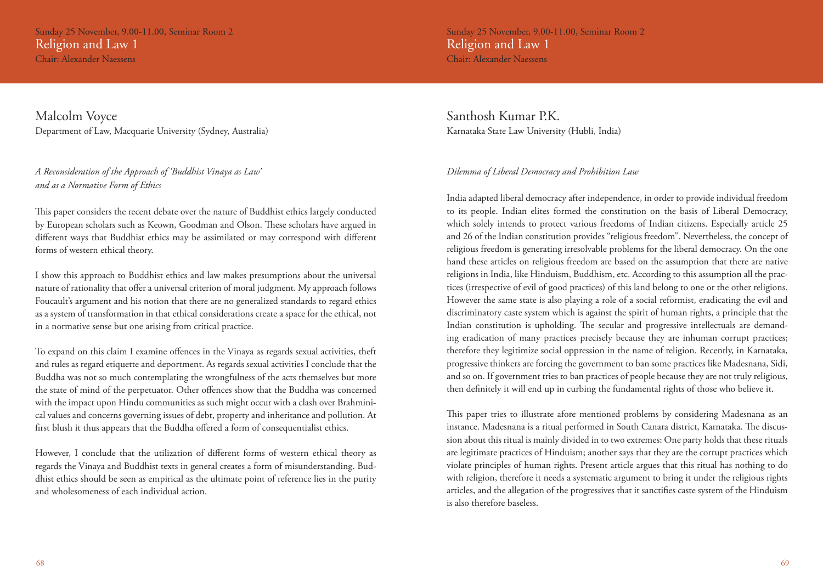Sunday 25 November, 9.00-11.00, Seminar Room 2 Religion and Law 1

Chair: Alexander Naessens

Malcolm Voyce Department of Law, Macquarie University (Sydney, Australia)

### *A Reconsideration of the Approach of 'Buddhist Vinaya as Law' and as a Normative Form of Ethics*

This paper considers the recent debate over the nature of Buddhist ethics largely conducted by European scholars such as Keown, Goodman and Olson. These scholars have argued in different ways that Buddhist ethics may be assimilated or may correspond with different forms of western ethical theory.

I show this approach to Buddhist ethics and law makes presumptions about the universal nature of rationality that offer a universal criterion of moral judgment. My approach follows Foucault's argument and his notion that there are no generalized standards to regard ethics as a system of transformation in that ethical considerations create a space for the ethical, not in a normative sense but one arising from critical practice.

To expand on this claim I examine offences in the Vinaya as regards sexual activities, theft and rules as regard etiquette and deportment. As regards sexual activities I conclude that the Buddha was not so much contemplating the wrongfulness of the acts themselves but more the state of mind of the perpetuator. Other offences show that the Buddha was concerned with the impact upon Hindu communities as such might occur with a clash over Brahminical values and concerns governing issues of debt, property and inheritance and pollution. At first blush it thus appears that the Buddha offered a form of consequentialist ethics.

However, I conclude that the utilization of different forms of western ethical theory as regards the Vinaya and Buddhist texts in general creates a form of misunderstanding. Buddhist ethics should be seen as empirical as the ultimate point of reference lies in the purity and wholesomeness of each individual action.

Sunday 25 November, 9.00-11.00, Seminar Room 2 Religion and Law 1 Chair: Alexander Naessens

Santhosh Kumar P.K. Karnataka State Law University (Hubli, India)

### *Dilemma of Liberal Democracy and Prohibition Law*

India adapted liberal democracy after independence, in order to provide individual freedom to its people. Indian elites formed the constitution on the basis of Liberal Democracy, which solely intends to protect various freedoms of Indian citizens. Especially article 25 and 26 of the Indian constitution provides "religious freedom". Nevertheless, the concept of religious freedom is generating irresolvable problems for the liberal democracy. On the one hand these articles on religious freedom are based on the assumption that there are native religions in India, like Hinduism, Buddhism, etc. According to this assumption all the practices (irrespective of evil of good practices) of this land belong to one or the other religions. However the same state is also playing a role of a social reformist, eradicating the evil and discriminatory caste system which is against the spirit of human rights, a principle that the Indian constitution is upholding. The secular and progressive intellectuals are demanding eradication of many practices precisely because they are inhuman corrupt practices; therefore they legitimize social oppression in the name of religion. Recently, in Karnataka, progressive thinkers are forcing the government to ban some practices like Madesnana, Sidi, and so on. If government tries to ban practices of people because they are not truly religious, then definitely it will end up in curbing the fundamental rights of those who believe it.

This paper tries to illustrate afore mentioned problems by considering Madesnana as an instance. Madesnana is a ritual performed in South Canara district, Karnataka. The discussion about this ritual is mainly divided in to two extremes: One party holds that these rituals are legitimate practices of Hinduism; another says that they are the corrupt practices which violate principles of human rights. Present article argues that this ritual has nothing to do with religion, therefore it needs a systematic argument to bring it under the religious rights articles, and the allegation of the progressives that it sanctifies caste system of the Hinduism is also therefore baseless.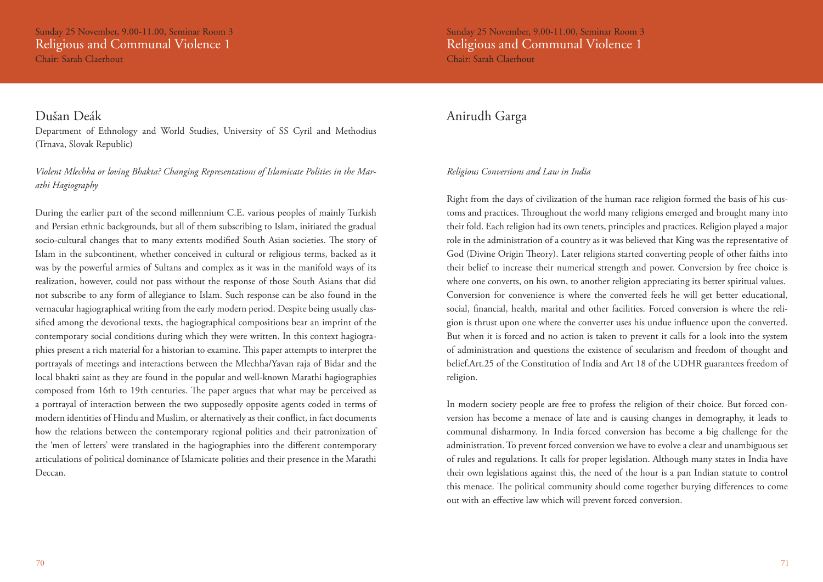# Dušan Deák

Department of Ethnology and World Studies, University of SS Cyril and Methodius (Trnava, Slovak Republic)

### *Violent Mlechha or loving Bhakta? Changing Representations of Islamicate Polities in the Marathi Hagiography*

During the earlier part of the second millennium C.E. various peoples of mainly Turkish and Persian ethnic backgrounds, but all of them subscribing to Islam, initiated the gradual socio-cultural changes that to many extents modified South Asian societies. The story of Islam in the subcontinent, whether conceived in cultural or religious terms, backed as it was by the powerful armies of Sultans and complex as it was in the manifold ways of its realization, however, could not pass without the response of those South Asians that did not subscribe to any form of allegiance to Islam. Such response can be also found in the vernacular hagiographical writing from the early modern period. Despite being usually classified among the devotional texts, the hagiographical compositions bear an imprint of the contemporary social conditions during which they were written. In this context hagiographies present a rich material for a historian to examine. This paper attempts to interpret the portrayals of meetings and interactions between the Mlechha/Yavan raja of Bidar and the local bhakti saint as they are found in the popular and well-known Marathi hagiographies composed from 16th to 19th centuries. The paper argues that what may be perceived as a portrayal of interaction between the two supposedly opposite agents coded in terms of modern identities of Hindu and Muslim, or alternatively as their conflict, in fact documents how the relations between the contemporary regional polities and their patronization of the 'men of letters' were translated in the hagiographies into the different contemporary articulations of political dominance of Islamicate polities and their presence in the Marathi Deccan.

# Anirudh Garga

### *Religious Conversions and Law in India*

Right from the days of civilization of the human race religion formed the basis of his customs and practices. Throughout the world many religions emerged and brought many into their fold. Each religion had its own tenets, principles and practices. Religion played a major role in the administration of a country as it was believed that King was the representative of God (Divine Origin Theory). Later religions started converting people of other faiths into their belief to increase their numerical strength and power. Conversion by free choice is where one converts, on his own, to another religion appreciating its better spiritual values. Conversion for convenience is where the converted feels he will get better educational, social, financial, health, marital and other facilities. Forced conversion is where the religion is thrust upon one where the converter uses his undue influence upon the converted. But when it is forced and no action is taken to prevent it calls for a look into the system of administration and questions the existence of secularism and freedom of thought and belief.Art.25 of the Constitution of India and Art 18 of the UDHR guarantees freedom of religion.

In modern society people are free to profess the religion of their choice. But forced conversion has become a menace of late and is causing changes in demography, it leads to communal disharmony. In India forced conversion has become a big challenge for the administration. To prevent forced conversion we have to evolve a clear and unambiguous set of rules and regulations. It calls for proper legislation. Although many states in India have their own legislations against this, the need of the hour is a pan Indian statute to control this menace. The political community should come together burying differences to come out with an effective law which will prevent forced conversion.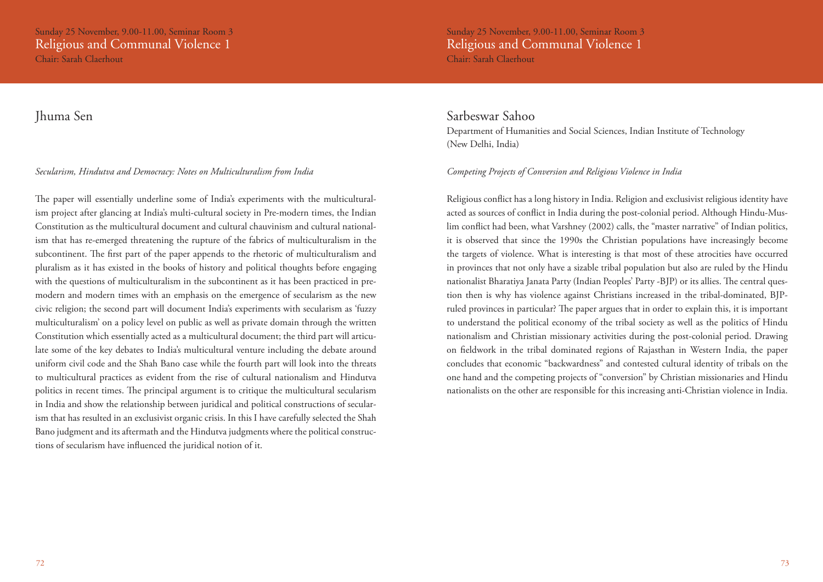### Jhuma Sen

### *Secularism, Hindutva and Democracy: Notes on Multiculturalism from India*

The paper will essentially underline some of India's experiments with the multiculturalism project after glancing at India's multi-cultural society in Pre-modern times, the Indian Constitution as the multicultural document and cultural chauvinism and cultural nationalism that has re-emerged threatening the rupture of the fabrics of multiculturalism in the subcontinent. The first part of the paper appends to the rhetoric of multiculturalism and pluralism as it has existed in the books of history and political thoughts before engaging with the questions of multiculturalism in the subcontinent as it has been practiced in premodern and modern times with an emphasis on the emergence of secularism as the new civic religion; the second part will document India's experiments with secularism as 'fuzzy multiculturalism' on a policy level on public as well as private domain through the written Constitution which essentially acted as a multicultural document; the third part will articulate some of the key debates to India's multicultural venture including the debate around uniform civil code and the Shah Bano case while the fourth part will look into the threats to multicultural practices as evident from the rise of cultural nationalism and Hindutva politics in recent times. The principal argument is to critique the multicultural secularism in India and show the relationship between juridical and political constructions of secularism that has resulted in an exclusivist organic crisis. In this I have carefully selected the Shah Bano judgment and its aftermath and the Hindutva judgments where the political constructions of secularism have influenced the juridical notion of it.

### Sarbeswar Sahoo

Department of Humanities and Social Sciences, Indian Institute of Technology (New Delhi, India)

### *Competing Projects of Conversion and Religious Violence in India*

Religious conflict has a long history in India. Religion and exclusivist religious identity have acted as sources of conflict in India during the post-colonial period. Although Hindu-Muslim conflict had been, what Varshney (2002) calls, the "master narrative" of Indian politics, it is observed that since the 1990s the Christian populations have increasingly become the targets of violence. What is interesting is that most of these atrocities have occurred in provinces that not only have a sizable tribal population but also are ruled by the Hindu nationalist Bharatiya Janata Party (Indian Peoples' Party -BJP) or its allies. The central question then is why has violence against Christians increased in the tribal-dominated, BJPruled provinces in particular? The paper argues that in order to explain this, it is important to understand the political economy of the tribal society as well as the politics of Hindu nationalism and Christian missionary activities during the post-colonial period. Drawing on fieldwork in the tribal dominated regions of Rajasthan in Western India, the paper concludes that economic "backwardness" and contested cultural identity of tribals on the one hand and the competing projects of "conversion" by Christian missionaries and Hindu nationalists on the other are responsible for this increasing anti-Christian violence in India.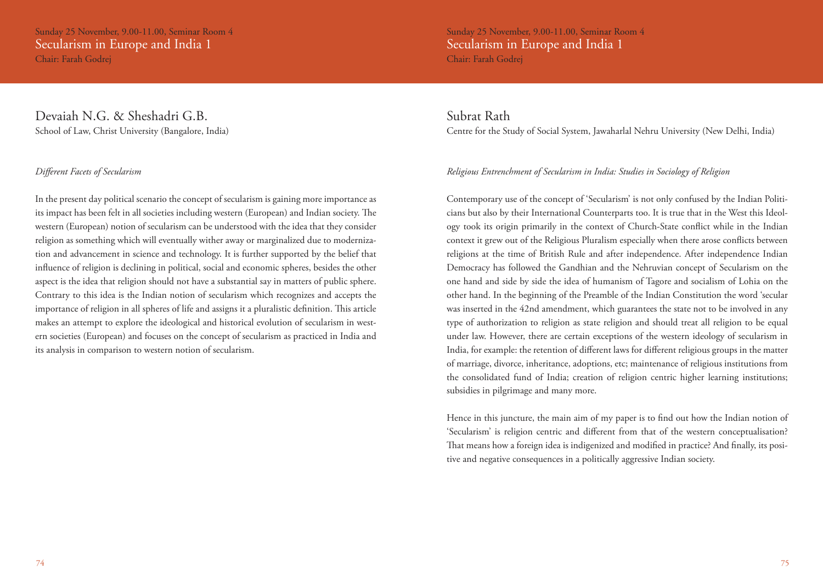Sunday 25 November, 9.00-11.00, Seminar Room 4 Secularism in Europe and India 1 Chair: Farah Godrej

### Devaiah N.G. & Sheshadri G.B. School of Law, Christ University (Bangalore, India)

### *Different Facets of Secularism*

In the present day political scenario the concept of secularism is gaining more importance as its impact has been felt in all societies including western (European) and Indian society. The western (European) notion of secularism can be understood with the idea that they consider religion as something which will eventually wither away or marginalized due to modernization and advancement in science and technology. It is further supported by the belief that influence of religion is declining in political, social and economic spheres, besides the other aspect is the idea that religion should not have a substantial say in matters of public sphere. Contrary to this idea is the Indian notion of secularism which recognizes and accepts the importance of religion in all spheres of life and assigns it a pluralistic definition. This article makes an attempt to explore the ideological and historical evolution of secularism in western societies (European) and focuses on the concept of secularism as practiced in India and its analysis in comparison to western notion of secularism.

Sunday 25 November, 9.00-11.00, Seminar Room 4 Secularism in Europe and India 1 Chair: Farah Godrej

### Subrat Rath

Centre for the Study of Social System, Jawaharlal Nehru University (New Delhi, India)

### *Religious Entrenchment of Secularism in India: Studies in Sociology of Religion*

Contemporary use of the concept of 'Secularism' is not only confused by the Indian Politicians but also by their International Counterparts too. It is true that in the West this Ideology took its origin primarily in the context of Church-State conflict while in the Indian context it grew out of the Religious Pluralism especially when there arose conflicts between religions at the time of British Rule and after independence. After independence Indian Democracy has followed the Gandhian and the Nehruvian concept of Secularism on the one hand and side by side the idea of humanism of Tagore and socialism of Lohia on the other hand. In the beginning of the Preamble of the Indian Constitution the word 'secular was inserted in the 42nd amendment, which guarantees the state not to be involved in any type of authorization to religion as state religion and should treat all religion to be equal under law. However, there are certain exceptions of the western ideology of secularism in India, for example: the retention of different laws for different religious groups in the matter of marriage, divorce, inheritance, adoptions, etc; maintenance of religious institutions from the consolidated fund of India; creation of religion centric higher learning institutions; subsidies in pilgrimage and many more.

Hence in this juncture, the main aim of my paper is to find out how the Indian notion of 'Secularism' is religion centric and different from that of the western conceptualisation? That means how a foreign idea is indigenized and modified in practice? And finally, its positive and negative consequences in a politically aggressive Indian society.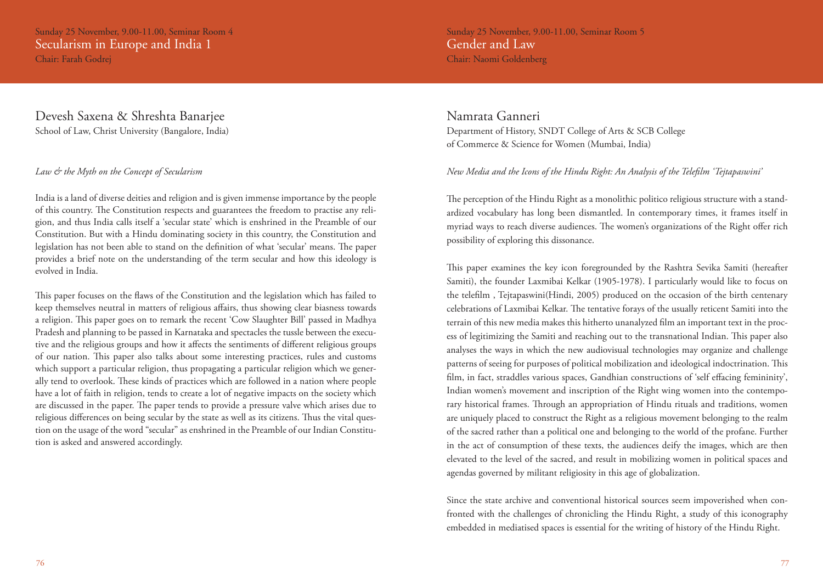Sunday 25 November, 9.00-11.00, Seminar Room 4 Secularism in Europe and India 1 Chair: Farah Godrej

### Devesh Saxena & Shreshta Banarjee School of Law, Christ University (Bangalore, India)

### *Law & the Myth on the Concept of Secularism*

India is a land of diverse deities and religion and is given immense importance by the people of this country. The Constitution respects and guarantees the freedom to practise any religion, and thus India calls itself a 'secular state' which is enshrined in the Preamble of our Constitution. But with a Hindu dominating society in this country, the Constitution and legislation has not been able to stand on the definition of what 'secular' means. The paper provides a brief note on the understanding of the term secular and how this ideology is evolved in India.

This paper focuses on the flaws of the Constitution and the legislation which has failed to keep themselves neutral in matters of religious affairs, thus showing clear biasness towards a religion. This paper goes on to remark the recent 'Cow Slaughter Bill' passed in Madhya Pradesh and planning to be passed in Karnataka and spectacles the tussle between the executive and the religious groups and how it affects the sentiments of different religious groups of our nation. This paper also talks about some interesting practices, rules and customs which support a particular religion, thus propagating a particular religion which we generally tend to overlook. These kinds of practices which are followed in a nation where people have a lot of faith in religion, tends to create a lot of negative impacts on the society which are discussed in the paper. The paper tends to provide a pressure valve which arises due to religious differences on being secular by the state as well as its citizens. Thus the vital question on the usage of the word "secular" as enshrined in the Preamble of our Indian Constitution is asked and answered accordingly.

Sunday 25 November, 9.00-11.00, Seminar Room 5 Gender and Law Chair: Naomi Goldenberg

Namrata Ganneri Department of History, SNDT College of Arts & SCB College of Commerce & Science for Women (Mumbai, India)

### *New Media and the Icons of the Hindu Right: An Analysis of the Telefilm 'Tejtapaswini'*

The perception of the Hindu Right as a monolithic politico religious structure with a standardized vocabulary has long been dismantled. In contemporary times, it frames itself in myriad ways to reach diverse audiences. The women's organizations of the Right offer rich possibility of exploring this dissonance.

This paper examines the key icon foregrounded by the Rashtra Sevika Samiti (hereafter Samiti), the founder Laxmibai Kelkar (1905-1978). I particularly would like to focus on the telefilm , Tejtapaswini(Hindi, 2005) produced on the occasion of the birth centenary celebrations of Laxmibai Kelkar. The tentative forays of the usually reticent Samiti into the terrain of this new media makes this hitherto unanalyzed film an important text in the process of legitimizing the Samiti and reaching out to the transnational Indian. This paper also analyses the ways in which the new audiovisual technologies may organize and challenge patterns of seeing for purposes of political mobilization and ideological indoctrination. This film, in fact, straddles various spaces, Gandhian constructions of 'self effacing femininity', Indian women's movement and inscription of the Right wing women into the contemporary historical frames. Through an appropriation of Hindu rituals and traditions, women are uniquely placed to construct the Right as a religious movement belonging to the realm of the sacred rather than a political one and belonging to the world of the profane. Further in the act of consumption of these texts, the audiences deify the images, which are then elevated to the level of the sacred, and result in mobilizing women in political spaces and agendas governed by militant religiosity in this age of globalization.

Since the state archive and conventional historical sources seem impoverished when confronted with the challenges of chronicling the Hindu Right, a study of this iconography embedded in mediatised spaces is essential for the writing of history of the Hindu Right.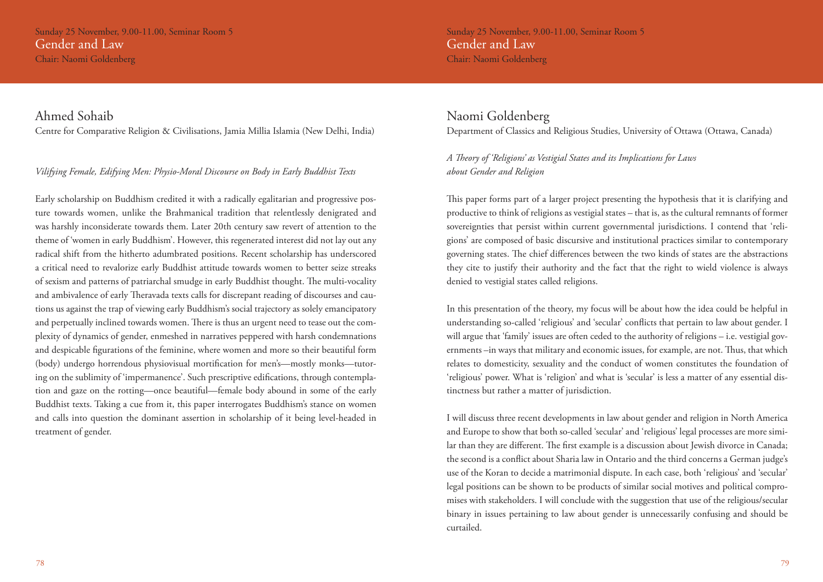Sunday 25 November, 9.00-11.00, Seminar Room 5 Gender and Law Chair: Naomi Goldenberg

### Ahmed Sohaib

Centre for Comparative Religion & Civilisations, Jamia Millia Islamia (New Delhi, India)

### *Vilifying Female, Edifying Men: Physio-Moral Discourse on Body in Early Buddhist Texts*

Early scholarship on Buddhism credited it with a radically egalitarian and progressive posture towards women, unlike the Brahmanical tradition that relentlessly denigrated and was harshly inconsiderate towards them. Later 20th century saw revert of attention to the theme of 'women in early Buddhism'. However, this regenerated interest did not lay out any radical shift from the hitherto adumbrated positions. Recent scholarship has underscored a critical need to revalorize early Buddhist attitude towards women to better seize streaks of sexism and patterns of patriarchal smudge in early Buddhist thought. The multi-vocality and ambivalence of early Theravada texts calls for discrepant reading of discourses and cautions us against the trap of viewing early Buddhism's social trajectory as solely emancipatory and perpetually inclined towards women. There is thus an urgent need to tease out the complexity of dynamics of gender, enmeshed in narratives peppered with harsh condemnations and despicable figurations of the feminine, where women and more so their beautiful form (body) undergo horrendous physiovisual mortification for men's—mostly monks—tutoring on the sublimity of 'impermanence'. Such prescriptive edifications, through contemplation and gaze on the rotting—once beautiful—female body abound in some of the early Buddhist texts. Taking a cue from it, this paper interrogates Buddhism's stance on women and calls into question the dominant assertion in scholarship of it being level-headed in treatment of gender.

### Naomi Goldenberg

Department of Classics and Religious Studies, University of Ottawa (Ottawa, Canada)

*A Theory of 'Religions' as Vestigial States and its Implications for Laws about Gender and Religion*

This paper forms part of a larger project presenting the hypothesis that it is clarifying and productive to think of religions as vestigial states – that is, as the cultural remnants of former sovereignties that persist within current governmental jurisdictions. I contend that 'religions' are composed of basic discursive and institutional practices similar to contemporary governing states. The chief differences between the two kinds of states are the abstractions they cite to justify their authority and the fact that the right to wield violence is always denied to vestigial states called religions.

In this presentation of the theory, my focus will be about how the idea could be helpful in understanding so-called 'religious' and 'secular' conflicts that pertain to law about gender. I will argue that 'family' issues are often ceded to the authority of religions – i.e. vestigial governments –in ways that military and economic issues, for example, are not. Thus, that which relates to domesticity, sexuality and the conduct of women constitutes the foundation of 'religious' power. What is 'religion' and what is 'secular' is less a matter of any essential distinctness but rather a matter of jurisdiction.

I will discuss three recent developments in law about gender and religion in North America and Europe to show that both so-called 'secular' and 'religious' legal processes are more similar than they are different. The first example is a discussion about Jewish divorce in Canada; the second is a conflict about Sharia law in Ontario and the third concerns a German judge's use of the Koran to decide a matrimonial dispute. In each case, both 'religious' and 'secular' legal positions can be shown to be products of similar social motives and political compromises with stakeholders. I will conclude with the suggestion that use of the religious/secular binary in issues pertaining to law about gender is unnecessarily confusing and should be curtailed.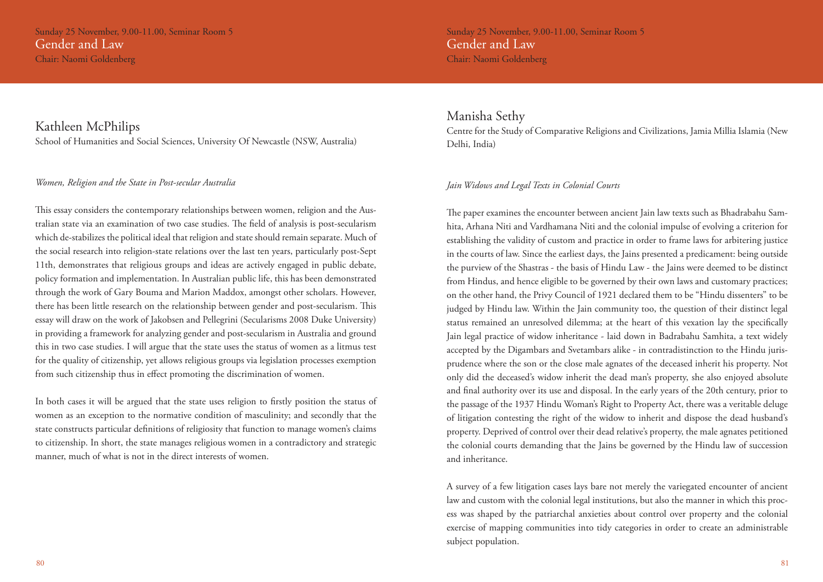Chair: Naomi Goldenberg

### Kathleen McPhilips

School of Humanities and Social Sciences, University Of Newcastle (NSW, Australia)

### *Women, Religion and the State in Post-secular Australia*

This essay considers the contemporary relationships between women, religion and the Australian state via an examination of two case studies. The field of analysis is post-secularism which de-stabilizes the political ideal that religion and state should remain separate. Much of the social research into religion-state relations over the last ten years, particularly post-Sept 11th, demonstrates that religious groups and ideas are actively engaged in public debate, policy formation and implementation. In Australian public life, this has been demonstrated through the work of Gary Bouma and Marion Maddox, amongst other scholars. However, there has been little research on the relationship between gender and post-secularism. This essay will draw on the work of Jakobsen and Pellegrini (Secularisms 2008 Duke University) in providing a framework for analyzing gender and post-secularism in Australia and ground this in two case studies. I will argue that the state uses the status of women as a litmus test for the quality of citizenship, yet allows religious groups via legislation processes exemption from such citizenship thus in effect promoting the discrimination of women.

In both cases it will be argued that the state uses religion to firstly position the status of women as an exception to the normative condition of masculinity; and secondly that the state constructs particular definitions of religiosity that function to manage women's claims to citizenship. In short, the state manages religious women in a contradictory and strategic manner, much of what is not in the direct interests of women.

Sunday 25 November, 9.00-11.00, Seminar Room 5 Gender and Law Chair: Naomi Goldenberg

### Manisha Sethy

Centre for the Study of Comparative Religions and Civilizations, Jamia Millia Islamia (New Delhi, India)

### *Jain Widows and Legal Texts in Colonial Courts*

The paper examines the encounter between ancient Jain law texts such as Bhadrabahu Samhita, Arhana Niti and Vardhamana Niti and the colonial impulse of evolving a criterion for establishing the validity of custom and practice in order to frame laws for arbitering justice in the courts of law. Since the earliest days, the Jains presented a predicament: being outside the purview of the Shastras - the basis of Hindu Law - the Jains were deemed to be distinct from Hindus, and hence eligible to be governed by their own laws and customary practices; on the other hand, the Privy Council of 1921 declared them to be "Hindu dissenters" to be judged by Hindu law. Within the Jain community too, the question of their distinct legal status remained an unresolved dilemma; at the heart of this vexation lay the specifically Jain legal practice of widow inheritance - laid down in Badrabahu Samhita, a text widely accepted by the Digambars and Svetambars alike - in contradistinction to the Hindu jurisprudence where the son or the close male agnates of the deceased inherit his property. Not only did the deceased's widow inherit the dead man's property, she also enjoyed absolute and final authority over its use and disposal. In the early years of the 20th century, prior to the passage of the 1937 Hindu Woman's Right to Property Act, there was a veritable deluge of litigation contesting the right of the widow to inherit and dispose the dead husband's property. Deprived of control over their dead relative's property, the male agnates petitioned the colonial courts demanding that the Jains be governed by the Hindu law of succession and inheritance.

A survey of a few litigation cases lays bare not merely the variegated encounter of ancient law and custom with the colonial legal institutions, but also the manner in which this process was shaped by the patriarchal anxieties about control over property and the colonial exercise of mapping communities into tidy categories in order to create an administrable subject population.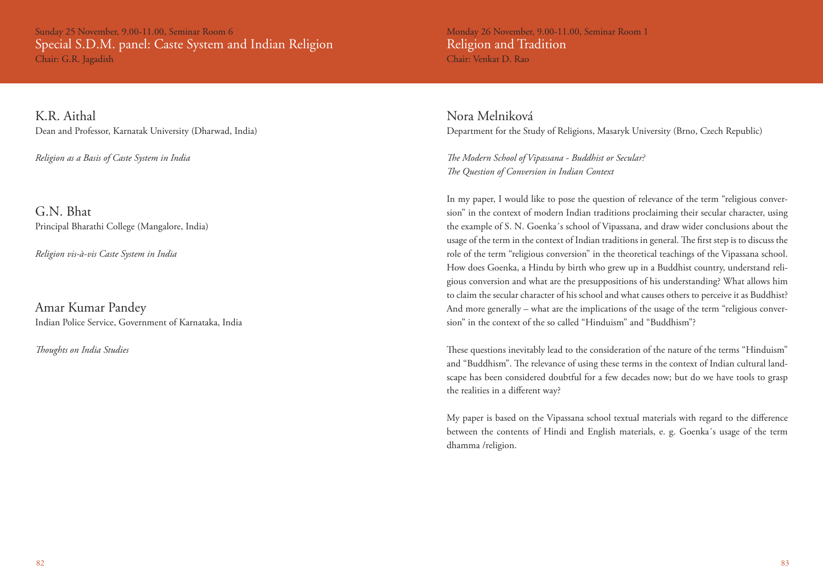Sunday 25 November, 9.00-11.00, Seminar Room 6 Special S.D.M. panel: Caste System and Indian Religion Chair: G.R. Jagadish

K.R. Aithal Dean and Professor, Karnatak University (Dharwad, India)

*Religion as a Basis of Caste System in India*

G.N. Bhat Principal Bharathi College (Mangalore, India)

*Religion vis-à-vis Caste System in India*

Amar Kumar Pandey Indian Police Service, Government of Karnataka, India

*Thoughts on India Studies*

Monday 26 November, 9.00-11.00, Seminar Room 1 Religion and Tradition Chair: Venkat D. Rao

Nora Melniková Department for the Study of Religions, Masaryk University (Brno, Czech Republic)

*The Modern School of Vipassana - Buddhist or Secular? The Question of Conversion in Indian Context*

In my paper, I would like to pose the question of relevance of the term "religious conversion" in the context of modern Indian traditions proclaiming their secular character, using the example of S. N. Goenka´s school of Vipassana, and draw wider conclusions about the usage of the term in the context of Indian traditions in general. The first step is to discuss the role of the term "religious conversion" in the theoretical teachings of the Vipassana school. How does Goenka, a Hindu by birth who grew up in a Buddhist country, understand religious conversion and what are the presuppositions of his understanding? What allows him to claim the secular character of his school and what causes others to perceive it as Buddhist? And more generally – what are the implications of the usage of the term "religious conversion" in the context of the so called "Hinduism" and "Buddhism"?

These questions inevitably lead to the consideration of the nature of the terms "Hinduism" and "Buddhism". The relevance of using these terms in the context of Indian cultural landscape has been considered doubtful for a few decades now; but do we have tools to grasp the realities in a different way?

My paper is based on the Vipassana school textual materials with regard to the difference between the contents of Hindi and English materials, e. g. Goenka´s usage of the term dhamma /religion.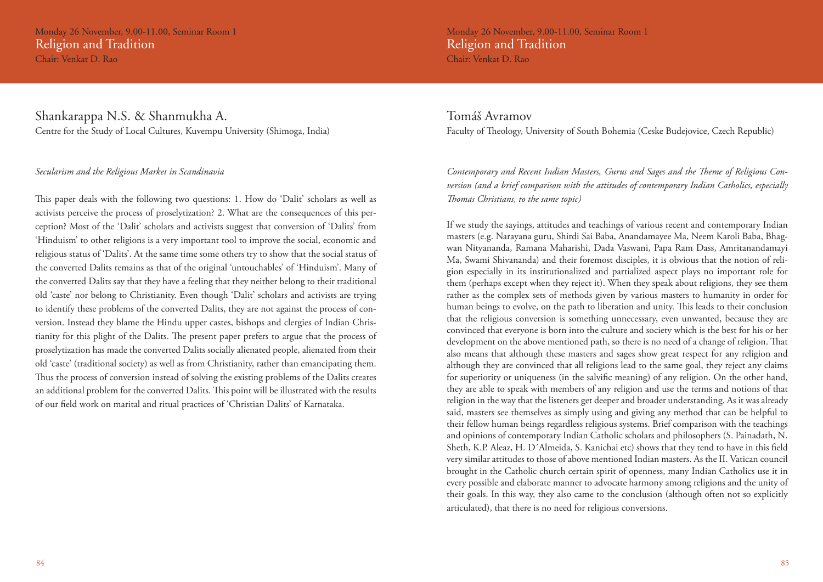Monday 26 November, 9.00-11.00, Seminar Room 1 Religion and Tradition

Chair: Venkat D. Rao

Shankarappa N.S. & Shanmukha A. Centre for the Study of Local Cultures, Kuvempu University (Shimoga, India)

### *Secularism and the Religious Market in Scandinavia*

This paper deals with the following two questions: 1. How do 'Dalit' scholars as well as activists perceive the process of proselytization? 2. What are the consequences of this perception? Most of the 'Dalit' scholars and activists suggest that conversion of 'Dalits' from 'Hinduism' to other religions is a very important tool to improve the social, economic and religious status of 'Dalits'. At the same time some others try to show that the social status of the converted Dalits remains as that of the original 'untouchables' of 'Hinduism'. Many of the converted Dalits say that they have a feeling that they neither belong to their traditional old 'caste' nor belong to Christianity. Even though 'Dalit' scholars and activists are trying to identify these problems of the converted Dalits, they are not against the process of conversion. Instead they blame the Hindu upper castes, bishops and clergies of Indian Christianity for this plight of the Dalits. The present paper prefers to argue that the process of proselytization has made the converted Dalits socially alienated people, alienated from their old 'caste' (traditional society) as well as from Christianity, rather than emancipating them. Thus the process of conversion instead of solving the existing problems of the Dalits creates an additional problem for the converted Dalits. This point will be illustrated with the results of our field work on marital and ritual practices of 'Christian Dalits' of Karnataka.

Monday 26 November, 9.00-11.00, Seminar Room 1 Religion and Tradition Chair: Venkat D. Rao

### Tomáš Avramov Faculty of Theology, University of South Bohemia (Ceske Budejovice, Czech Republic)

*Contemporary and Recent Indian Masters, Gurus and Sages and the Theme of Religious Conversion (and a brief comparison with the attitudes of contemporary Indian Catholics, especially Thomas Christians, to the same topic)*

If we study the sayings, attitudes and teachings of various recent and contemporary Indian masters (e.g. Narayana guru, Shirdi Sai Baba, Anandamayee Ma, Neem Karoli Baba, Bhagwan Nityananda, Ramana Maharishi, Dada Vaswani, Papa Ram Dass, Amritanandamayi Ma, Swami Shivananda) and their foremost disciples, it is obvious that the notion of religion especially in its institutionalized and partialized aspect plays no important role for them (perhaps except when they reject it). When they speak about religions, they see them rather as the complex sets of methods given by various masters to humanity in order for human beings to evolve, on the path to liberation and unity. This leads to their conclusion that the religious conversion is something unnecessary, even unwanted, because they are convinced that everyone is born into the culture and society which is the best for his or her development on the above mentioned path, so there is no need of a change of religion. That also means that although these masters and sages show great respect for any religion and although they are convinced that all religions lead to the same goal, they reject any claims for superiority or uniqueness (in the salvific meaning) of any religion. On the other hand, they are able to speak with members of any religion and use the terms and notions of that religion in the way that the listeners get deeper and broader understanding. As it was already said, masters see themselves as simply using and giving any method that can be helpful to their fellow human beings regardless religious systems. Brief comparison with the teachings and opinions of contemporary Indian Catholic scholars and philosophers (S. Painadath, N. Sheth, K.P. Aleaz, H. D´Almeida, S. Kanichai etc) shows that they tend to have in this field very similar attitudes to those of above mentioned Indian masters. As the II. Vatican council brought in the Catholic church certain spirit of openness, many Indian Catholics use it in every possible and elaborate manner to advocate harmony among religions and the unity of their goals. In this way, they also came to the conclusion (although often not so explicitly articulated), that there is no need for religious conversions.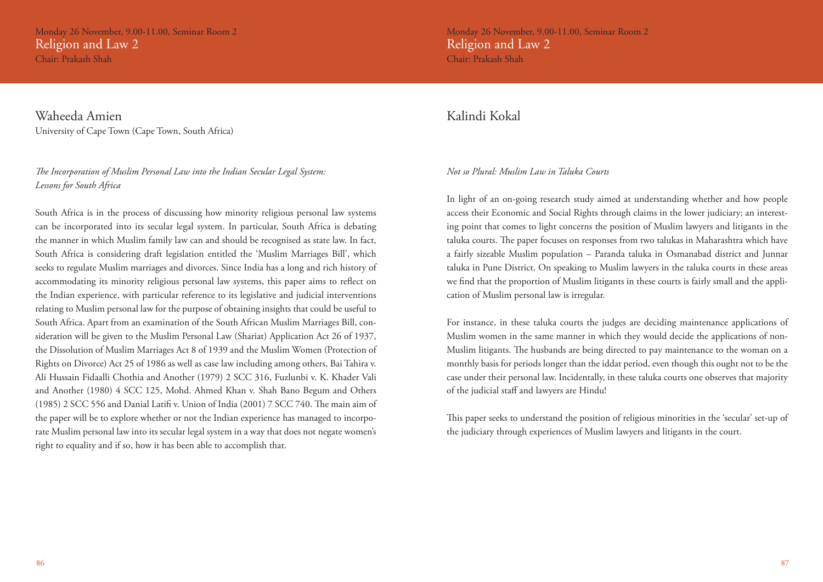Monday 26 November, 9.00-11.00, Seminar Room 2 Religion and Law 2 Chair: Prakash Shah

Waheeda Amien University of Cape Town (Cape Town, South Africa)

*The Incorporation of Muslim Personal Law into the Indian Secular Legal System: Lessons for South Africa* 

South Africa is in the process of discussing how minority religious personal law systems can be incorporated into its secular legal system. In particular, South Africa is debating the manner in which Muslim family law can and should be recognised as state law. In fact, South Africa is considering draft legislation entitled the 'Muslim Marriages Bill', which seeks to regulate Muslim marriages and divorces. Since India has a long and rich history of accommodating its minority religious personal law systems, this paper aims to reflect on the Indian experience, with particular reference to its legislative and judicial interventions relating to Muslim personal law for the purpose of obtaining insights that could be useful to South Africa. Apart from an examination of the South African Muslim Marriages Bill, consideration will be given to the Muslim Personal Law (Shariat) Application Act 26 of 1937, the Dissolution of Muslim Marriages Act 8 of 1939 and the Muslim Women (Protection of Rights on Divorce) Act 25 of 1986 as well as case law including among others, Bai Tahira v. Ali Hussain Fidaalli Chothia and Another (1979) 2 SCC 316, Fuzlunbi v. K. Khader Vali and Another (1980) 4 SCC 125, Mohd. Ahmed Khan v. Shah Bano Begum and Others (1985) 2 SCC 556 and Danial Latifi v. Union of India (2001) 7 SCC 740. The main aim of the paper will be to explore whether or not the Indian experience has managed to incorporate Muslim personal law into its secular legal system in a way that does not negate women's right to equality and if so, how it has been able to accomplish that.

Monday 26 November, 9.00-11.00, Seminar Room 2 Religion and Law 2 Chair: Prakash Shah

### Kalindi Kokal

### *Not so Plural: Muslim Law in Taluka Courts*

In light of an on-going research study aimed at understanding whether and how people access their Economic and Social Rights through claims in the lower judiciary; an interesting point that comes to light concerns the position of Muslim lawyers and litigants in the taluka courts. The paper focuses on responses from two talukas in Maharashtra which have a fairly sizeable Muslim population – Paranda taluka in Osmanabad district and Junnar taluka in Pune District. On speaking to Muslim lawyers in the taluka courts in these areas we find that the proportion of Muslim litigants in these courts is fairly small and the application of Muslim personal law is irregular.

For instance, in these taluka courts the judges are deciding maintenance applications of Muslim women in the same manner in which they would decide the applications of non-Muslim litigants. The husbands are being directed to pay maintenance to the woman on a monthly basis for periods longer than the iddat period, even though this ought not to be the case under their personal law. Incidentally, in these taluka courts one observes that majority of the judicial staff and lawyers are Hindu!

This paper seeks to understand the position of religious minorities in the 'secular' set-up of the judiciary through experiences of Muslim lawyers and litigants in the court.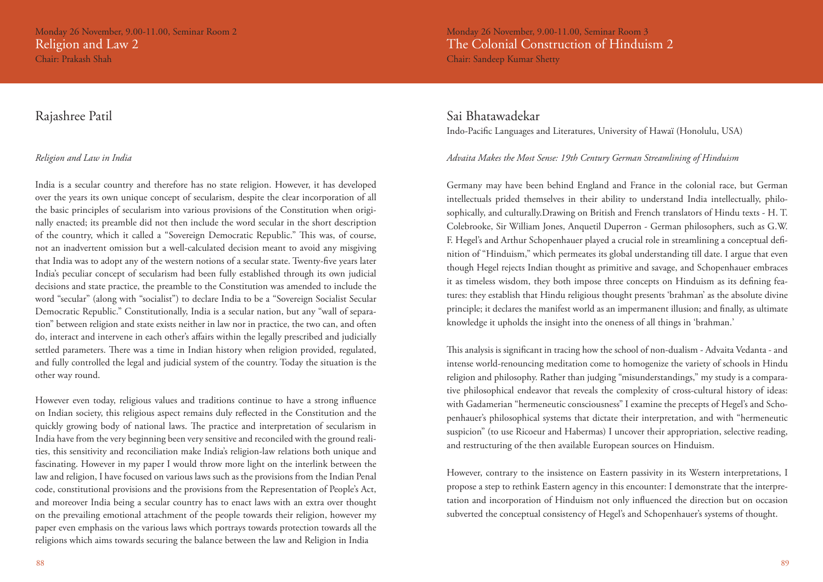### Rajashree Patil

### *Religion and Law in India*

India is a secular country and therefore has no state religion. However, it has developed over the years its own unique concept of secularism, despite the clear incorporation of all the basic principles of secularism into various provisions of the Constitution when originally enacted; its preamble did not then include the word secular in the short description of the country, which it called a "Sovereign Democratic Republic." This was, of course, not an inadvertent omission but a well-calculated decision meant to avoid any misgiving that India was to adopt any of the western notions of a secular state. Twenty-five years later India's peculiar concept of secularism had been fully established through its own judicial decisions and state practice, the preamble to the Constitution was amended to include the word "secular" (along with "socialist") to declare India to be a "Sovereign Socialist Secular Democratic Republic." Constitutionally, India is a secular nation, but any "wall of separation" between religion and state exists neither in law nor in practice, the two can, and often do, interact and intervene in each other's affairs within the legally prescribed and judicially settled parameters. There was a time in Indian history when religion provided, regulated, and fully controlled the legal and judicial system of the country. Today the situation is the other way round.

However even today, religious values and traditions continue to have a strong influence on Indian society, this religious aspect remains duly reflected in the Constitution and the quickly growing body of national laws. The practice and interpretation of secularism in India have from the very beginning been very sensitive and reconciled with the ground realities, this sensitivity and reconciliation make India's religion-law relations both unique and fascinating. However in my paper I would throw more light on the interlink between the law and religion, I have focused on various laws such as the provisions from the Indian Penal code, constitutional provisions and the provisions from the Representation of People's Act, and moreover India being a secular country has to enact laws with an extra over thought on the prevailing emotional attachment of the people towards their religion, however my paper even emphasis on the various laws which portrays towards protection towards all the religions which aims towards securing the balance between the law and Religion in India

Monday 26 November, 9.00-11.00, Seminar Room 3 The Colonial Construction of Hinduism 2 Chair: Sandeep Kumar Shetty

### Sai Bhatawadekar

Indo-Pacific Languages and Literatures, University of Hawaï (Honolulu, USA)

### *Advaita Makes the Most Sense: 19th Century German Streamlining of Hinduism*

Germany may have been behind England and France in the colonial race, but German intellectuals prided themselves in their ability to understand India intellectually, philosophically, and culturally.Drawing on British and French translators of Hindu texts - H. T. Colebrooke, Sir William Jones, Anquetil Duperron - German philosophers, such as G.W. F. Hegel's and Arthur Schopenhauer played a crucial role in streamlining a conceptual definition of "Hinduism," which permeates its global understanding till date. I argue that even though Hegel rejects Indian thought as primitive and savage, and Schopenhauer embraces it as timeless wisdom, they both impose three concepts on Hinduism as its defining features: they establish that Hindu religious thought presents 'brahman' as the absolute divine principle; it declares the manifest world as an impermanent illusion; and finally, as ultimate knowledge it upholds the insight into the oneness of all things in 'brahman.'

This analysis is significant in tracing how the school of non-dualism - Advaita Vedanta - and intense world-renouncing meditation come to homogenize the variety of schools in Hindu religion and philosophy. Rather than judging "misunderstandings," my study is a comparative philosophical endeavor that reveals the complexity of cross-cultural history of ideas: with Gadamerian "hermeneutic consciousness" I examine the precepts of Hegel's and Schopenhauer's philosophical systems that dictate their interpretation, and with "hermeneutic suspicion" (to use Ricoeur and Habermas) I uncover their appropriation, selective reading, and restructuring of the then available European sources on Hinduism.

However, contrary to the insistence on Eastern passivity in its Western interpretations, I propose a step to rethink Eastern agency in this encounter: I demonstrate that the interpretation and incorporation of Hinduism not only influenced the direction but on occasion subverted the conceptual consistency of Hegel's and Schopenhauer's systems of thought.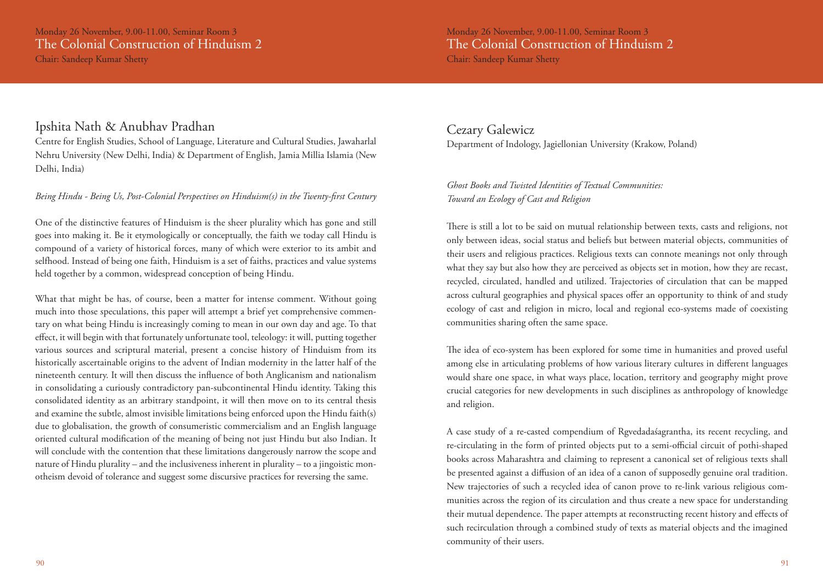### Ipshita Nath & Anubhav Pradhan

Centre for English Studies, School of Language, Literature and Cultural Studies, Jawaharlal Nehru University (New Delhi, India) & Department of English, Jamia Millia Islamia (New Delhi, India)

### *Being Hindu - Being Us, Post-Colonial Perspectives on Hinduism(s) in the Twenty-first Century*

One of the distinctive features of Hinduism is the sheer plurality which has gone and still goes into making it. Be it etymologically or conceptually, the faith we today call Hindu is compound of a variety of historical forces, many of which were exterior to its ambit and selfhood. Instead of being one faith, Hinduism is a set of faiths, practices and value systems held together by a common, widespread conception of being Hindu.

What that might be has, of course, been a matter for intense comment. Without going much into those speculations, this paper will attempt a brief yet comprehensive commentary on what being Hindu is increasingly coming to mean in our own day and age. To that effect, it will begin with that fortunately unfortunate tool, teleology: it will, putting together various sources and scriptural material, present a concise history of Hinduism from its historically ascertainable origins to the advent of Indian modernity in the latter half of the nineteenth century. It will then discuss the influence of both Anglicanism and nationalism in consolidating a curiously contradictory pan-subcontinental Hindu identity. Taking this consolidated identity as an arbitrary standpoint, it will then move on to its central thesis and examine the subtle, almost invisible limitations being enforced upon the Hindu faith(s) due to globalisation, the growth of consumeristic commercialism and an English language oriented cultural modification of the meaning of being not just Hindu but also Indian. It will conclude with the contention that these limitations dangerously narrow the scope and nature of Hindu plurality – and the inclusiveness inherent in plurality – to a jingoistic monotheism devoid of tolerance and suggest some discursive practices for reversing the same.

### Cezary Galewicz Department of Indology, Jagiellonian University (Krakow, Poland)

### *Ghost Books and Twisted Identities of Textual Communities: Toward an Ecology of Cast and Religion*

There is still a lot to be said on mutual relationship between texts, casts and religions, not only between ideas, social status and beliefs but between material objects, communities of their users and religious practices. Religious texts can connote meanings not only through what they say but also how they are perceived as objects set in motion, how they are recast, recycled, circulated, handled and utilized. Trajectories of circulation that can be mapped across cultural geographies and physical spaces offer an opportunity to think of and study ecology of cast and religion in micro, local and regional eco-systems made of coexisting communities sharing often the same space.

The idea of eco-system has been explored for some time in humanities and proved useful among else in articulating problems of how various literary cultures in different languages would share one space, in what ways place, location, territory and geography might prove crucial categories for new developments in such disciplines as anthropology of knowledge and religion.

A case study of a re-casted compendium of Rgvedadaśagrantha, its recent recycling, and re-circulating in the form of printed objects put to a semi-official circuit of pothi-shaped books across Maharashtra and claiming to represent a canonical set of religious texts shall be presented against a diffusion of an idea of a canon of supposedly genuine oral tradition. New trajectories of such a recycled idea of canon prove to re-link various religious communities across the region of its circulation and thus create a new space for understanding their mutual dependence. The paper attempts at reconstructing recent history and effects of such recirculation through a combined study of texts as material objects and the imagined community of their users.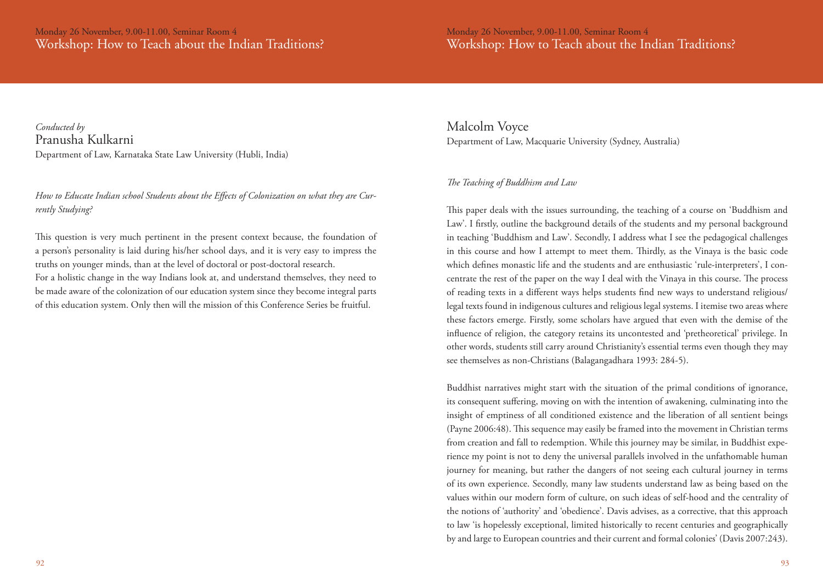Monday 26 November, 9.00-11.00, Seminar Room 4 Workshop: How to Teach about the Indian Traditions?

*Conducted by*  Pranusha Kulkarni Department of Law, Karnataka State Law University (Hubli, India)

*How to Educate Indian school Students about the Effects of Colonization on what they are Currently Studying?*

This question is very much pertinent in the present context because, the foundation of a person's personality is laid during his/her school days, and it is very easy to impress the truths on younger minds, than at the level of doctoral or post-doctoral research. For a holistic change in the way Indians look at, and understand themselves, they need to be made aware of the colonization of our education system since they become integral parts of this education system. Only then will the mission of this Conference Series be fruitful.

Malcolm Voyce Department of Law, Macquarie University (Sydney, Australia)

### *The Teaching of Buddhism and Law*

This paper deals with the issues surrounding, the teaching of a course on 'Buddhism and Law'. I firstly, outline the background details of the students and my personal background in teaching 'Buddhism and Law'. Secondly, I address what I see the pedagogical challenges in this course and how I attempt to meet them. Thirdly, as the Vinaya is the basic code which defines monastic life and the students and are enthusiastic 'rule-interpreters', I concentrate the rest of the paper on the way I deal with the Vinaya in this course. The process of reading texts in a different ways helps students find new ways to understand religious/ legal texts found in indigenous cultures and religious legal systems. I itemise two areas where these factors emerge. Firstly, some scholars have argued that even with the demise of the influence of religion, the category retains its uncontested and 'pretheoretical' privilege. In other words, students still carry around Christianity's essential terms even though they may see themselves as non-Christians (Balagangadhara 1993: 284-5).

Buddhist narratives might start with the situation of the primal conditions of ignorance, its consequent suffering, moving on with the intention of awakening, culminating into the insight of emptiness of all conditioned existence and the liberation of all sentient beings (Payne 2006:48). This sequence may easily be framed into the movement in Christian terms from creation and fall to redemption. While this journey may be similar, in Buddhist experience my point is not to deny the universal parallels involved in the unfathomable human journey for meaning, but rather the dangers of not seeing each cultural journey in terms of its own experience. Secondly, many law students understand law as being based on the values within our modern form of culture, on such ideas of self-hood and the centrality of the notions of 'authority' and 'obedience'. Davis advises, as a corrective, that this approach to law 'is hopelessly exceptional, limited historically to recent centuries and geographically by and large to European countries and their current and formal colonies' (Davis 2007:243).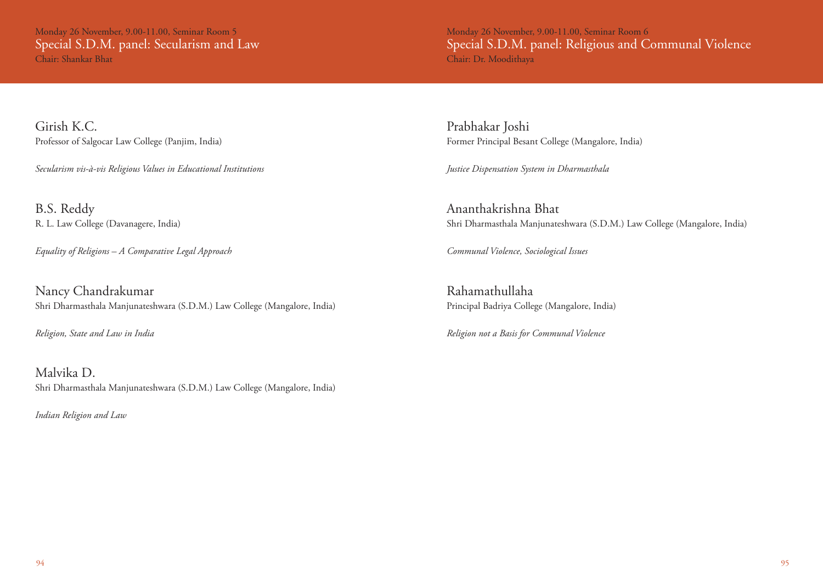Monday 26 November, 9.00-11.00, Seminar Room 5 Special S.D.M. panel: Secularism and Law Chair: Shankar Bhat

Monday 26 November, 9.00-11.00, Seminar Room 6 Special S.D.M. panel: Religious and Communal Violence Chair: Dr. Moodithaya

Girish K.C. Professor of Salgocar Law College (Panjim, India)

*Secularism vis-à-vis Religious Values in Educational Institutions* 

B.S. Reddy R. L. Law College (Davanagere, India)

*Equality of Religions – A Comparative Legal Approach*

Nancy Chandrakumar Shri Dharmasthala Manjunateshwara (S.D.M.) Law College (Mangalore, India)

*Religion, State and Law in India*

Malvika D. Shri Dharmasthala Manjunateshwara (S.D.M.) Law College (Mangalore, India)

*Indian Religion and Law* 

Prabhakar Joshi Former Principal Besant College (Mangalore, India)

*Justice Dispensation System in Dharmasthala*

Ananthakrishna Bhat Shri Dharmasthala Manjunateshwara (S.D.M.) Law College (Mangalore, India)

*Communal Violence, Sociological Issues*

Rahamathullaha Principal Badriya College (Mangalore, India)

*Religion not a Basis for Communal Violence*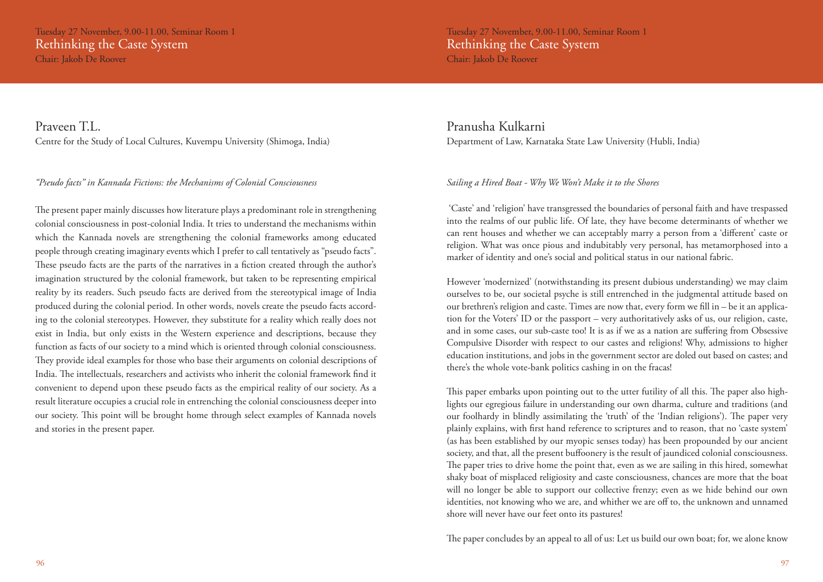### Praveen T.L.

Centre for the Study of Local Cultures, Kuvempu University (Shimoga, India)

*"Pseudo facts" in Kannada Fictions: the Mechanisms of Colonial Consciousness* 

The present paper mainly discusses how literature plays a predominant role in strengthening colonial consciousness in post-colonial India. It tries to understand the mechanisms within which the Kannada novels are strengthening the colonial frameworks among educated people through creating imaginary events which I prefer to call tentatively as "pseudo facts". These pseudo facts are the parts of the narratives in a fiction created through the author's imagination structured by the colonial framework, but taken to be representing empirical reality by its readers. Such pseudo facts are derived from the stereotypical image of India produced during the colonial period. In other words, novels create the pseudo facts according to the colonial stereotypes. However, they substitute for a reality which really does not exist in India, but only exists in the Western experience and descriptions, because they function as facts of our society to a mind which is oriented through colonial consciousness. They provide ideal examples for those who base their arguments on colonial descriptions of India. The intellectuals, researchers and activists who inherit the colonial framework find it convenient to depend upon these pseudo facts as the empirical reality of our society. As a result literature occupies a crucial role in entrenching the colonial consciousness deeper into our society. This point will be brought home through select examples of Kannada novels and stories in the present paper.

Pranusha Kulkarni Department of Law, Karnataka State Law University (Hubli, India)

### *Sailing a Hired Boat - Why We Won't Make it to the Shores*

 'Caste' and 'religion' have transgressed the boundaries of personal faith and have trespassed into the realms of our public life. Of late, they have become determinants of whether we can rent houses and whether we can acceptably marry a person from a 'different' caste or religion. What was once pious and indubitably very personal, has metamorphosed into a marker of identity and one's social and political status in our national fabric.

However 'modernized' (notwithstanding its present dubious understanding) we may claim ourselves to be, our societal psyche is still entrenched in the judgmental attitude based on our brethren's religion and caste. Times are now that, every form we fill in – be it an application for the Voters' ID or the passport – very authoritatively asks of us, our religion, caste, and in some cases, our sub-caste too! It is as if we as a nation are suffering from Obsessive Compulsive Disorder with respect to our castes and religions! Why, admissions to higher education institutions, and jobs in the government sector are doled out based on castes; and there's the whole vote-bank politics cashing in on the fracas!

This paper embarks upon pointing out to the utter futility of all this. The paper also highlights our egregious failure in understanding our own dharma, culture and traditions (and our foolhardy in blindly assimilating the 'truth' of the 'Indian religions'). The paper very plainly explains, with first hand reference to scriptures and to reason, that no 'caste system' (as has been established by our myopic senses today) has been propounded by our ancient society, and that, all the present buffoonery is the result of jaundiced colonial consciousness. The paper tries to drive home the point that, even as we are sailing in this hired, somewhat shaky boat of misplaced religiosity and caste consciousness, chances are more that the boat will no longer be able to support our collective frenzy; even as we hide behind our own identities, not knowing who we are, and whither we are off to, the unknown and unnamed shore will never have our feet onto its pastures!

The paper concludes by an appeal to all of us: Let us build our own boat; for, we alone know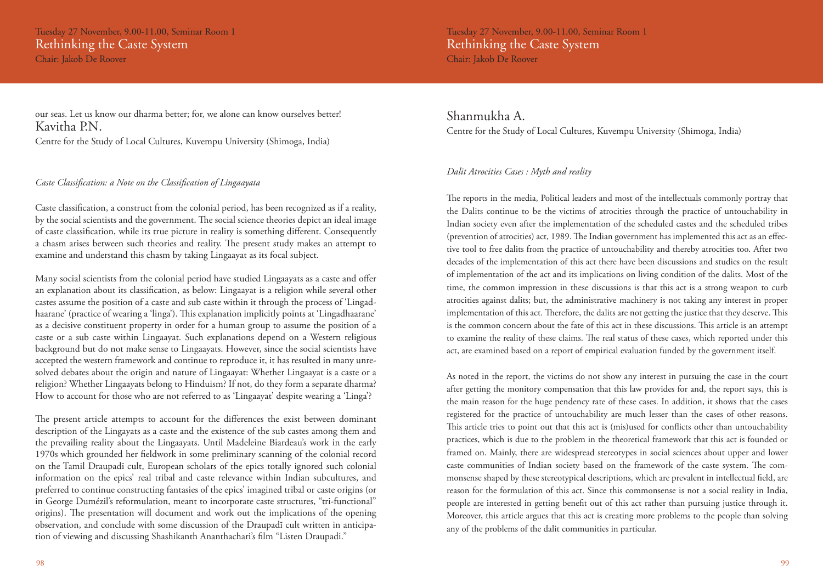our seas. Let us know our dharma better; for, we alone can know ourselves better! Kavitha P.N.

Centre for the Study of Local Cultures, Kuvempu University (Shimoga, India)

### *Caste Classification: a Note on the Classification of Lingaayata*

Caste classification, a construct from the colonial period, has been recognized as if a reality, by the social scientists and the government. The social science theories depict an ideal image of caste classification, while its true picture in reality is something different. Consequently a chasm arises between such theories and reality. The present study makes an attempt to examine and understand this chasm by taking Lingaayat as its focal subject.

Many social scientists from the colonial period have studied Lingaayats as a caste and offer an explanation about its classification, as below: Lingaayat is a religion while several other castes assume the position of a caste and sub caste within it through the process of 'Lingadhaarane' (practice of wearing a 'linga'). This explanation implicitly points at 'Lingadhaarane' as a decisive constituent property in order for a human group to assume the position of a caste or a sub caste within Lingaayat. Such explanations depend on a Western religious background but do not make sense to Lingaayats. However, since the social scientists have accepted the western framework and continue to reproduce it, it has resulted in many unresolved debates about the origin and nature of Lingaayat: Whether Lingaayat is a caste or a religion? Whether Lingaayats belong to Hinduism? If not, do they form a separate dharma? How to account for those who are not referred to as 'Lingaayat' despite wearing a 'Linga'?

The present article attempts to account for the differences the exist between dominant description of the Lingayats as a caste and the existence of the sub castes among them and the prevailing reality about the Lingaayats. Until Madeleine Biardeau's work in the early 1970s which grounded her fieldwork in some preliminary scanning of the colonial record on the Tamil Draupadī cult, European scholars of the epics totally ignored such colonial information on the epics' real tribal and caste relevance within Indian subcultures, and preferred to continue constructing fantasies of the epics' imagined tribal or caste origins (or in George Dumézil's reformulation, meant to incorporate caste structures, "tri-functional" origins). The presentation will document and work out the implications of the opening observation, and conclude with some discussion of the Draupadī cult written in anticipation of viewing and discussing Shashikanth Ananthachari's film "Listen Draupadi."

Tuesday 27 November, 9.00-11.00, Seminar Room 1 Rethinking the Caste System Chair: Jakob De Roover

Shanmukha A. Centre for the Study of Local Cultures, Kuvempu University (Shimoga, India)

### *Dalit Atrocities Cases : Myth and reality*

The reports in the media, Political leaders and most of the intellectuals commonly portray that the Dalits continue to be the victims of atrocities through the practice of untouchability in Indian society even after the implementation of the scheduled castes and the scheduled tribes (prevention of atrocities) act, 1989. The Indian government has implemented this act as an effective tool to free dalits from the practice of untouchability and thereby atrocities too. After two decades of the implementation of this act there have been discussions and studies on the result of implementation of the act and its implications on living condition of the dalits. Most of the time, the common impression in these discussions is that this act is a strong weapon to curb atrocities against dalits; but, the administrative machinery is not taking any interest in proper implementation of this act. Therefore, the dalits are not getting the justice that they deserve. This is the common concern about the fate of this act in these discussions. This article is an attempt to examine the reality of these claims. The real status of these cases, which reported under this act, are examined based on a report of empirical evaluation funded by the government itself.

As noted in the report, the victims do not show any interest in pursuing the case in the court after getting the monitory compensation that this law provides for and, the report says, this is the main reason for the huge pendency rate of these cases. In addition, it shows that the cases registered for the practice of untouchability are much lesser than the cases of other reasons. This article tries to point out that this act is (mis)used for conflicts other than untouchability practices, which is due to the problem in the theoretical framework that this act is founded or framed on. Mainly, there are widespread stereotypes in social sciences about upper and lower caste communities of Indian society based on the framework of the caste system. The commonsense shaped by these stereotypical descriptions, which are prevalent in intellectual field, are reason for the formulation of this act. Since this commonsense is not a social reality in India, people are interested in getting benefit out of this act rather than pursuing justice through it. Moreover, this article argues that this act is creating more problems to the people than solving any of the problems of the dalit communities in particular.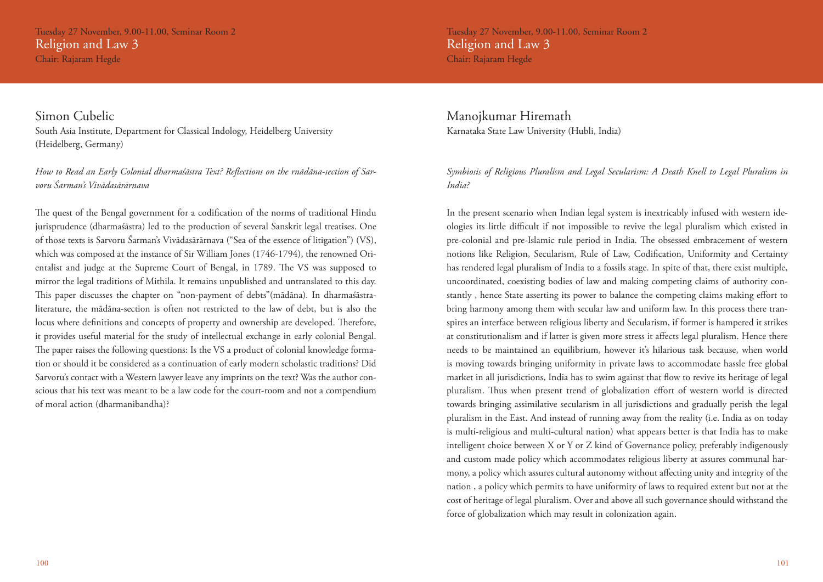Tuesday 27 November, 9.00-11.00, Seminar Room 2 Religion and Law 3 Chair: Rajaram Hegde

Simon Cubelic South Asia Institute, Department for Classical Indology, Heidelberg University (Heidelberg, Germany)

*How to Read an Early Colonial dharmaśāstra Text? Reflections on the rnādāna-section of Sarvoru Śarman's Vivādasārārnava*

The quest of the Bengal government for a codification of the norms of traditional Hindu jurisprudence (dharmaśāstra) led to the production of several Sanskrit legal treatises. One of those texts is Sarvoru Śarman's Vivādasārārnava ("Sea of the essence of litigation") (VS), which was composed at the instance of Sir William Jones (1746-1794), the renowned Orientalist and judge at the Supreme Court of Bengal, in 1789. The VS was supposed to mirror the legal traditions of Mithila. It remains unpublished and untranslated to this day. This paper discusses the chapter on "non-payment of debts"(mādāna). In dharmaśāstraliterature, the mādāna-section is often not restricted to the law of debt, but is also the locus where definitions and concepts of property and ownership are developed. Therefore, it provides useful material for the study of intellectual exchange in early colonial Bengal. The paper raises the following questions: Is the VS a product of colonial knowledge formation or should it be considered as a continuation of early modern scholastic traditions? Did Sarvoru's contact with a Western lawyer leave any imprints on the text? Was the author conscious that his text was meant to be a law code for the court-room and not a compendium of moral action (dharmanibandha)?

Tuesday 27 November, 9.00-11.00, Seminar Room 2 Religion and Law 3 Chair: Rajaram Hegde

Manojkumar Hiremath Karnataka State Law University (Hubli, India)

*Symbiosis of Religious Pluralism and Legal Secularism: A Death Knell to Legal Pluralism in India?* 

In the present scenario when Indian legal system is inextricably infused with western ideologies its little difficult if not impossible to revive the legal pluralism which existed in pre-colonial and pre-Islamic rule period in India. The obsessed embracement of western notions like Religion, Secularism, Rule of Law, Codification, Uniformity and Certainty has rendered legal pluralism of India to a fossils stage. In spite of that, there exist multiple, uncoordinated, coexisting bodies of law and making competing claims of authority constantly , hence State asserting its power to balance the competing claims making effort to bring harmony among them with secular law and uniform law. In this process there transpires an interface between religious liberty and Secularism, if former is hampered it strikes at constitutionalism and if latter is given more stress it affects legal pluralism. Hence there needs to be maintained an equilibrium, however it's hilarious task because, when world is moving towards bringing uniformity in private laws to accommodate hassle free global market in all jurisdictions, India has to swim against that flow to revive its heritage of legal pluralism. Thus when present trend of globalization effort of western world is directed towards bringing assimilative secularism in all jurisdictions and gradually perish the legal pluralism in the East. And instead of running away from the reality (i.e. India as on today is multi-religious and multi-cultural nation) what appears better is that India has to make intelligent choice between X or Y or Z kind of Governance policy, preferably indigenously and custom made policy which accommodates religious liberty at assures communal harmony, a policy which assures cultural autonomy without affecting unity and integrity of the nation , a policy which permits to have uniformity of laws to required extent but not at the cost of heritage of legal pluralism. Over and above all such governance should withstand the force of globalization which may result in colonization again.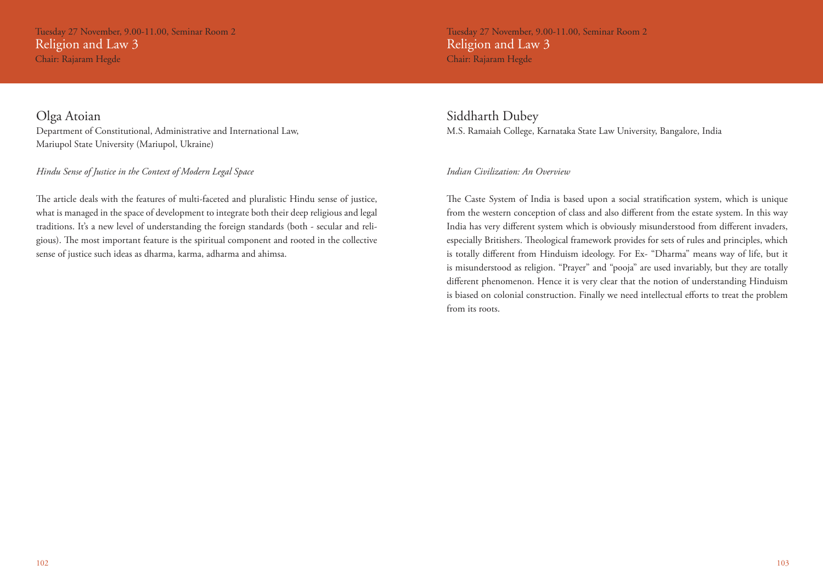Tuesday 27 November, 9.00-11.00, Seminar Room 2 Religion and Law 3

Chair: Rajaram Hegde

Tuesday 27 November, 9.00-11.00, Seminar Room 2 Religion and Law 3 Chair: Rajaram Hegde

### Olga Atoian

Department of Constitutional, Administrative and International Law, Mariupol State University (Mariupol, Ukraine)

### *Hindu Sense of Justice in the Context of Modern Legal Space*

The article deals with the features of multi-faceted and pluralistic Hindu sense of justice, what is managed in the space of development to integrate both their deep religious and legal traditions. It's a new level of understanding the foreign standards (both - secular and religious). The most important feature is the spiritual component and rooted in the collective sense of justice such ideas as dharma, karma, adharma and ahimsa.

### Siddharth Dubey M.S. Ramaiah College, Karnataka State Law University, Bangalore, India

### *Indian Civilization: An Overview*

The Caste System of India is based upon a social stratification system, which is unique from the western conception of class and also different from the estate system. In this way India has very different system which is obviously misunderstood from different invaders, especially Britishers. Theological framework provides for sets of rules and principles, which is totally different from Hinduism ideology. For Ex- "Dharma" means way of life, but it is misunderstood as religion. "Prayer" and "pooja" are used invariably, but they are totally different phenomenon. Hence it is very clear that the notion of understanding Hinduism is biased on colonial construction. Finally we need intellectual efforts to treat the problem from its roots.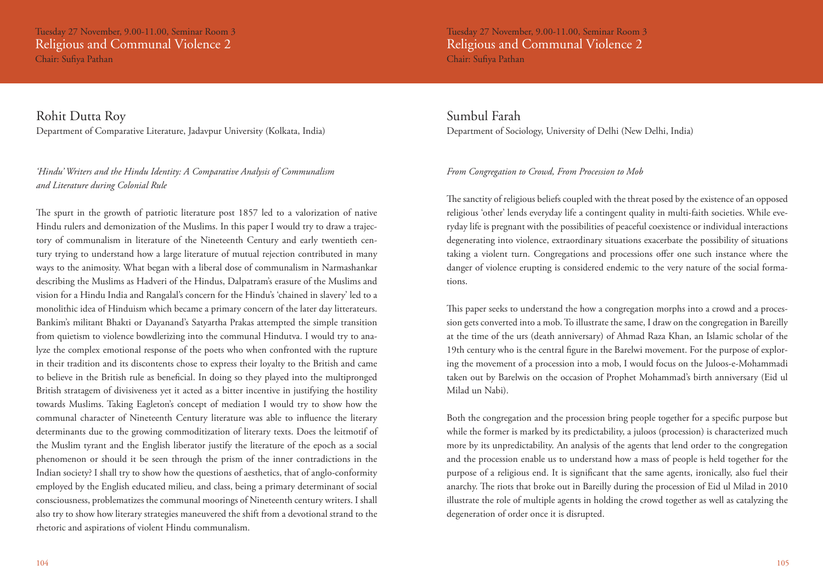Tuesday 27 November, 9.00-11.00, Seminar Room 3 Religious and Communal Violence 2 Chair: Sufiya Pathan

Rohit Dutta Roy Department of Comparative Literature, Jadavpur University (Kolkata, India)

### *'Hindu' Writers and the Hindu Identity: A Comparative Analysis of Communalism and Literature during Colonial Rule*

The spurt in the growth of patriotic literature post 1857 led to a valorization of native Hindu rulers and demonization of the Muslims. In this paper I would try to draw a trajectory of communalism in literature of the Nineteenth Century and early twentieth century trying to understand how a large literature of mutual rejection contributed in many ways to the animosity. What began with a liberal dose of communalism in Narmashankar describing the Muslims as Hadveri of the Hindus, Dalpatram's erasure of the Muslims and vision for a Hindu India and Rangalal's concern for the Hindu's 'chained in slavery' led to a monolithic idea of Hinduism which became a primary concern of the later day litterateurs. Bankim's militant Bhakti or Dayanand's Satyartha Prakas attempted the simple transition from quietism to violence bowdlerizing into the communal Hindutva. I would try to analyze the complex emotional response of the poets who when confronted with the rupture in their tradition and its discontents chose to express their loyalty to the British and came to believe in the British rule as beneficial. In doing so they played into the multipronged British stratagem of divisiveness yet it acted as a bitter incentive in justifying the hostility towards Muslims. Taking Eagleton's concept of mediation I would try to show how the communal character of Nineteenth Century literature was able to influence the literary determinants due to the growing commoditization of literary texts. Does the leitmotif of the Muslim tyrant and the English liberator justify the literature of the epoch as a social phenomenon or should it be seen through the prism of the inner contradictions in the Indian society? I shall try to show how the questions of aesthetics, that of anglo-conformity employed by the English educated milieu, and class, being a primary determinant of social consciousness, problematizes the communal moorings of Nineteenth century writers. I shall also try to show how literary strategies maneuvered the shift from a devotional strand to the rhetoric and aspirations of violent Hindu communalism.

Tuesday 27 November, 9.00-11.00, Seminar Room 3 Religious and Communal Violence 2 Chair: Sufiya Pathan

Sumbul Farah Department of Sociology, University of Delhi (New Delhi, India)

### *From Congregation to Crowd, From Procession to Mob*

The sanctity of religious beliefs coupled with the threat posed by the existence of an opposed religious 'other' lends everyday life a contingent quality in multi-faith societies. While everyday life is pregnant with the possibilities of peaceful coexistence or individual interactions degenerating into violence, extraordinary situations exacerbate the possibility of situations taking a violent turn. Congregations and processions offer one such instance where the danger of violence erupting is considered endemic to the very nature of the social formations.

This paper seeks to understand the how a congregation morphs into a crowd and a procession gets converted into a mob. To illustrate the same, I draw on the congregation in Bareilly at the time of the urs (death anniversary) of Ahmad Raza Khan, an Islamic scholar of the 19th century who is the central figure in the Barelwi movement. For the purpose of exploring the movement of a procession into a mob, I would focus on the Juloos-e-Mohammadi taken out by Barelwis on the occasion of Prophet Mohammad's birth anniversary (Eid ul Milad un Nabi).

Both the congregation and the procession bring people together for a specific purpose but while the former is marked by its predictability, a juloos (procession) is characterized much more by its unpredictability. An analysis of the agents that lend order to the congregation and the procession enable us to understand how a mass of people is held together for the purpose of a religious end. It is significant that the same agents, ironically, also fuel their anarchy. The riots that broke out in Bareilly during the procession of Eid ul Milad in 2010 illustrate the role of multiple agents in holding the crowd together as well as catalyzing the degeneration of order once it is disrupted.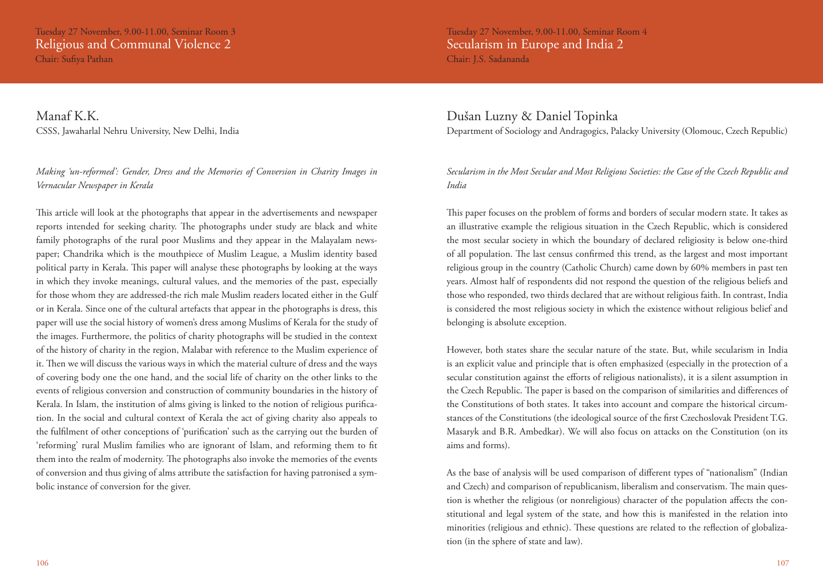Manaf K.K. CSSS, Jawaharlal Nehru University, New Delhi, India

### *Making 'un-reformed': Gender, Dress and the Memories of Conversion in Charity Images in Vernacular Newspaper in Kerala*

This article will look at the photographs that appear in the advertisements and newspaper reports intended for seeking charity. The photographs under study are black and white family photographs of the rural poor Muslims and they appear in the Malayalam newspaper; Chandrika which is the mouthpiece of Muslim League, a Muslim identity based political party in Kerala. This paper will analyse these photographs by looking at the ways in which they invoke meanings, cultural values, and the memories of the past, especially for those whom they are addressed-the rich male Muslim readers located either in the Gulf or in Kerala. Since one of the cultural artefacts that appear in the photographs is dress, this paper will use the social history of women's dress among Muslims of Kerala for the study of the images. Furthermore, the politics of charity photographs will be studied in the context of the history of charity in the region, Malabar with reference to the Muslim experience of it. Then we will discuss the various ways in which the material culture of dress and the ways of covering body one the one hand, and the social life of charity on the other links to the events of religious conversion and construction of community boundaries in the history of Kerala. In Islam, the institution of alms giving is linked to the notion of religious purification. In the social and cultural context of Kerala the act of giving charity also appeals to the fulfilment of other conceptions of 'purification' such as the carrying out the burden of 'reforming' rural Muslim families who are ignorant of Islam, and reforming them to fit them into the realm of modernity. The photographs also invoke the memories of the events of conversion and thus giving of alms attribute the satisfaction for having patronised a symbolic instance of conversion for the giver.

Tuesday 27 November, 9.00-11.00, Seminar Room 4 Secularism in Europe and India 2 Chair: J.S. Sadananda

### Dušan Luzny & Daniel Topinka Department of Sociology and Andragogics, Palacky University (Olomouc, Czech Republic)

*Secularism in the Most Secular and Most Religious Societies: the Case of the Czech Republic and India*

This paper focuses on the problem of forms and borders of secular modern state. It takes as an illustrative example the religious situation in the Czech Republic, which is considered the most secular society in which the boundary of declared religiosity is below one-third of all population. The last census confirmed this trend, as the largest and most important religious group in the country (Catholic Church) came down by 60% members in past ten years. Almost half of respondents did not respond the question of the religious beliefs and those who responded, two thirds declared that are without religious faith. In contrast, India is considered the most religious society in which the existence without religious belief and belonging is absolute exception.

However, both states share the secular nature of the state. But, while secularism in India is an explicit value and principle that is often emphasized (especially in the protection of a secular constitution against the efforts of religious nationalists), it is a silent assumption in the Czech Republic. The paper is based on the comparison of similarities and differences of the Constitutions of both states. It takes into account and compare the historical circumstances of the Constitutions (the ideological source of the first Czechoslovak President T.G. Masaryk and B.R. Ambedkar). We will also focus on attacks on the Constitution (on its aims and forms).

As the base of analysis will be used comparison of different types of "nationalism" (Indian and Czech) and comparison of republicanism, liberalism and conservatism. The main question is whether the religious (or nonreligious) character of the population affects the constitutional and legal system of the state, and how this is manifested in the relation into minorities (religious and ethnic). These questions are related to the reflection of globalization (in the sphere of state and law).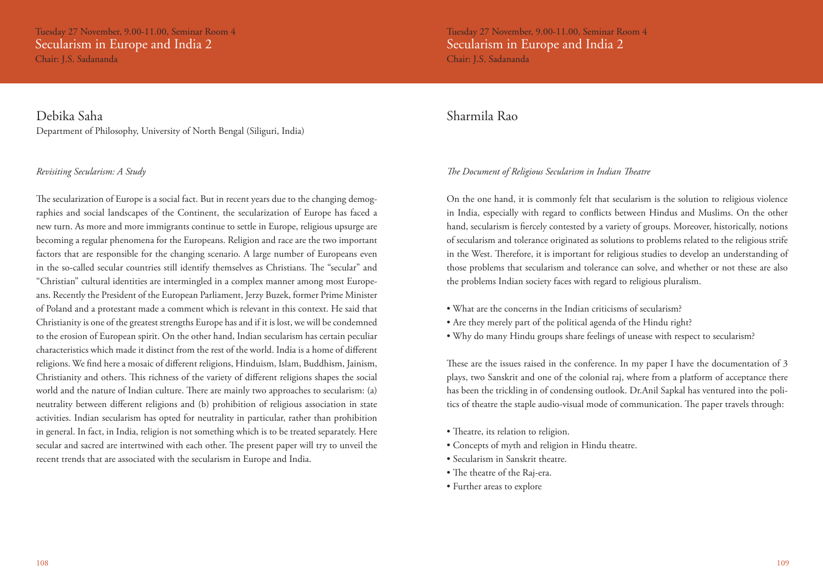Tuesday 27 November, 9.00-11.00, Seminar Room 4 Secularism in Europe and India 2 Chair: J.S. Sadananda

Debika Saha Department of Philosophy, University of North Bengal (Siliguri, India)

### *Revisiting Secularism: A Study*

The secularization of Europe is a social fact. But in recent years due to the changing demographies and social landscapes of the Continent, the secularization of Europe has faced a new turn. As more and more immigrants continue to settle in Europe, religious upsurge are becoming a regular phenomena for the Europeans. Religion and race are the two important factors that are responsible for the changing scenario. A large number of Europeans even in the so-called secular countries still identify themselves as Christians. The "secular" and "Christian" cultural identities are intermingled in a complex manner among most Europeans. Recently the President of the European Parliament, Jerzy Buzek, former Prime Minister of Poland and a protestant made a comment which is relevant in this context. He said that Christianity is one of the greatest strengths Europe has and if it is lost, we will be condemned to the erosion of European spirit. On the other hand, Indian secularism has certain peculiar characteristics which made it distinct from the rest of the world. India is a home of different religions. We find here a mosaic of different religions, Hinduism, Islam, Buddhism, Jainism, Christianity and others. This richness of the variety of different religions shapes the social world and the nature of Indian culture. There are mainly two approaches to secularism: (a) neutrality between different religions and (b) prohibition of religious association in state activities. Indian secularism has opted for neutrality in particular, rather than prohibition in general. In fact, in India, religion is not something which is to be treated separately. Here secular and sacred are intertwined with each other. The present paper will try to unveil the recent trends that are associated with the secularism in Europe and India.

Tuesday 27 November, 9.00-11.00, Seminar Room 4 Secularism in Europe and India 2 Chair: J.S. Sadananda

### Sharmila Rao

### *The Document of Religious Secularism in Indian Theatre*

On the one hand, it is commonly felt that secularism is the solution to religious violence in India, especially with regard to conflicts between Hindus and Muslims. On the other hand, secularism is fiercely contested by a variety of groups. Moreover, historically, notions of secularism and tolerance originated as solutions to problems related to the religious strife in the West. Therefore, it is important for religious studies to develop an understanding of those problems that secularism and tolerance can solve, and whether or not these are also the problems Indian society faces with regard to religious pluralism.

- What are the concerns in the Indian criticisms of secularism?
- Are they merely part of the political agenda of the Hindu right?
- Why do many Hindu groups share feelings of unease with respect to secularism?

These are the issues raised in the conference. In my paper I have the documentation of 3 plays, two Sanskrit and one of the colonial raj, where from a platform of acceptance there has been the trickling in of condensing outlook. Dr.Anil Sapkal has ventured into the politics of theatre the staple audio-visual mode of communication. The paper travels through:

- Theatre, its relation to religion.
- Concepts of myth and religion in Hindu theatre.
- Secularism in Sanskrit theatre.
- The theatre of the Raj-era.
- Further areas to explore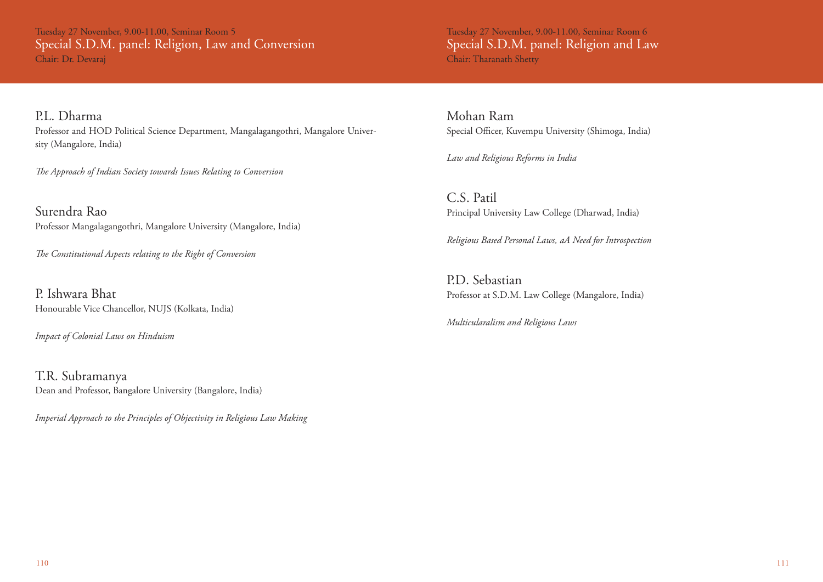Tuesday 27 November, 9.00-11.00, Seminar Room 5 Special S.D.M. panel: Religion, Law and Conversion Chair: Dr. Devaraj

P.L. Dharma Professor and HOD Political Science Department, Mangalagangothri, Mangalore University (Mangalore, India)

*The Approach of Indian Society towards Issues Relating to Conversion*

Surendra Rao Professor Mangalagangothri, Mangalore University (Mangalore, India)

*The Constitutional Aspects relating to the Right of Conversion*

P. Ishwara Bhat Honourable Vice Chancellor, NUJS (Kolkata, India)

*Impact of Colonial Laws on Hinduism*

T.R. Subramanya Dean and Professor, Bangalore University (Bangalore, India)

*Imperial Approach to the Principles of Objectivity in Religious Law Making*

Tuesday 27 November, 9.00-11.00, Seminar Room 6 Special S.D.M. panel: Religion and Law Chair: Tharanath Shetty

Mohan Ram Special Officer, Kuvempu University (Shimoga, India)

*Law and Religious Reforms in India* 

C.S. Patil Principal University Law College (Dharwad, India)

*Religious Based Personal Laws, aA Need for Introspection*

P.D. Sebastian Professor at S.D.M. Law College (Mangalore, India)

*Multicularalism and Religious Laws*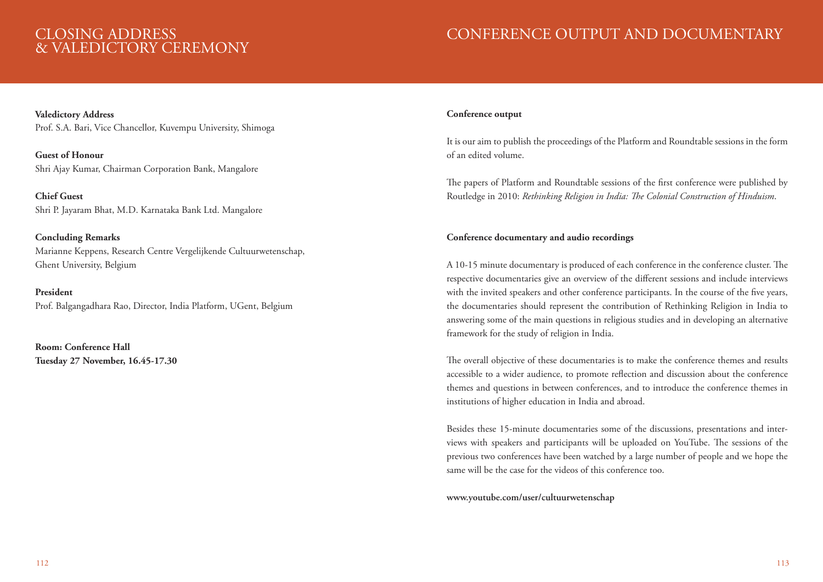# CLOSING ADDRESS & VALEDICTORY CEREMONY

# CONFERENCE OUTPUT AND DOCUMENTARY

**Valedictory Address** Prof. S.A. Bari, Vice Chancellor, Kuvempu University, Shimoga

**Guest of Honour** Shri Ajay Kumar, Chairman Corporation Bank, Mangalore

**Chief Guest** Shri P. Jayaram Bhat, M.D. Karnataka Bank Ltd. Mangalore

**Concluding Remarks** Marianne Keppens, Research Centre Vergelijkende Cultuurwetenschap, Ghent University, Belgium

### **President** Prof. Balgangadhara Rao, Director, India Platform, UGent, Belgium

**Room: Conference Hall Tuesday 27 November, 16.45-17.30**

### **Conference output**

It is our aim to publish the proceedings of the Platform and Roundtable sessions in the form of an edited volume.

The papers of Platform and Roundtable sessions of the first conference were published by Routledge in 2010: *Rethinking Religion in India: The Colonial Construction of Hinduism*.

### **Conference documentary and audio recordings**

A 10-15 minute documentary is produced of each conference in the conference cluster. The respective documentaries give an overview of the different sessions and include interviews with the invited speakers and other conference participants. In the course of the five years, the documentaries should represent the contribution of Rethinking Religion in India to answering some of the main questions in religious studies and in developing an alternative framework for the study of religion in India.

The overall objective of these documentaries is to make the conference themes and results accessible to a wider audience, to promote reflection and discussion about the conference themes and questions in between conferences, and to introduce the conference themes in institutions of higher education in India and abroad.

Besides these 15-minute documentaries some of the discussions, presentations and interviews with speakers and participants will be uploaded on YouTube. The sessions of the previous two conferences have been watched by a large number of people and we hope the same will be the case for the videos of this conference too.

### **www.youtube.com/user/cultuurwetenschap**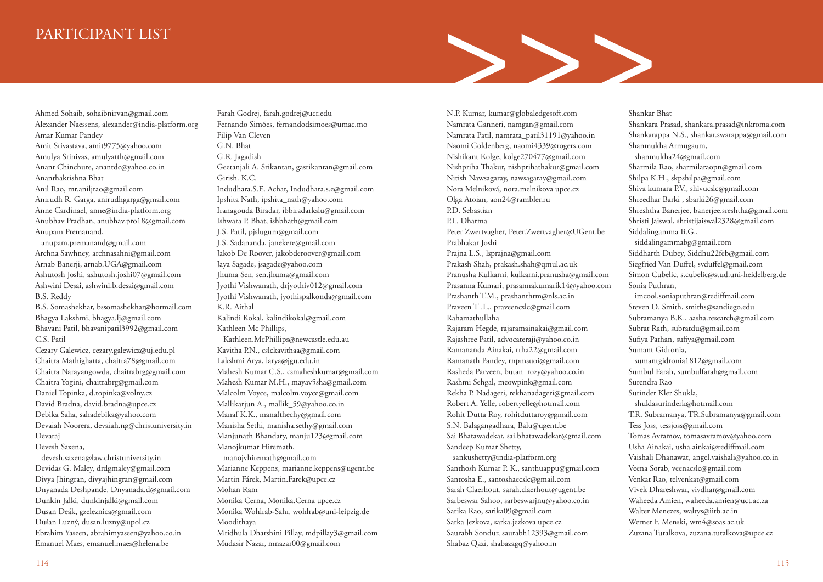# PARTICIPANT LIST

>>>

Ahmed Sohaib, sohaibnirvan@gmail.com Alexander Naessens, alexander@india-platform.org Amar Kumar Pandey Amit Srivastava, amit9775@yahoo.com Amulya Srinivas, amulyatth@gmail.com Anant Chinchure, anantdc@yahoo.co.in Ananthakrishna Bhat Anil Rao, mr.aniljrao@gmail.com Anirudh R. Garga, anirudhgarga@gmail.com Anne Cardinael, anne@india-platform.org Anubhav Pradhan, anubhav.pro18@gmail.com Anupam Premanand, anupam.premanand@gmail.com

Archna Sawhney, archnasahni@gmail.com Arnab Banerji, arnab.UGA@gmail.com Ashutosh Joshi, ashutosh.joshi07@gmail.com Ashwini Desai, ashwini.b.desai@gmail.com B.S. Reddy

B.S. Somashekhar, bssomashekhar@hotmail.com Bhagya Lakshmi, bhagya.lj@gmail.com Bhavani Patil, bhavanipatil3992@gmail.com C.S. Patil

Cezary Galewicz, cezary.galewicz@uj.edu.pl Chaitra Mathighatta, chaitra78@gmail.com Chaitra Narayangowda, chaitrabrg@gmail.com Chaitra Yogini, chaitrabrg@gmail.com Daniel Topinka, d.topinka@volny.cz David Bradna, david.bradna@upce.cz Debika Saha, sahadebika@yahoo.com Devaiah Noorera, devaiah.ng@christuniversity.in Devaraj Devesh Saxena,

 devesh.saxena@law.christuniversity.in Devidas G. Maley, drdgmaley@gmail.com Divya Jhingran, divyajhingran@gmail.com Dnyanada Deshpande, Dnyanada.d@gmail.com Dunkin Jalki, dunkinjalki@gmail.com Dusan Deák, gzeleznica@gmail.com Dušan Luzný, dusan.luzny@upol.cz Ebrahim Yaseen, abrahimyaseen@yahoo.co.in Emanuel Maes, emanuel.maes@helena.be

Farah Godrej, farah.godrej@ucr.edu Fernando Simões, fernandodsimoes@umac.mo Filip Van Cleven G.N. Bhat G.R. Jagadish Geetanjali A. Srikantan, gasrikantan@gmail.com Girish. K.C. Indudhara.S.E. Achar, Indudhara.s.e@gmail.com Ipshita Nath, ipshita\_nath@yahoo.com Iranagouda Biradar, ibbiradarkslu@gmail.com Ishwara P. Bhat, ishbhath@gmail.com J.S. Patil, pjslugum@gmail.com J.S. Sadananda, janekere@gmail.com Jakob De Roover, jakobderoover@gmail.com Jaya Sagade, jsagade@yahoo.com Jhuma Sen, sen.jhuma@gmail.com Jyothi Vishwanath, drjyothiv012@gmail.com Jyothi Vishwanath, jyothispalkonda@gmail.com K.R. Aithal Kalindi Kokal, kalindikokal@gmail.com Kathleen Mc Phillips, Kathleen.McPhillips@newcastle.edu.au Kavitha P.N., cslckavithaa@gmail.com Lakshmi Arya, larya@jgu.edu.in Mahesh Kumar C.S., csmaheshkumar@gmail.com Mahesh Kumar M.H., mayav5sha@gmail.com Malcolm Voyce, malcolm.voyce@gmail.com Mallikarjun A., mallik\_59@yahoo.co.in Manaf K.K., manafthechy@gmail.com Manisha Sethi, manisha.sethy@gmail.com Manjunath Bhandary, manju123@gmail.com Manojkumar Hiremath, manojvhiremath@gmail.com Marianne Keppens, marianne.keppens@ugent.be Martin Fárek, Martin.Farek@upce.cz Mohan Ram Monika Cerna, Monika.Cerna upce.cz Monika Wohlrab-Sahr, wohlrab@uni-leipzig.de Moodithaya Mridhula Dharshini Pillay, mdpillay3@gmail.com Mudasir Nazar, mnazar00@gmail.com

N.P. Kumar, kumar@globaledgesoft.com Namrata Ganneri, namgan@gmail.com Namrata Patil, namrata\_patil31191@yahoo.in Naomi Goldenberg, naomi4339@rogers.com Nishikant Kolge, kolge270477@gmail.com Nishpriha Thakur, nishprihathakur@gmail.com Nitish Nawsagaray, nawsagaray@gmail.com Nora Melniková, nora.melnikova upce.cz Olga Atoian, aon24@rambler.ru P.D. Sebastian P.L. Dharma Peter Zwertvagher, Peter.Zwertvagher@UGent.be Prabhakar Joshi Prajna L.S., lsprajna@gmail.com Prakash Shah, prakash.shah@qmul.ac.uk Pranusha Kulkarni, kulkarni.pranusha@gmail.com Prasanna Kumari, prasannakumarik14@yahoo.com Prashanth T.M., prashanthtm@nls.ac.in Praveen T .L., praveencslc@gmail.com Rahamathullaha Rajaram Hegde, rajaramainakai@gmail.com Rajashree Patil, advocateraji@yahoo.co.in Ramananda Ainakai, rrha22@gmail.com Ramanath Pandey, rnpmsuoi@gmail.com Rasheda Parveen, butan\_rozy@yahoo.co.in Rashmi Sehgal, meowpink@gmail.com Rekha P. Nadageri, rekhanadageri@gmail.com Robert A. Yelle, robertyelle@hotmail.com Rohit Dutta Roy, rohitduttaroy@gmail.com S.N. Balagangadhara, Balu@ugent.be Sai Bhatawadekar, sai.bhatawadekar@gmail.com Sandeep Kumar Shetty, sankushetty@india-platform.org Santhosh Kumar P. K., santhuappu@gmail.com Santosha E., santoshaecslc@gmail.com Sarah Claerhout, sarah.claerhout@ugent.be Sarbeswar Sahoo, sarbeswarjnu@yahoo.co.in Sarika Rao, sarika09@gmail.com Sarka Jezkova, sarka.jezkova upce.cz Saurabh Sondur, saurabh12393@gmail.com

Shabaz Qazi, shabazagq@yahoo.in

#### Shankar Bhat

Shankara Prasad, shankara.prasad@inkroma.com Shankarappa N.S., shankar.swarappa@gmail.com Shanmukha Armugaum,

 shanmukha24@gmail.com Sharmila Rao, sharmilaraopn@gmail.com Shilpa K.H., skpshilpa@gmail.com Shiva kumara P.V., shivucslc@gmail.com Shreedhar Barki , sbarki26@gmail.com Shreshtha Banerjee, banerjee.sreshtha@gmail.com Shristi Jaiswal, shristijaiswal2328@gmail.com Siddalingamma B.G.,

 siddalingammabg@gmail.com Siddharth Dubey, Siddhu22feb@gmail.com Siegfried Van Duffel, svduffel@gmail.com Simon Cubelic, s.cubelic@stud.uni-heidelberg.de Sonia Puthran,

 imcool.soniaputhran@rediffmail.com Steven D. Smith, smiths@sandiego.edu Subramanya B.K., aasha.research@gmail.com Subrat Rath, subratdu@gmail.com Sufiya Pathan, sufiya@gmail.com Sumant Gidronia, sumantgidronia1812@gmail.com Sumbul Farah, sumbulfarah@gmail.com Surendra Rao Surinder Kler Shukla, shuklasurinderk@hotmail.com T.R. Subramanya, TR.Subramanya@gmail.com Tess Joss, tessjoss@gmail.com Tomas Avramov, tomasavramov@yahoo.com Usha Ainakai, usha.ainkai@rediffmail.com Vaishali Dhanawat, angel.vaishali@yahoo.co.in Veena Sorab, veenacslc@gmail.com Venkat Rao, telvenkat@gmail.com Vivek Dhareshwar, vivdhar@gmail.com Waheeda Amien, waheeda.amien@uct.ac.za Walter Menezes, waltys@iitb.ac.in Werner F. Menski, wm4@soas.ac.uk Zuzana Tutalkova, zuzana.tutalkova@upce.cz